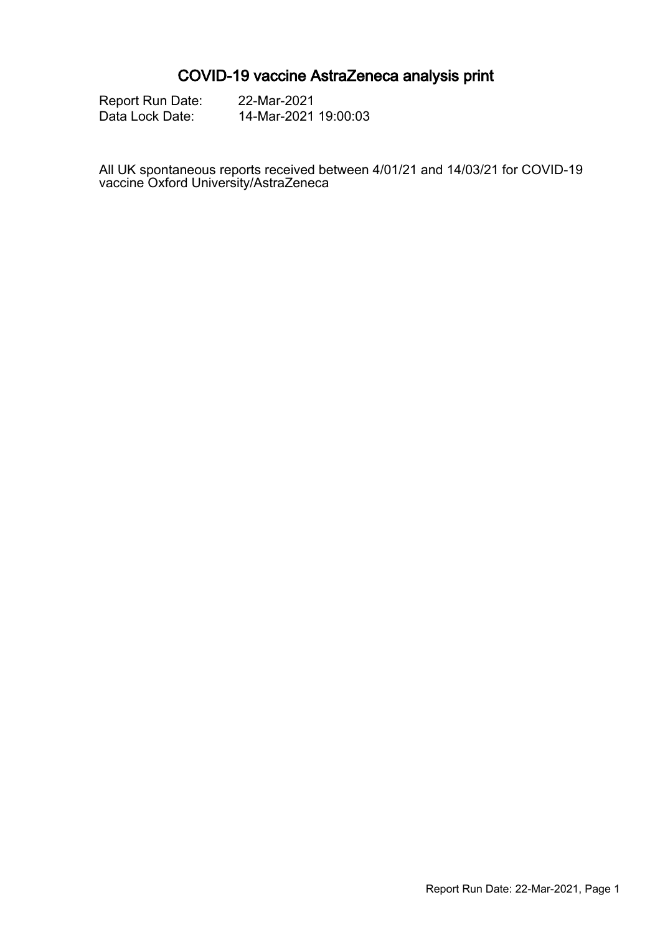# COVID-19 vaccine AstraZeneca analysis print

Report Run Date: 22-Mar-2021<br>Data Lock Date: 14-Mar-2021

14-Mar-2021 19:00:03

All UK spontaneous reports received between 4/01/21 and 14/03/21 for COVID-19 vaccine Oxford University/AstraZeneca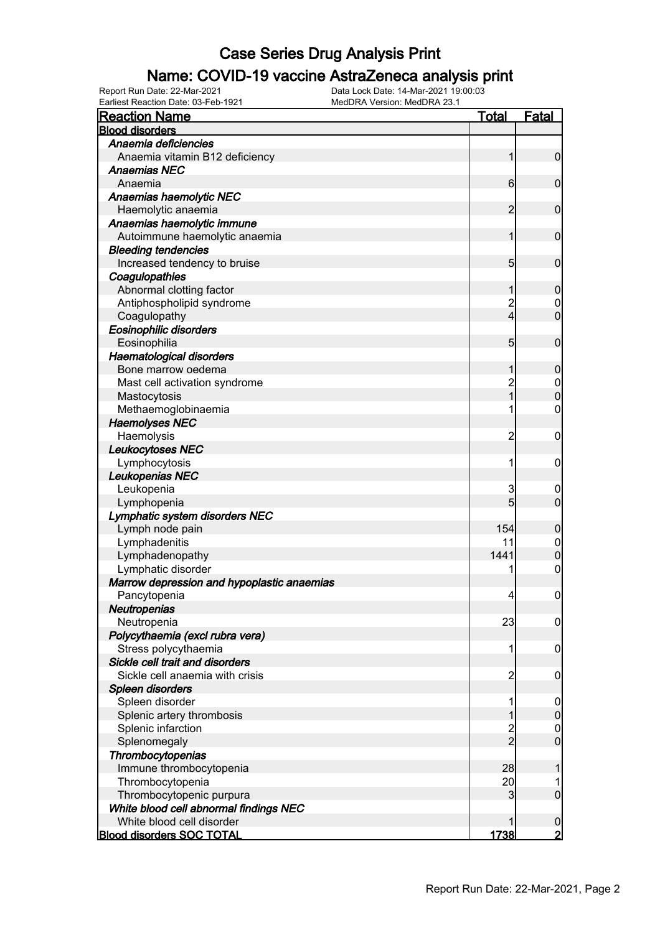### Name: COVID-19 vaccine AstraZeneca analysis print

| <b>Reaction Name</b>                       | <u>Total</u>             | <b>Fatal</b>     |
|--------------------------------------------|--------------------------|------------------|
| <b>Blood disorders</b>                     |                          |                  |
| Anaemia deficiencies                       |                          |                  |
| Anaemia vitamin B12 deficiency             | 1                        | $\boldsymbol{0}$ |
| <b>Anaemias NEC</b>                        |                          |                  |
| Anaemia                                    | $6 \mid$                 | $\mathbf 0$      |
| Anaemias haemolytic NEC                    |                          |                  |
| Haemolytic anaemia                         | $\overline{2}$           | $\mathbf 0$      |
| Anaemias haemolytic immune                 |                          |                  |
| Autoimmune haemolytic anaemia              | 1                        | $\mathbf 0$      |
| <b>Bleeding tendencies</b>                 |                          |                  |
| Increased tendency to bruise               | $5\overline{)}$          | $\mathbf 0$      |
| Coagulopathies                             |                          |                  |
| Abnormal clotting factor                   | 1                        | $\boldsymbol{0}$ |
| Antiphospholipid syndrome                  | $\overline{c}$           | $\boldsymbol{0}$ |
| Coagulopathy                               | $\overline{4}$           | $\overline{0}$   |
| <b>Eosinophilic disorders</b>              |                          |                  |
| Eosinophilia                               | $5\overline{)}$          | $\mathbf 0$      |
| <b>Haematological disorders</b>            |                          |                  |
| Bone marrow oedema                         | 1                        | $\boldsymbol{0}$ |
| Mast cell activation syndrome              | $\overline{c}$           | $\boldsymbol{0}$ |
| Mastocytosis                               | $\overline{1}$           | $\overline{0}$   |
| Methaemoglobinaemia                        | 1                        | $\mathbf 0$      |
| <b>Haemolyses NEC</b>                      |                          |                  |
| Haemolysis                                 | $\overline{c}$           | $\mathbf 0$      |
| Leukocytoses NEC                           |                          |                  |
| Lymphocytosis                              | 1                        | $\mathbf 0$      |
| Leukopenias NEC                            |                          |                  |
| Leukopenia                                 | 3                        | 0                |
| Lymphopenia                                | 5                        | $\mathbf 0$      |
| Lymphatic system disorders NEC             |                          |                  |
| Lymph node pain                            | 154                      | $\boldsymbol{0}$ |
| Lymphadenitis                              | 11                       | $\mathbf 0$      |
| Lymphadenopathy                            | 1441                     | $\mathbf 0$      |
| Lymphatic disorder                         | 1                        | $\boldsymbol{0}$ |
| Marrow depression and hypoplastic anaemias |                          |                  |
| Pancytopenia                               | $\overline{\mathcal{L}}$ | $\boldsymbol{0}$ |
| Neutropenias                               |                          |                  |
| Neutropenia                                | 23                       | $\overline{0}$   |
| Polycythaemia (excl rubra vera)            |                          |                  |
| Stress polycythaemia                       | 1                        | $\mathbf 0$      |
| Sickle cell trait and disorders            |                          |                  |
| Sickle cell anaemia with crisis            | 2                        | $\mathbf 0$      |
| Spleen disorders                           |                          |                  |
| Spleen disorder                            |                          | $\mathbf 0$      |
| Splenic artery thrombosis                  |                          | $\mathbf 0$      |
| Splenic infarction                         |                          | $\mathbf 0$      |
| Splenomegaly                               | 2<br>2                   | $\overline{0}$   |
| Thrombocytopenias                          |                          |                  |
| Immune thrombocytopenia                    | 28                       | 1                |
| Thrombocytopenia                           | 20                       | 1                |
| Thrombocytopenic purpura                   | 3                        | $\boldsymbol{0}$ |
| White blood cell abnormal findings NEC     |                          |                  |
| White blood cell disorder                  | 1                        | 0                |
| <b>Blood disorders SOC TOTAL</b>           | 1738                     | $\overline{2}$   |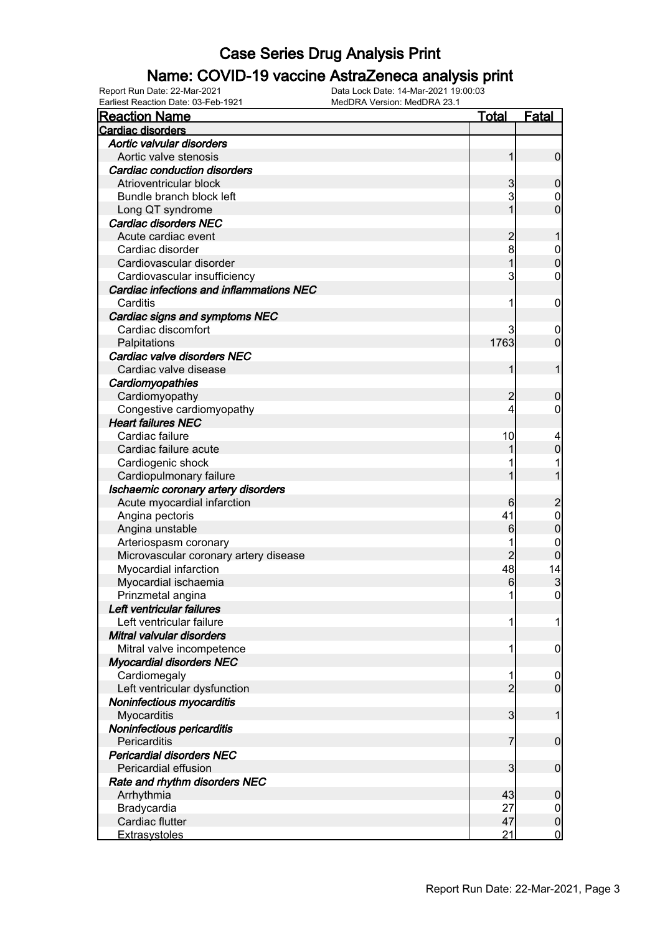### Name: COVID-19 vaccine AstraZeneca analysis print

| <u>Reaction Name</u>                            | <b>Total</b>    | <b>Fatal</b>            |
|-------------------------------------------------|-----------------|-------------------------|
| <b>Cardiac disorders</b>                        |                 |                         |
| Aortic valvular disorders                       |                 |                         |
| Aortic valve stenosis                           | 1               | $\mathbf 0$             |
| <b>Cardiac conduction disorders</b>             |                 |                         |
| Atrioventricular block                          | 3               | $\boldsymbol{0}$        |
| Bundle branch block left                        | 3               | 0                       |
| Long QT syndrome                                |                 | $\overline{0}$          |
| <b>Cardiac disorders NEC</b>                    |                 |                         |
| Acute cardiac event                             | $\overline{c}$  |                         |
| Cardiac disorder                                | 8               | $\boldsymbol{0}$        |
| Cardiovascular disorder                         |                 | $\mathbf 0$             |
| Cardiovascular insufficiency                    | 3               | $\mathbf 0$             |
| <b>Cardiac infections and inflammations NEC</b> |                 |                         |
| Carditis                                        | 1               | $\mathbf 0$             |
| Cardiac signs and symptoms NEC                  |                 |                         |
| Cardiac discomfort                              | 3               | 0                       |
| Palpitations                                    | 1763            | $\mathbf 0$             |
| Cardiac valve disorders NEC                     |                 |                         |
| Cardiac valve disease                           | 1               | 1                       |
| Cardiomyopathies                                |                 |                         |
| Cardiomyopathy                                  | $\overline{c}$  | $\boldsymbol{0}$        |
| Congestive cardiomyopathy                       | 4               | 0                       |
| <b>Heart failures NEC</b>                       |                 |                         |
| Cardiac failure                                 | 10              | 4                       |
| Cardiac failure acute                           |                 | $\mathbf 0$             |
| Cardiogenic shock                               |                 |                         |
| Cardiopulmonary failure                         |                 |                         |
| Ischaemic coronary artery disorders             |                 |                         |
| Acute myocardial infarction                     | 6               | $\overline{\mathbf{c}}$ |
| Angina pectoris                                 | 41              | $\mathbf 0$             |
| Angina unstable                                 | $6\phantom{.0}$ | $\overline{0}$          |
| Arteriospasm coronary                           |                 | 0                       |
| Microvascular coronary artery disease           | $\overline{2}$  | $\mathbf 0$             |
| Myocardial infarction                           | 48              | 14                      |
| Myocardial ischaemia                            | 6               | 3                       |
| Prinzmetal angina                               | 1               | $\mathbf 0$             |
| Left ventricular failures                       |                 |                         |
| Left ventricular failure                        | 1               | 1                       |
| Mitral valvular disorders                       |                 |                         |
| Mitral valve incompetence                       | 1               | $\mathbf 0$             |
| <b>Myocardial disorders NEC</b>                 |                 |                         |
| Cardiomegaly                                    | 1               | $\boldsymbol{0}$        |
| Left ventricular dysfunction                    | $\overline{2}$  | $\mathbf 0$             |
| Noninfectious myocarditis                       |                 |                         |
| Myocarditis                                     | 3               | 1                       |
| Noninfectious pericarditis                      |                 |                         |
| Pericarditis                                    | 7               | $\mathbf 0$             |
| <b>Pericardial disorders NEC</b>                |                 |                         |
| Pericardial effusion                            | 3               | $\boldsymbol{0}$        |
| Rate and rhythm disorders NEC                   |                 |                         |
| Arrhythmia                                      | 43              | $\mathbf 0$             |
| Bradycardia                                     | 27              | $\boldsymbol{0}$        |
| Cardiac flutter                                 | 47              | $\mathbf 0$             |
|                                                 |                 |                         |
| <b>Extrasystoles</b>                            | 21              | $\mathbf 0$             |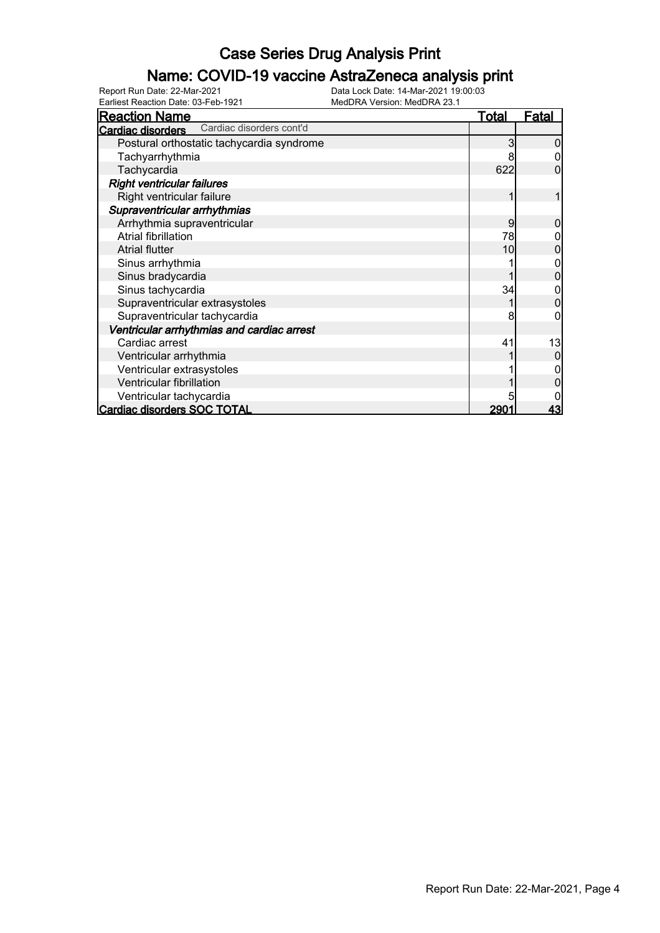#### Name: COVID-19 vaccine AstraZeneca analysis print

Earliest Reaction Date: 03-Feb-1921 MedDRA Version: MedDRA 23.1

| <b>Reaction Name</b>                          | Total            | <b>Fatal</b> |
|-----------------------------------------------|------------------|--------------|
| Cardiac disorders cont'd<br>Cardiac disorders |                  |              |
| Postural orthostatic tachycardia syndrome     | 3                |              |
| Tachyarrhythmia                               |                  |              |
| Tachycardia                                   | 622              |              |
| <b>Right ventricular failures</b>             |                  |              |
| Right ventricular failure                     |                  |              |
| Supraventricular arrhythmias                  |                  |              |
| Arrhythmia supraventricular                   | 9                |              |
| <b>Atrial fibrillation</b>                    | 78               |              |
| <b>Atrial flutter</b>                         | 10               | 0            |
| Sinus arrhythmia                              |                  |              |
| Sinus bradycardia                             |                  |              |
| Sinus tachycardia                             | 34               |              |
| Supraventricular extrasystoles                |                  | 0            |
| Supraventricular tachycardia                  | 8                |              |
| Ventricular arrhythmias and cardiac arrest    |                  |              |
| Cardiac arrest                                | 41               | 13           |
| Ventricular arrhythmia                        |                  |              |
| Ventricular extrasystoles                     |                  |              |
| Ventricular fibrillation                      |                  |              |
| Ventricular tachycardia                       |                  |              |
| <b>Cardiac disorders SOC TOTAL</b>            | 290 <sup>.</sup> | <u>43</u>    |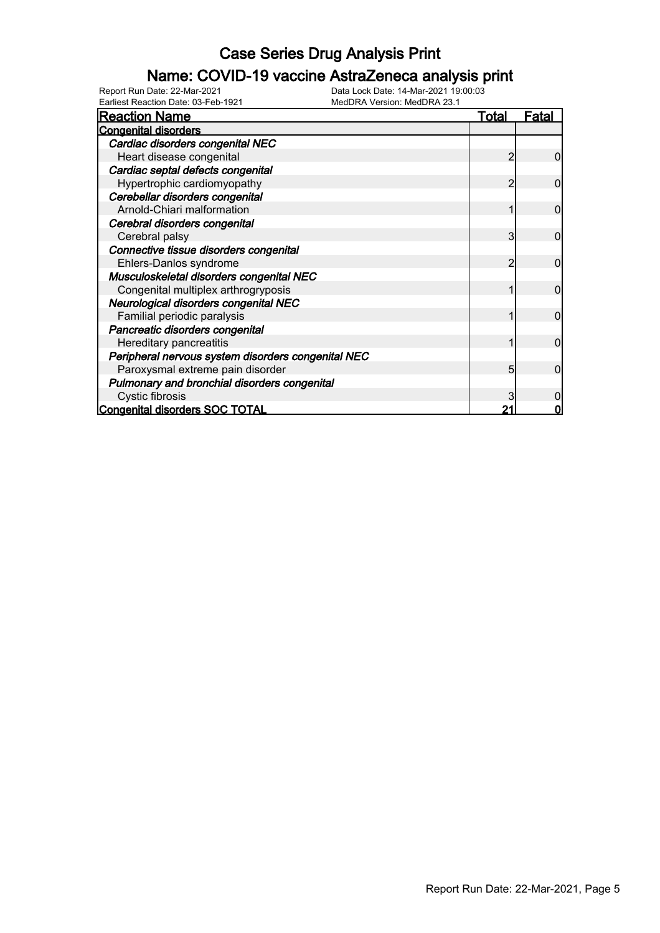### Name: COVID-19 vaccine AstraZeneca analysis print

| <b>Reaction Name</b>                               | <u>Total</u> | <u>Fatal</u> |
|----------------------------------------------------|--------------|--------------|
| <b>Congenital disorders</b>                        |              |              |
| Cardiac disorders congenital NEC                   |              |              |
| Heart disease congenital                           |              | 0            |
| Cardiac septal defects congenital                  |              |              |
| Hypertrophic cardiomyopathy                        | 2            | 0            |
| Cerebellar disorders congenital                    |              |              |
| Arnold-Chiari malformation                         |              | 0            |
| Cerebral disorders congenital                      |              |              |
| Cerebral palsy                                     | 3            | $\Omega$     |
| Connective tissue disorders congenital             |              |              |
| Ehlers-Danlos syndrome                             |              | 0            |
| Musculoskeletal disorders congenital NEC           |              |              |
| Congenital multiplex arthrogryposis                |              | 0            |
| Neurological disorders congenital NEC              |              |              |
| Familial periodic paralysis                        |              | 0            |
| Pancreatic disorders congenital                    |              |              |
| Hereditary pancreatitis                            |              | $\Omega$     |
| Peripheral nervous system disorders congenital NEC |              |              |
| Paroxysmal extreme pain disorder                   | 5            | 0            |
| Pulmonary and bronchial disorders congenital       |              |              |
| Cystic fibrosis                                    |              |              |
| <b>Congenital disorders SOC TOTAL</b>              |              |              |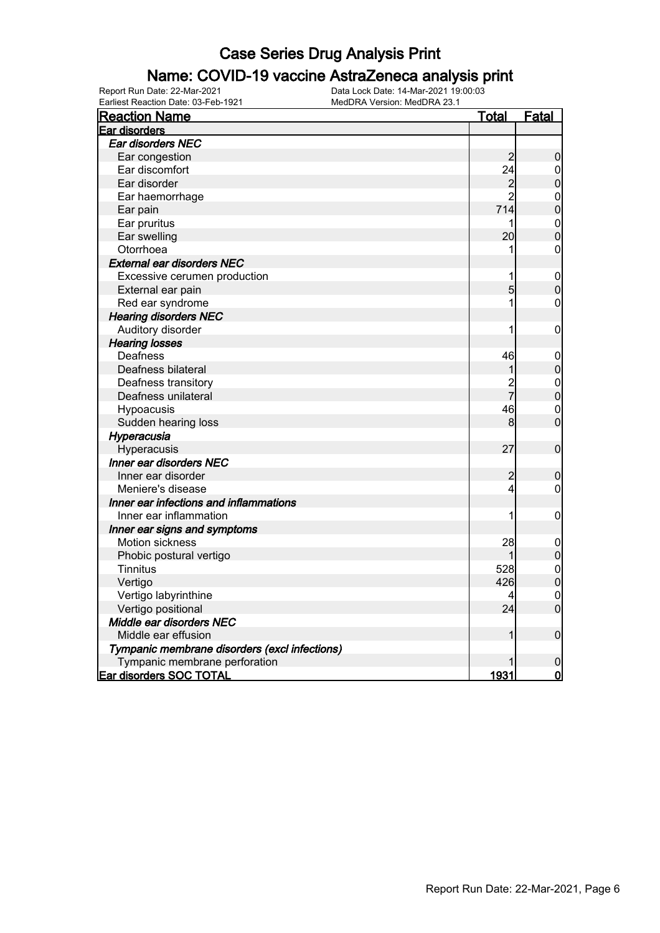### Name: COVID-19 vaccine AstraZeneca analysis print

| <b>Reaction Name</b>                          | <u>Total</u>   | <b>Fatal</b>                     |
|-----------------------------------------------|----------------|----------------------------------|
| Ear disorders                                 |                |                                  |
| Ear disorders NEC                             |                |                                  |
| Ear congestion                                | $\overline{c}$ | $\boldsymbol{0}$                 |
| Ear discomfort                                | 24             | $\boldsymbol{0}$                 |
| Ear disorder                                  | $\overline{c}$ | $\overline{0}$                   |
| Ear haemorrhage                               | $\overline{2}$ | $\mathbf 0$                      |
| Ear pain                                      | 714            | $\overline{0}$                   |
| Ear pruritus                                  | 1              |                                  |
| Ear swelling                                  | 20             | $\begin{matrix}0\\0\end{matrix}$ |
| Otorrhoea                                     | 1              | $\overline{0}$                   |
| <b>External ear disorders NEC</b>             |                |                                  |
| Excessive cerumen production                  |                | $\mathbf 0$                      |
| External ear pain                             | 5              | $\mathbf 0$                      |
| Red ear syndrome                              | 1              | 0                                |
| <b>Hearing disorders NEC</b>                  |                |                                  |
| Auditory disorder                             | 1              | $\boldsymbol{0}$                 |
| <b>Hearing losses</b>                         |                |                                  |
| Deafness                                      | 46             | $\boldsymbol{0}$                 |
| Deafness bilateral                            | 1              | $\overline{0}$                   |
| Deafness transitory                           | $\overline{c}$ | $\mathbf{0}$                     |
| Deafness unilateral                           | $\overline{7}$ | $\overline{0}$                   |
| Hypoacusis                                    | 46             | $\overline{0}$                   |
| Sudden hearing loss                           | 8              | $\overline{0}$                   |
| Hyperacusia                                   |                |                                  |
| Hyperacusis                                   | 27             | $\pmb{0}$                        |
| Inner ear disorders NEC                       |                |                                  |
| Inner ear disorder                            | $\overline{c}$ | $\boldsymbol{0}$                 |
| Meniere's disease                             | 4              | $\pmb{0}$                        |
| Inner ear infections and inflammations        |                |                                  |
| Inner ear inflammation                        |                | $\mathbf 0$                      |
| Inner ear signs and symptoms                  |                |                                  |
| Motion sickness                               | 28             | $\mathbf 0$                      |
| Phobic postural vertigo                       | 1              | $\overline{0}$                   |
| <b>Tinnitus</b>                               | 528            | $\mathbf 0$                      |
| Vertigo                                       | 426            | $\overline{0}$                   |
| Vertigo labyrinthine                          | 4              | $\mathbf{0}$                     |
| Vertigo positional                            | 24             | $\overline{0}$                   |
| Middle ear disorders NEC                      |                |                                  |
| Middle ear effusion                           | 1              | $\boldsymbol{0}$                 |
| Tympanic membrane disorders (excl infections) |                |                                  |
| Tympanic membrane perforation                 |                | $\mathbf 0$                      |
| <b>Ear disorders SOC TOTAL</b>                | 1931           | $\overline{0}$                   |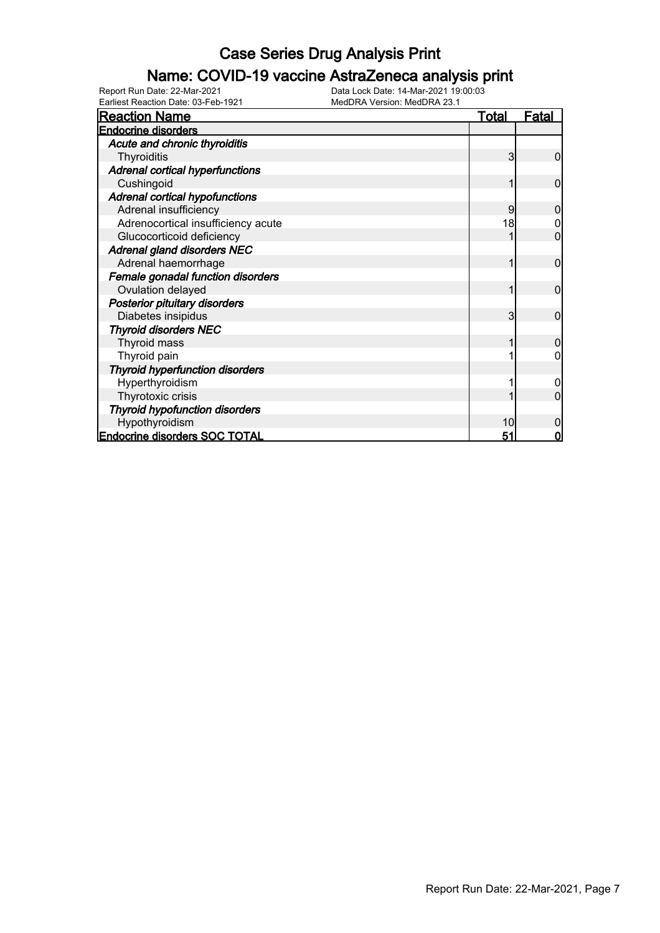### Name: COVID-19 vaccine AstraZeneca analysis print

| -anicst Readuon Date: 00-1 CD-102<br><b>Reaction Name</b> | <u>Total</u>   | <u>Fatal</u>   |
|-----------------------------------------------------------|----------------|----------------|
| <b>Endocrine disorders</b>                                |                |                |
| Acute and chronic thyroiditis                             |                |                |
| Thyroiditis                                               | 3              | $\overline{0}$ |
| <b>Adrenal cortical hyperfunctions</b>                    |                |                |
| Cushingoid                                                |                | 0              |
| <b>Adrenal cortical hypofunctions</b>                     |                |                |
| Adrenal insufficiency                                     | 9              | O              |
| Adrenocortical insufficiency acute                        | 18             |                |
| Glucocorticoid deficiency                                 |                | 0              |
| <b>Adrenal gland disorders NEC</b>                        |                |                |
| Adrenal haemorrhage                                       |                | $\mathbf 0$    |
| Female gonadal function disorders                         |                |                |
| Ovulation delayed                                         |                | 0              |
| <b>Posterior pituitary disorders</b>                      |                |                |
| Diabetes insipidus                                        | 3 <sub>l</sub> | $\overline{0}$ |
| <b>Thyroid disorders NEC</b>                              |                |                |
| Thyroid mass                                              |                | $\Omega$       |
| Thyroid pain                                              |                | 0              |
| <b>Thyroid hyperfunction disorders</b>                    |                |                |
| Hyperthyroidism                                           |                |                |
| Thyrotoxic crisis                                         |                | ი              |
| <b>Thyroid hypofunction disorders</b>                     |                |                |
| Hypothyroidism                                            | 10             | 0              |
| <b>Endocrine disorders SOC TOTAL</b>                      | 51             | 0              |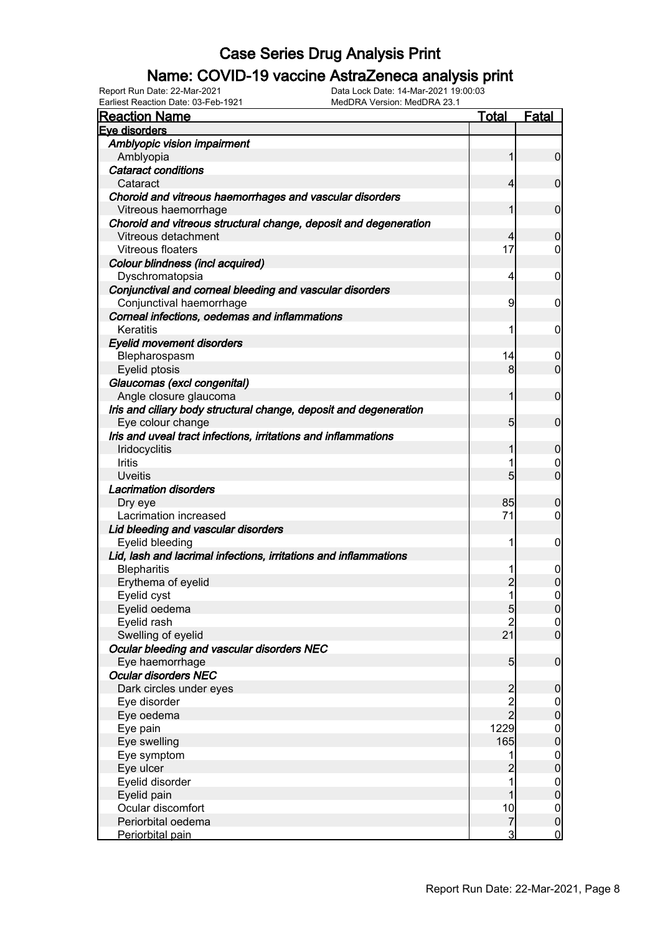### Name: COVID-19 vaccine AstraZeneca analysis print

Earliest Reaction Date: 03-Feb-1921 MedDRA Version: MedDRA 23.1

| Eye disorders<br>Amblyopic vision impairment<br>Amblyopia<br>$\overline{0}$<br>$\mathbf{1}$<br><b>Cataract conditions</b><br>$\mathbf 0$<br>Cataract<br>$\overline{4}$<br>Choroid and vitreous haemorrhages and vascular disorders<br>Vitreous haemorrhage<br>$\mathbf 0$<br>1<br>Choroid and vitreous structural change, deposit and degeneration<br>Vitreous detachment<br>4<br>$\mathbf 0$<br>17<br>Vitreous floaters<br>$\mathbf 0$<br>Colour blindness (incl acquired)<br>Dyschromatopsia<br>4<br>0<br>Conjunctival and corneal bleeding and vascular disorders<br>Conjunctival haemorrhage<br>9<br>0<br>Corneal infections, oedemas and inflammations<br>Keratitis<br>1<br>0<br><b>Eyelid movement disorders</b><br>14<br>Blepharospasm<br>0<br>$\mathbf 0$<br>8 <sup>1</sup><br>Eyelid ptosis<br>Glaucomas (excl congenital)<br>Angle closure glaucoma<br>$\mathbf{1}$<br>$\mathbf 0$<br>Iris and ciliary body structural change, deposit and degeneration |
|-------------------------------------------------------------------------------------------------------------------------------------------------------------------------------------------------------------------------------------------------------------------------------------------------------------------------------------------------------------------------------------------------------------------------------------------------------------------------------------------------------------------------------------------------------------------------------------------------------------------------------------------------------------------------------------------------------------------------------------------------------------------------------------------------------------------------------------------------------------------------------------------------------------------------------------------------------------------|
|                                                                                                                                                                                                                                                                                                                                                                                                                                                                                                                                                                                                                                                                                                                                                                                                                                                                                                                                                                   |
|                                                                                                                                                                                                                                                                                                                                                                                                                                                                                                                                                                                                                                                                                                                                                                                                                                                                                                                                                                   |
|                                                                                                                                                                                                                                                                                                                                                                                                                                                                                                                                                                                                                                                                                                                                                                                                                                                                                                                                                                   |
|                                                                                                                                                                                                                                                                                                                                                                                                                                                                                                                                                                                                                                                                                                                                                                                                                                                                                                                                                                   |
|                                                                                                                                                                                                                                                                                                                                                                                                                                                                                                                                                                                                                                                                                                                                                                                                                                                                                                                                                                   |
|                                                                                                                                                                                                                                                                                                                                                                                                                                                                                                                                                                                                                                                                                                                                                                                                                                                                                                                                                                   |
|                                                                                                                                                                                                                                                                                                                                                                                                                                                                                                                                                                                                                                                                                                                                                                                                                                                                                                                                                                   |
|                                                                                                                                                                                                                                                                                                                                                                                                                                                                                                                                                                                                                                                                                                                                                                                                                                                                                                                                                                   |
|                                                                                                                                                                                                                                                                                                                                                                                                                                                                                                                                                                                                                                                                                                                                                                                                                                                                                                                                                                   |
|                                                                                                                                                                                                                                                                                                                                                                                                                                                                                                                                                                                                                                                                                                                                                                                                                                                                                                                                                                   |
|                                                                                                                                                                                                                                                                                                                                                                                                                                                                                                                                                                                                                                                                                                                                                                                                                                                                                                                                                                   |
|                                                                                                                                                                                                                                                                                                                                                                                                                                                                                                                                                                                                                                                                                                                                                                                                                                                                                                                                                                   |
|                                                                                                                                                                                                                                                                                                                                                                                                                                                                                                                                                                                                                                                                                                                                                                                                                                                                                                                                                                   |
|                                                                                                                                                                                                                                                                                                                                                                                                                                                                                                                                                                                                                                                                                                                                                                                                                                                                                                                                                                   |
|                                                                                                                                                                                                                                                                                                                                                                                                                                                                                                                                                                                                                                                                                                                                                                                                                                                                                                                                                                   |
|                                                                                                                                                                                                                                                                                                                                                                                                                                                                                                                                                                                                                                                                                                                                                                                                                                                                                                                                                                   |
|                                                                                                                                                                                                                                                                                                                                                                                                                                                                                                                                                                                                                                                                                                                                                                                                                                                                                                                                                                   |
|                                                                                                                                                                                                                                                                                                                                                                                                                                                                                                                                                                                                                                                                                                                                                                                                                                                                                                                                                                   |
|                                                                                                                                                                                                                                                                                                                                                                                                                                                                                                                                                                                                                                                                                                                                                                                                                                                                                                                                                                   |
|                                                                                                                                                                                                                                                                                                                                                                                                                                                                                                                                                                                                                                                                                                                                                                                                                                                                                                                                                                   |
|                                                                                                                                                                                                                                                                                                                                                                                                                                                                                                                                                                                                                                                                                                                                                                                                                                                                                                                                                                   |
|                                                                                                                                                                                                                                                                                                                                                                                                                                                                                                                                                                                                                                                                                                                                                                                                                                                                                                                                                                   |
|                                                                                                                                                                                                                                                                                                                                                                                                                                                                                                                                                                                                                                                                                                                                                                                                                                                                                                                                                                   |
| Eye colour change<br>$5\overline{)}$<br>$\mathbf 0$                                                                                                                                                                                                                                                                                                                                                                                                                                                                                                                                                                                                                                                                                                                                                                                                                                                                                                               |
| Iris and uveal tract infections, irritations and inflammations                                                                                                                                                                                                                                                                                                                                                                                                                                                                                                                                                                                                                                                                                                                                                                                                                                                                                                    |
| Iridocyclitis<br>$\mathbf 0$<br>1                                                                                                                                                                                                                                                                                                                                                                                                                                                                                                                                                                                                                                                                                                                                                                                                                                                                                                                                 |
| 1<br><b>Iritis</b><br>$\mathbf 0$                                                                                                                                                                                                                                                                                                                                                                                                                                                                                                                                                                                                                                                                                                                                                                                                                                                                                                                                 |
| $\overline{0}$<br>$5\overline{)}$<br><b>Uveitis</b>                                                                                                                                                                                                                                                                                                                                                                                                                                                                                                                                                                                                                                                                                                                                                                                                                                                                                                               |
| <b>Lacrimation disorders</b>                                                                                                                                                                                                                                                                                                                                                                                                                                                                                                                                                                                                                                                                                                                                                                                                                                                                                                                                      |
| 85<br>$\mathbf 0$<br>Dry eye                                                                                                                                                                                                                                                                                                                                                                                                                                                                                                                                                                                                                                                                                                                                                                                                                                                                                                                                      |
| 71<br>Lacrimation increased<br>$\mathbf 0$                                                                                                                                                                                                                                                                                                                                                                                                                                                                                                                                                                                                                                                                                                                                                                                                                                                                                                                        |
| Lid bleeding and vascular disorders                                                                                                                                                                                                                                                                                                                                                                                                                                                                                                                                                                                                                                                                                                                                                                                                                                                                                                                               |
| Eyelid bleeding<br>1<br>0                                                                                                                                                                                                                                                                                                                                                                                                                                                                                                                                                                                                                                                                                                                                                                                                                                                                                                                                         |
| Lid, lash and lacrimal infections, irritations and inflammations                                                                                                                                                                                                                                                                                                                                                                                                                                                                                                                                                                                                                                                                                                                                                                                                                                                                                                  |
| <b>Blepharitis</b><br>1<br>$\boldsymbol{0}$                                                                                                                                                                                                                                                                                                                                                                                                                                                                                                                                                                                                                                                                                                                                                                                                                                                                                                                       |
| $\mathbf 0$<br>$\overline{c}$<br>Erythema of eyelid                                                                                                                                                                                                                                                                                                                                                                                                                                                                                                                                                                                                                                                                                                                                                                                                                                                                                                               |
| 1<br>$\mathbf 0$<br>Eyelid cyst                                                                                                                                                                                                                                                                                                                                                                                                                                                                                                                                                                                                                                                                                                                                                                                                                                                                                                                                   |
| Eyelid oedema<br>5<br> 0                                                                                                                                                                                                                                                                                                                                                                                                                                                                                                                                                                                                                                                                                                                                                                                                                                                                                                                                          |
| $\overline{2}$<br>Eyelid rash                                                                                                                                                                                                                                                                                                                                                                                                                                                                                                                                                                                                                                                                                                                                                                                                                                                                                                                                     |
| $\frac{0}{0}$<br>Swelling of eyelid<br>21                                                                                                                                                                                                                                                                                                                                                                                                                                                                                                                                                                                                                                                                                                                                                                                                                                                                                                                         |
| Ocular bleeding and vascular disorders NEC                                                                                                                                                                                                                                                                                                                                                                                                                                                                                                                                                                                                                                                                                                                                                                                                                                                                                                                        |
| $\boldsymbol{0}$<br>Eye haemorrhage<br>5 <sub>5</sub>                                                                                                                                                                                                                                                                                                                                                                                                                                                                                                                                                                                                                                                                                                                                                                                                                                                                                                             |
| <b>Ocular disorders NEC</b>                                                                                                                                                                                                                                                                                                                                                                                                                                                                                                                                                                                                                                                                                                                                                                                                                                                                                                                                       |
| Dark circles under eyes<br>$\mathbf 0$                                                                                                                                                                                                                                                                                                                                                                                                                                                                                                                                                                                                                                                                                                                                                                                                                                                                                                                            |
| $\begin{array}{c} 2 \\ 2 \\ 2 \end{array}$<br>Eye disorder<br>$\boldsymbol{0}$                                                                                                                                                                                                                                                                                                                                                                                                                                                                                                                                                                                                                                                                                                                                                                                                                                                                                    |
| $\mathbf 0$<br>Eye oedema                                                                                                                                                                                                                                                                                                                                                                                                                                                                                                                                                                                                                                                                                                                                                                                                                                                                                                                                         |
| 1229<br>Eye pain<br>$\boldsymbol{0}$                                                                                                                                                                                                                                                                                                                                                                                                                                                                                                                                                                                                                                                                                                                                                                                                                                                                                                                              |
| $\mathbf 0$<br>165<br>Eye swelling                                                                                                                                                                                                                                                                                                                                                                                                                                                                                                                                                                                                                                                                                                                                                                                                                                                                                                                                |
| Eye symptom<br>$\boldsymbol{0}$<br>1                                                                                                                                                                                                                                                                                                                                                                                                                                                                                                                                                                                                                                                                                                                                                                                                                                                                                                                              |
| $\mathbf 0$<br>Eye ulcer<br>$\overline{c}$                                                                                                                                                                                                                                                                                                                                                                                                                                                                                                                                                                                                                                                                                                                                                                                                                                                                                                                        |
| 1<br>Eyelid disorder<br>$\boldsymbol{0}$                                                                                                                                                                                                                                                                                                                                                                                                                                                                                                                                                                                                                                                                                                                                                                                                                                                                                                                          |
| $\pmb{0}$<br>Eyelid pain<br>1                                                                                                                                                                                                                                                                                                                                                                                                                                                                                                                                                                                                                                                                                                                                                                                                                                                                                                                                     |
| Ocular discomfort<br>10                                                                                                                                                                                                                                                                                                                                                                                                                                                                                                                                                                                                                                                                                                                                                                                                                                                                                                                                           |
| $\boldsymbol{0}$<br>$\overline{7}$<br>$\pmb{0}$<br>Periorbital oedema                                                                                                                                                                                                                                                                                                                                                                                                                                                                                                                                                                                                                                                                                                                                                                                                                                                                                             |
| 3<br>$\mathbf 0$<br>Periorbital pain                                                                                                                                                                                                                                                                                                                                                                                                                                                                                                                                                                                                                                                                                                                                                                                                                                                                                                                              |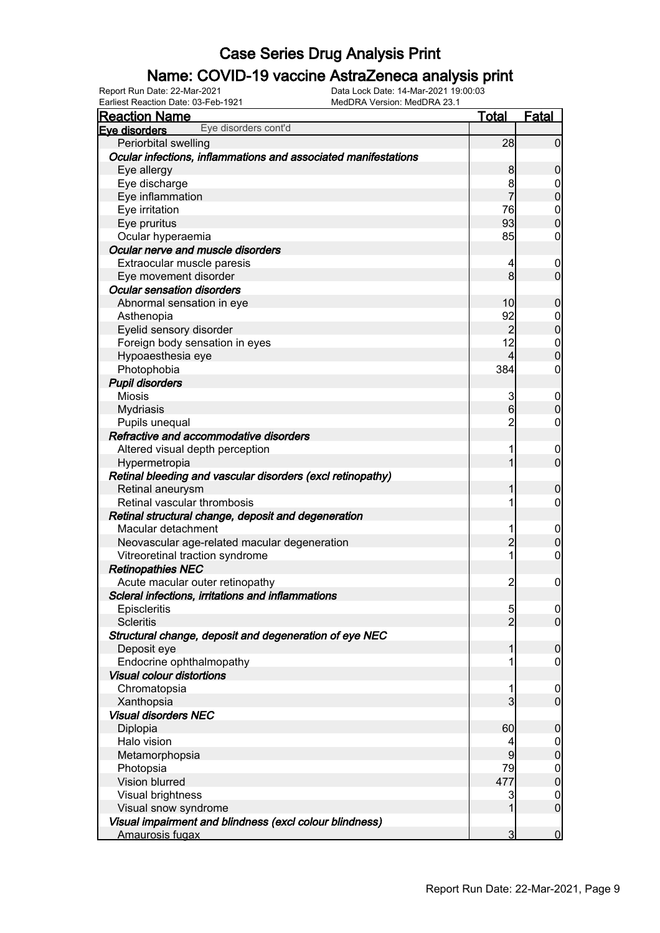### Name: COVID-19 vaccine AstraZeneca analysis print

Earliest Reaction Date: 03-Feb-1921 MedDRA Version: MedDRA 23.1

| <b>Reaction Name</b>                                           | Total           | <b>Fatal</b>   |
|----------------------------------------------------------------|-----------------|----------------|
| Eye disorders cont'd<br>Eve disorders                          |                 |                |
| Periorbital swelling                                           | 28              | 0              |
| Ocular infections, inflammations and associated manifestations |                 |                |
| Eye allergy                                                    | 8               | 0              |
| Eye discharge                                                  | 8               | 0              |
| Eye inflammation                                               |                 | 0              |
| Eye irritation                                                 | 76              | $\mathbf{0}$   |
| Eye pruritus                                                   | 93              | O              |
| Ocular hyperaemia                                              | 85              | 0              |
| Ocular nerve and muscle disorders                              |                 |                |
| Extraocular muscle paresis                                     | 4               | $\mathbf 0$    |
| Eye movement disorder                                          | 8               | 0              |
| <b>Ocular sensation disorders</b>                              |                 |                |
| Abnormal sensation in eye                                      | 10              | 0              |
| Asthenopia                                                     | 92              | 0              |
| Eyelid sensory disorder                                        | 2               | 0              |
| Foreign body sensation in eyes                                 | 12              | $\mathbf 0$    |
| Hypoaesthesia eye                                              | 4               | O              |
| Photophobia                                                    | 384             | 0              |
| <b>Pupil disorders</b>                                         |                 |                |
| <b>Miosis</b>                                                  | 3               | $\mathbf 0$    |
| Mydriasis                                                      | $6 \overline{}$ | 0              |
| Pupils unequal                                                 | 2               | 0              |
| Refractive and accommodative disorders                         |                 |                |
| Altered visual depth perception                                | 1               | 0              |
| Hypermetropia                                                  |                 | 0              |
| Retinal bleeding and vascular disorders (excl retinopathy)     |                 |                |
| Retinal aneurysm                                               |                 | 0              |
| Retinal vascular thrombosis                                    | 1               | 0              |
| Retinal structural change, deposit and degeneration            |                 |                |
| Macular detachment                                             | 1               | 0              |
| Neovascular age-related macular degeneration                   | $\overline{2}$  | 0              |
| Vitreoretinal traction syndrome                                | 1               | 0              |
| <b>Retinopathies NEC</b>                                       |                 |                |
| Acute macular outer retinopathy                                | $\overline{2}$  | $\mathbf 0$    |
| Scleral infections, irritations and inflammations              |                 |                |
| Episcleritis                                                   | 5               | $\overline{0}$ |
| <b>Scleritis</b>                                               | $\overline{2}$  | $\overline{0}$ |
| Structural change, deposit and degeneration of eye NEC         |                 |                |
| Deposit eye                                                    |                 | 0              |
| Endocrine ophthalmopathy                                       | 1               | 0              |
| <b>Visual colour distortions</b>                               |                 |                |
| Chromatopsia                                                   | 1               | $\mathbf 0$    |
| Xanthopsia                                                     | 3               | $\mathbf 0$    |
| <b>Visual disorders NEC</b>                                    |                 |                |
| Diplopia                                                       | 60              | 0              |
| Halo vision                                                    | 4               | $\mathbf 0$    |
| Metamorphopsia                                                 | 9               | $\mathbf 0$    |
| Photopsia                                                      | 79              | $\mathbf 0$    |
| Vision blurred                                                 | 477             | $\overline{0}$ |
| Visual brightness                                              | 3               | $\mathbf 0$    |
| Visual snow syndrome                                           | 1               | $\overline{0}$ |
| Visual impairment and blindness (excl colour blindness)        |                 |                |
| Amaurosis fugax                                                | $\overline{3}$  | $\mathbf 0$    |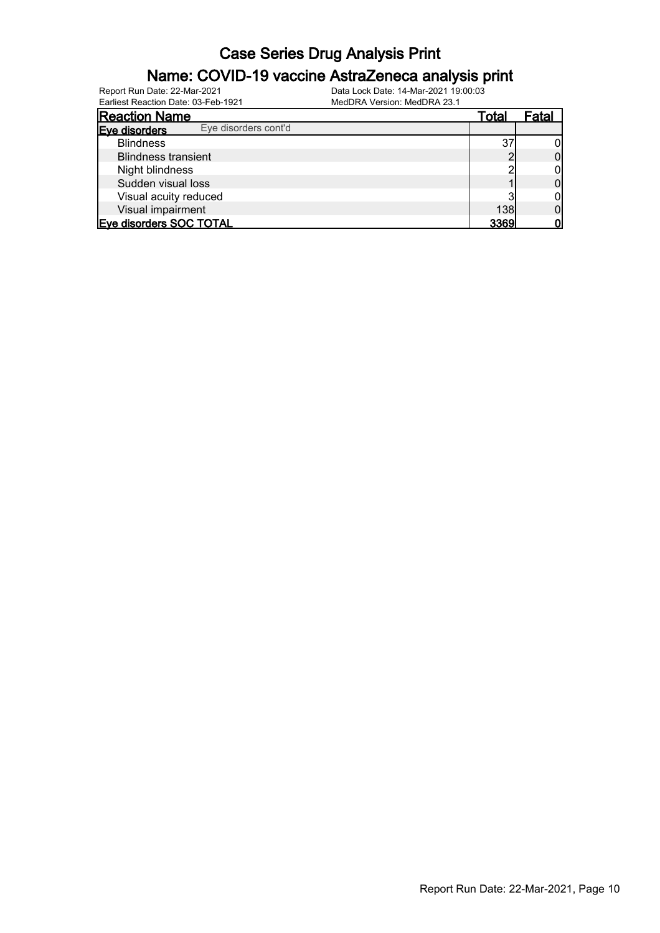#### Name: COVID-19 vaccine AstraZeneca analysis print

| <b>Reaction Name</b>                  | Total | Fatal |
|---------------------------------------|-------|-------|
| Eye disorders cont'd<br>Eve disorders |       |       |
| <b>Blindness</b>                      | 37    |       |
| <b>Blindness transient</b>            |       |       |
| Night blindness                       |       |       |
| Sudden visual loss                    |       |       |
| Visual acuity reduced                 |       |       |
| Visual impairment                     | 138   |       |
| Eye disorders SOC TOTAL               | 3369  |       |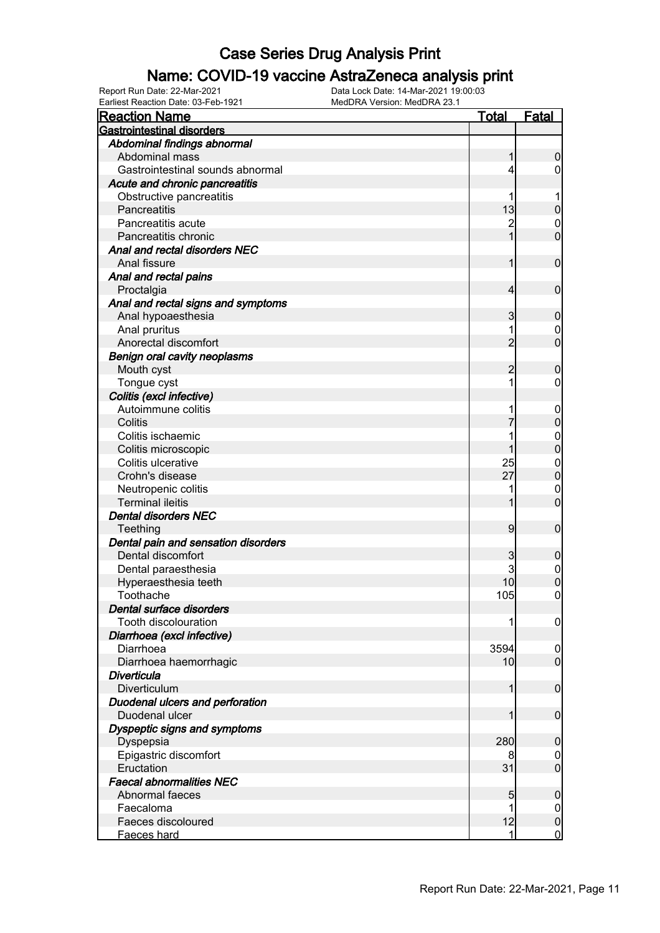### Name: COVID-19 vaccine AstraZeneca analysis print

| Lamest Readuoir Date: 00-1 CD-102<br><b>Reaction Name</b> | <b>Total</b>   | <b>Fatal</b>                     |
|-----------------------------------------------------------|----------------|----------------------------------|
| <b>Gastrointestinal disorders</b>                         |                |                                  |
| Abdominal findings abnormal                               |                |                                  |
| Abdominal mass                                            |                | $\boldsymbol{0}$                 |
| Gastrointestinal sounds abnormal                          |                | 0                                |
| Acute and chronic pancreatitis                            |                |                                  |
| Obstructive pancreatitis                                  |                |                                  |
| Pancreatitis                                              | 13             | $\boldsymbol{0}$                 |
| Pancreatitis acute                                        | $\overline{c}$ | $\mathbf 0$                      |
| Pancreatitis chronic                                      | 1              | $\mathbf 0$                      |
| Anal and rectal disorders NEC                             |                |                                  |
| Anal fissure                                              |                | $\mathbf 0$                      |
| Anal and rectal pains                                     |                |                                  |
| Proctalgia                                                | 4              | $\mathbf 0$                      |
| Anal and rectal signs and symptoms                        |                |                                  |
| Anal hypoaesthesia                                        | 3              | $\mathbf 0$                      |
| Anal pruritus                                             |                | $\mathbf 0$                      |
| Anorectal discomfort                                      | $\overline{2}$ | $\overline{0}$                   |
| <b>Benign oral cavity neoplasms</b>                       |                |                                  |
| Mouth cyst                                                | 2              | $\mathbf 0$                      |
| Tongue cyst                                               |                | 0                                |
| Colitis (excl infective)                                  |                |                                  |
| Autoimmune colitis                                        |                |                                  |
| Colitis                                                   |                | $\mathbf 0$<br>$\mathbf 0$       |
| Colitis ischaemic                                         |                |                                  |
|                                                           |                | $\mathbf{0}$<br>$\overline{0}$   |
| Colitis microscopic<br>Colitis ulcerative                 | 25             |                                  |
| Crohn's disease                                           | 27             | $\mathbf{0}$<br>$\overline{0}$   |
|                                                           |                |                                  |
| Neutropenic colitis<br><b>Terminal ileitis</b>            |                | $\mathbf 0$<br>$\overline{0}$    |
|                                                           |                |                                  |
| <b>Dental disorders NEC</b>                               | 9              | $\boldsymbol{0}$                 |
| Teething                                                  |                |                                  |
| Dental pain and sensation disorders<br>Dental discomfort  |                |                                  |
|                                                           | 3<br>3         | $\mathbf 0$                      |
| Dental paraesthesia<br>Hyperaesthesia teeth               | 10             | $\mathbf 0$<br>$\overline{0}$    |
| Toothache                                                 | 105            | $\overline{0}$                   |
| Dental surface disorders                                  |                |                                  |
| Tooth discolouration                                      |                |                                  |
| Diarrhoea (excl infective)                                |                | $\boldsymbol{0}$                 |
| Diarrhoea                                                 | 3594           |                                  |
| Diarrhoea haemorrhagic                                    | 10             | $\overline{0}$<br>$\overline{0}$ |
| <b>Diverticula</b>                                        |                |                                  |
| Diverticulum                                              | 1              | $\mathbf 0$                      |
| Duodenal ulcers and perforation                           |                |                                  |
| Duodenal ulcer                                            |                | $\mathbf 0$                      |
| Dyspeptic signs and symptoms                              |                |                                  |
|                                                           | 280            | $\mathbf 0$                      |
| Dyspepsia                                                 |                |                                  |
| Epigastric discomfort<br>Eructation                       | 8<br>31        | 0<br>$\mathbf 0$                 |
| <b>Faecal abnormalities NEC</b>                           |                |                                  |
| Abnormal faeces                                           |                |                                  |
| Faecaloma                                                 | 5              | $\boldsymbol{0}$                 |
| Faeces discoloured                                        | 12             | $\mathbf 0$<br>$\pmb{0}$         |
|                                                           | 1              | $\mathbf 0$                      |
| Faeces hard                                               |                |                                  |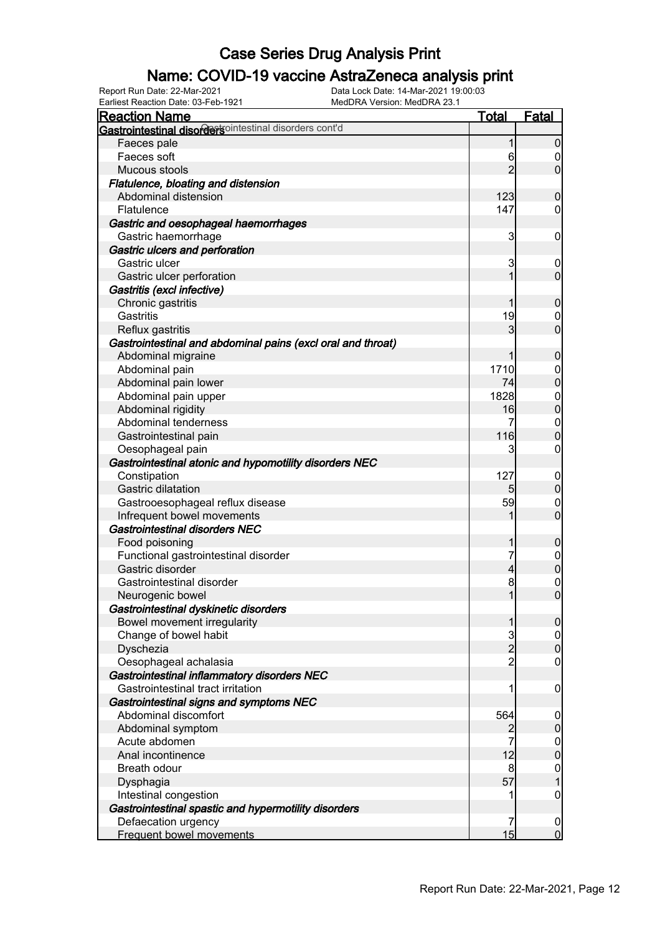### Name: COVID-19 vaccine AstraZeneca analysis print

Earliest Reaction Date: 03-Feb-1921 MedDRA Version: MedDRA 23.1

| Lamest Readubil Date: 00-1 CD-102<br><u>Reaction Name</u>   | <b>Total</b>   | <b>Fatal</b>                       |
|-------------------------------------------------------------|----------------|------------------------------------|
| Gastrointestinal disordersointestinal disorders cont'd      |                |                                    |
| Faeces pale                                                 | 1              | $\mathbf 0$                        |
| Faeces soft                                                 | 6              | $\boldsymbol{0}$                   |
| Mucous stools                                               | $\overline{2}$ | $\overline{0}$                     |
| Flatulence, bloating and distension                         |                |                                    |
| Abdominal distension                                        | 123            | $\boldsymbol{0}$                   |
| Flatulence                                                  | 147            | 0                                  |
| Gastric and oesophageal haemorrhages                        |                |                                    |
| Gastric haemorrhage                                         | 3              | $\mathbf 0$                        |
| Gastric ulcers and perforation                              |                |                                    |
| Gastric ulcer                                               | 3              | $\mathbf 0$                        |
| Gastric ulcer perforation                                   |                | $\mathbf 0$                        |
| Gastritis (excl infective)                                  |                |                                    |
| Chronic gastritis                                           |                | $\boldsymbol{0}$                   |
| Gastritis                                                   | 19             | 0                                  |
| Reflux gastritis                                            | 3              | $\mathbf 0$                        |
| Gastrointestinal and abdominal pains (excl oral and throat) |                |                                    |
| Abdominal migraine                                          |                | $\boldsymbol{0}$                   |
| Abdominal pain                                              | 1710           | $\mathbf 0$                        |
| Abdominal pain lower                                        | 74             | $\mathbf 0$                        |
| Abdominal pain upper                                        | 1828           | $\boldsymbol{0}$                   |
| Abdominal rigidity                                          | 16             | $\mathbf 0$                        |
| Abdominal tenderness                                        | 7              | $\mathbf 0$                        |
| Gastrointestinal pain                                       | 116            | $\mathbf 0$                        |
| Oesophageal pain                                            | 3              | 0                                  |
| Gastrointestinal atonic and hypomotility disorders NEC      |                |                                    |
| Constipation                                                | 127            | $\mathbf 0$                        |
| <b>Gastric dilatation</b>                                   | 5              | $\overline{0}$                     |
| Gastrooesophageal reflux disease                            | 59             | $\overline{0}$                     |
| Infrequent bowel movements                                  |                | $\mathbf 0$                        |
| <b>Gastrointestinal disorders NEC</b>                       |                |                                    |
| Food poisoning                                              |                | $\mathbf 0$                        |
| Functional gastrointestinal disorder                        |                | $\boldsymbol{0}$                   |
| Gastric disorder                                            | 4              | $\mathbf 0$                        |
| Gastrointestinal disorder                                   | 8              | $\mathbf 0$                        |
| Neurogenic bowel                                            | $\mathbf{1}$   | $\overline{0}$                     |
| Gastrointestinal dyskinetic disorders                       |                |                                    |
| Bowel movement irregularity                                 | 1              | 0                                  |
| Change of bowel habit                                       | 3              | $\overline{0}$                     |
| Dyschezia                                                   | $\overline{2}$ | $\boldsymbol{0}$                   |
| Oesophageal achalasia                                       | $\overline{2}$ | 0                                  |
| Gastrointestinal inflammatory disorders NEC                 |                |                                    |
| Gastrointestinal tract irritation                           |                | $\mathbf 0$                        |
| Gastrointestinal signs and symptoms NEC                     |                |                                    |
| Abdominal discomfort                                        | 564            | $\mathbf 0$                        |
| Abdominal symptom                                           |                | $\boldsymbol{0}$                   |
| Acute abdomen                                               |                | $\boldsymbol{0}$<br>$\overline{0}$ |
| Anal incontinence                                           | 12             |                                    |
| <b>Breath odour</b>                                         | 8              | $\mathbf 0$                        |
| Dysphagia                                                   | 57             | $\overline{1}$                     |
| Intestinal congestion                                       |                | 0                                  |
| Gastrointestinal spastic and hypermotility disorders        |                |                                    |
| Defaecation urgency                                         | 7              | $\overline{0}$                     |
| Frequent bowel movements                                    | 15             | $\overline{0}$                     |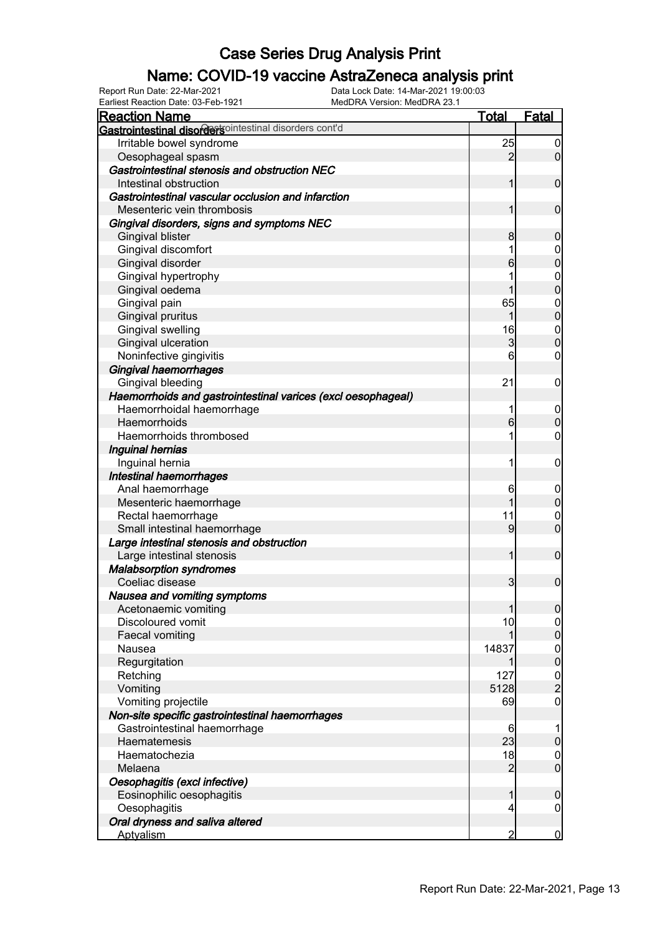### Name: COVID-19 vaccine AstraZeneca analysis print

| <b>Reaction Name</b>                                         | <b>Total</b>   | <b>Fatal</b>        |
|--------------------------------------------------------------|----------------|---------------------|
| Gastrointestinal disordertsointestinal disorders cont'd      |                |                     |
| Irritable bowel syndrome                                     | 25             | $\boldsymbol{0}$    |
| Oesophageal spasm                                            | $\overline{2}$ | $\overline{0}$      |
| Gastrointestinal stenosis and obstruction NEC                |                |                     |
| Intestinal obstruction                                       | 1              | $\mathbf 0$         |
| Gastrointestinal vascular occlusion and infarction           |                |                     |
| Mesenteric vein thrombosis                                   | 1              | $\mathbf 0$         |
| Gingival disorders, signs and symptoms NEC                   |                |                     |
| <b>Gingival blister</b>                                      | 8              | $\mathbf 0$         |
| Gingival discomfort                                          | 1              | $\mathbf 0$         |
| Gingival disorder                                            | 6              | $\overline{0}$      |
| Gingival hypertrophy                                         | 1              |                     |
| Gingival oedema                                              | 1              | $0\atop 0$          |
| Gingival pain                                                | 65             |                     |
| <b>Gingival pruritus</b>                                     | 1              | $0\atop 0$          |
| Gingival swelling                                            | 16             | $\mathbf{0}$        |
| Gingival ulceration                                          | $\mathbf{3}$   | $\overline{0}$      |
| Noninfective gingivitis                                      | 6              | $\mathbf 0$         |
| Gingival haemorrhages                                        |                |                     |
| Gingival bleeding                                            | 21             | $\mathbf 0$         |
| Haemorrhoids and gastrointestinal varices (excl oesophageal) |                |                     |
| Haemorrhoidal haemorrhage                                    | 1              | $\mathbf 0$         |
| Haemorrhoids                                                 | 6              | $\mathbf 0$         |
| Haemorrhoids thrombosed                                      | 1              | $\boldsymbol{0}$    |
| Inguinal hernias                                             |                |                     |
| Inguinal hernia                                              | 1              | $\mathbf 0$         |
| Intestinal haemorrhages                                      |                |                     |
| Anal haemorrhage                                             | 6              | $\mathbf 0$         |
| Mesenteric haemorrhage                                       | 1              | $\pmb{0}$           |
| Rectal haemorrhage                                           | 11             | $\mathbf 0$         |
| Small intestinal haemorrhage                                 | 9              | $\overline{0}$      |
| Large intestinal stenosis and obstruction                    |                |                     |
| Large intestinal stenosis                                    | 1              | $\boldsymbol{0}$    |
| <b>Malabsorption syndromes</b>                               |                |                     |
| Coeliac disease                                              | 3              | $\mathbf 0$         |
| Nausea and vomiting symptoms                                 |                |                     |
| Acetonaemic vomiting                                         | 1              | 0                   |
| Discoloured vomit                                            | 10             | $\overline{0}$      |
| Faecal vomiting                                              |                | $\overline{0}$      |
| Nausea                                                       | 14837          | $\boldsymbol{0}$    |
| Regurgitation                                                |                | $\overline{0}$      |
| Retching                                                     | 127            |                     |
| Vomiting                                                     | 5128           | $\frac{0}{2}$       |
| Vomiting projectile                                          | 69             | $\mathsf{O}\xspace$ |
| Non-site specific gastrointestinal haemorrhages              |                |                     |
| Gastrointestinal haemorrhage                                 | 6              | 1                   |
| Haematemesis                                                 | 23             | $\pmb{0}$           |
| Haematochezia                                                | 18             | $\overline{0}$      |
| Melaena                                                      | $\overline{2}$ | $\overline{0}$      |
| Oesophagitis (excl infective)                                |                |                     |
| Eosinophilic oesophagitis                                    | 1              | $\mathbf 0$         |
| Oesophagitis                                                 | 4              | $\boldsymbol{0}$    |
| Oral dryness and saliva altered                              |                |                     |
| <b>Aptyalism</b>                                             | 2              | $\overline{0}$      |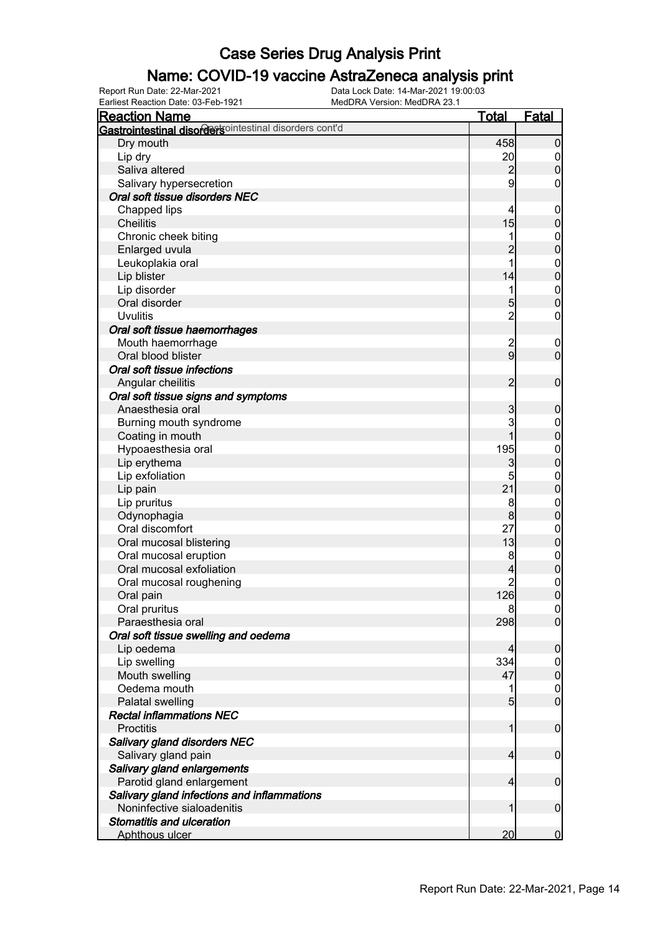### Name: COVID-19 vaccine AstraZeneca analysis print

Earliest Reaction Date: 03-Feb-1921 MedDRA Version: MedDRA 23.1

| <b>Reaction Name</b>                                          | <u>Total</u>    | <b>Fatal</b>                         |
|---------------------------------------------------------------|-----------------|--------------------------------------|
| <b>Gastrointestinal disordersointestinal disorders cont'd</b> |                 |                                      |
| Dry mouth                                                     | 458             | $\mathbf 0$                          |
| Lip dry                                                       | 20              |                                      |
| Saliva altered                                                | $\overline{a}$  | $\begin{matrix} 0 \\ 0 \end{matrix}$ |
| Salivary hypersecretion                                       | 9               | $\mathbf 0$                          |
| Oral soft tissue disorders NEC                                |                 |                                      |
| Chapped lips                                                  | 4               | $\boldsymbol{0}$                     |
| <b>Cheilitis</b>                                              | 15              | $\mathbf 0$                          |
| Chronic cheek biting                                          | 1               |                                      |
| Enlarged uvula                                                | $\overline{2}$  | $0\atop 0$                           |
| Leukoplakia oral                                              | 1               |                                      |
| Lip blister                                                   | 14              | $\begin{matrix}0\\0\end{matrix}$     |
| Lip disorder                                                  | 1               |                                      |
| Oral disorder                                                 | 5               | $\begin{matrix}0\\0\end{matrix}$     |
| <b>Uvulitis</b>                                               | $\overline{2}$  | $\pmb{0}$                            |
| Oral soft tissue haemorrhages                                 |                 |                                      |
| Mouth haemorrhage                                             | $\overline{c}$  |                                      |
| Oral blood blister                                            | $\overline{9}$  | $\boldsymbol{0}$<br>$\mathbf 0$      |
|                                                               |                 |                                      |
| Oral soft tissue infections                                   |                 |                                      |
| Angular cheilitis                                             | $\overline{2}$  | $\boldsymbol{0}$                     |
| Oral soft tissue signs and symptoms                           |                 |                                      |
| Anaesthesia oral                                              | 3               | $\mathbf 0$                          |
| Burning mouth syndrome                                        | 3               | $0\atop 0$                           |
| Coating in mouth                                              | 1               |                                      |
| Hypoaesthesia oral                                            | 195             | $\begin{matrix}0\\0\end{matrix}$     |
| Lip erythema                                                  | 3               |                                      |
| Lip exfoliation                                               | 5               | $\begin{matrix}0\\0\end{matrix}$     |
| Lip pain                                                      | 21              |                                      |
| Lip pruritus                                                  | 8               | $\begin{matrix}0\\0\end{matrix}$     |
| Odynophagia                                                   | 8               |                                      |
| Oral discomfort                                               | 27              | $0$<br>0                             |
| Oral mucosal blistering                                       | 13              |                                      |
| Oral mucosal eruption                                         | 8               | $0\atop 0$                           |
| Oral mucosal exfoliation                                      | 4               |                                      |
| Oral mucosal roughening                                       | 2               | $\begin{matrix}0\\0\end{matrix}$     |
| Oral pain                                                     | 126             |                                      |
| Oral pruritus                                                 | 8               | $\Omega$                             |
| Paraesthesia oral                                             | 298             | $\overline{0}$                       |
| Oral soft tissue swelling and oedema                          |                 |                                      |
| Lip oedema                                                    | 4               | $\mathbf 0$                          |
| Lip swelling                                                  | 334             | $\overline{0}$                       |
| Mouth swelling                                                | 47              | $\mathbf 0$                          |
| Oedema mouth                                                  | 1               | $\mathbf{0}$                         |
| Palatal swelling                                              | $5\overline{)}$ | $\overline{0}$                       |
| <b>Rectal inflammations NEC</b>                               |                 |                                      |
| <b>Proctitis</b>                                              | 1               | $\boldsymbol{0}$                     |
| Salivary gland disorders NEC                                  |                 |                                      |
| Salivary gland pain                                           | $\overline{4}$  | $\boldsymbol{0}$                     |
| Salivary gland enlargements                                   |                 |                                      |
| Parotid gland enlargement                                     | $\overline{4}$  | $\boldsymbol{0}$                     |
| Salivary gland infections and inflammations                   |                 |                                      |
| Noninfective sialoadenitis                                    | 1               | $\boldsymbol{0}$                     |
| <b>Stomatitis and ulceration</b>                              |                 |                                      |
| Aphthous ulcer                                                | 20 <sup>°</sup> | $\overline{0}$                       |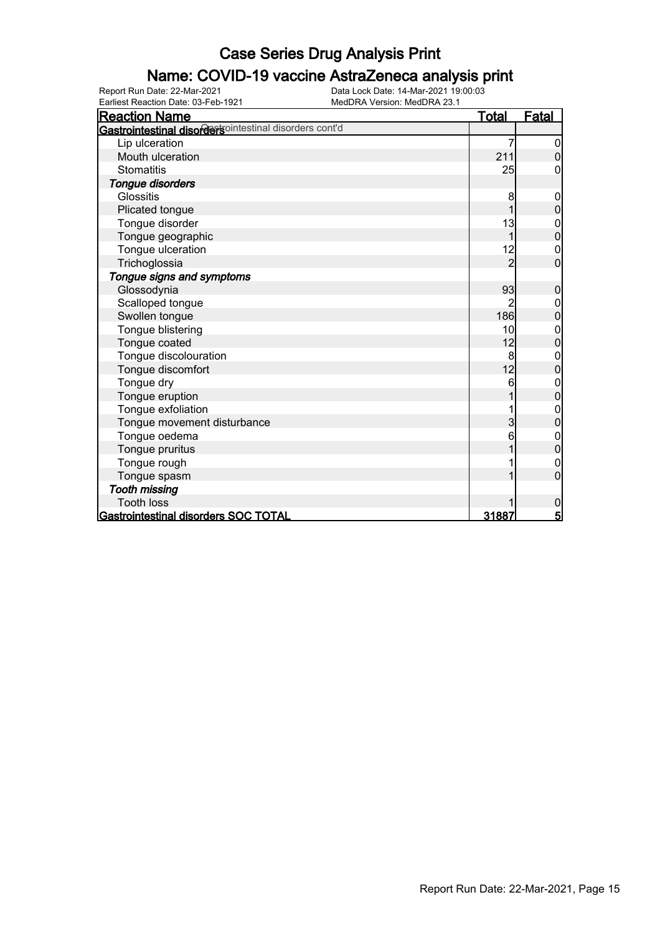#### Name: COVID-19 vaccine AstraZeneca analysis print

| <b>Reaction Name</b>                                   | <u>Total</u>   | <u>Fatal</u>    |
|--------------------------------------------------------|----------------|-----------------|
| Gastrointestinal disordersointestinal disorders cont'd |                |                 |
| Lip ulceration                                         |                | 0               |
| Mouth ulceration                                       | 211            | $\overline{0}$  |
| <b>Stomatitis</b>                                      | 25             | 0               |
| Tongue disorders                                       |                |                 |
| Glossitis                                              | 8              | 0               |
| Plicated tongue                                        |                | 0               |
| Tongue disorder                                        | 13             | $\mathbf 0$     |
| Tongue geographic                                      |                | $\mathbf 0$     |
| Tongue ulceration                                      | 12             | $\mathbf 0$     |
| Trichoglossia                                          | 2              | $\overline{0}$  |
| Tongue signs and symptoms                              |                |                 |
| Glossodynia                                            | 93             | $\mathbf 0$     |
| Scalloped tongue                                       |                | 0               |
| Swollen tongue                                         | 186            | $\mathbf 0$     |
| Tongue blistering                                      | 10             | 0               |
| Tongue coated                                          | 12             | 0               |
| Tongue discolouration                                  | $\bf{8}$       | $\mathbf 0$     |
| Tongue discomfort                                      | 12             | $\overline{0}$  |
| Tongue dry                                             | 6              | $\mathbf{0}$    |
| Tongue eruption                                        |                | $\overline{0}$  |
| Tongue exfoliation                                     |                | $\mathbf{0}$    |
| Tongue movement disturbance                            | $\overline{3}$ | $\mathbf 0$     |
| Tongue oedema                                          | 6              | 0               |
| Tongue pruritus                                        |                | $\mathbf 0$     |
| Tongue rough                                           |                | $\mathbf 0$     |
| Tongue spasm                                           |                | $\mathbf 0$     |
| <b>Tooth missing</b>                                   |                |                 |
| <b>Tooth loss</b>                                      |                | 0               |
| Gastrointestinal disorders SOC TOTAL                   | 31887          | $5\overline{5}$ |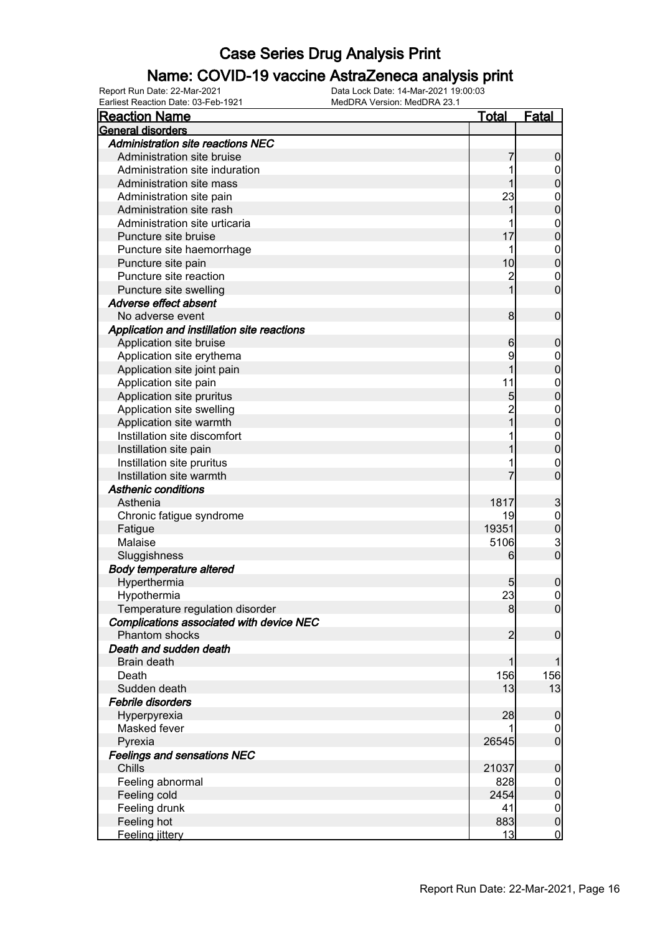### Name: COVID-19 vaccine AstraZeneca analysis print

| <b>Reaction Name</b>                        | <u>Total</u> | <b>Fatal</b>     |
|---------------------------------------------|--------------|------------------|
| General disorders                           |              |                  |
| Administration site reactions NEC           |              |                  |
| Administration site bruise                  |              | 0                |
| Administration site induration              |              | 0                |
| Administration site mass                    |              | 0                |
| Administration site pain                    | 23           | 0                |
| Administration site rash                    |              | 0                |
| Administration site urticaria               |              | $\mathbf{0}$     |
| Puncture site bruise                        | 17           | 0                |
| Puncture site haemorrhage                   | 1            | $\mathbf{0}$     |
| Puncture site pain                          | 10           | 0                |
| Puncture site reaction                      | 2            | $\mathbf{0}$     |
| Puncture site swelling                      |              | 0                |
| Adverse effect absent                       |              |                  |
| No adverse event                            | 8            | $\mathbf 0$      |
| Application and instillation site reactions |              |                  |
| Application site bruise                     | 6            | 0                |
| Application site erythema                   | 9            | $\mathbf 0$      |
| Application site joint pain                 |              | 0                |
| Application site pain                       | 11           | $\mathbf{0}$     |
| Application site pruritus                   | 5            | 0                |
| Application site swelling                   |              | $\mathbf{0}$     |
| Application site warmth                     |              | 0                |
| Instillation site discomfort                |              | $\mathbf{0}$     |
| Instillation site pain                      |              | 0                |
| Instillation site pruritus                  |              | 0                |
| Instillation site warmth                    |              | 0                |
| <b>Asthenic conditions</b>                  |              |                  |
| Asthenia                                    | 1817         | 3                |
| Chronic fatigue syndrome                    | 19           | $\mathbf{0}$     |
| Fatigue                                     | 19351        | $\mathbf{0}$     |
| Malaise                                     | 5106         |                  |
| Sluggishness                                | 6            | $\frac{3}{0}$    |
| <b>Body temperature altered</b>             |              |                  |
| Hyperthermia                                | 5            | 0                |
| Hypothermia                                 | 23           | $\mathbf{0}$     |
| Temperature regulation disorder             | 8            | <sup>o</sup>     |
| Complications associated with device NEC    |              |                  |
| <b>Phantom shocks</b>                       | 2            | $\overline{0}$   |
| Death and sudden death                      |              |                  |
| Brain death                                 |              |                  |
| Death                                       | 156          | 156              |
| Sudden death                                | 13           | 13               |
| <b>Febrile disorders</b>                    |              |                  |
| Hyperpyrexia                                | 28           | 0                |
| Masked fever                                |              | $\boldsymbol{0}$ |
| Pyrexia                                     | 26545        | $\mathbf 0$      |
| <b>Feelings and sensations NEC</b>          |              |                  |
| Chills                                      | 21037        | 0                |
| Feeling abnormal                            | 828          | $\mathbf 0$      |
| Feeling cold                                | 2454         | $\boldsymbol{0}$ |
| Feeling drunk                               | 41           | $\mathbf 0$      |
| Feeling hot                                 | 883          | $\mathbf 0$      |
| Feeling jittery                             | 13           | $\mathbf 0$      |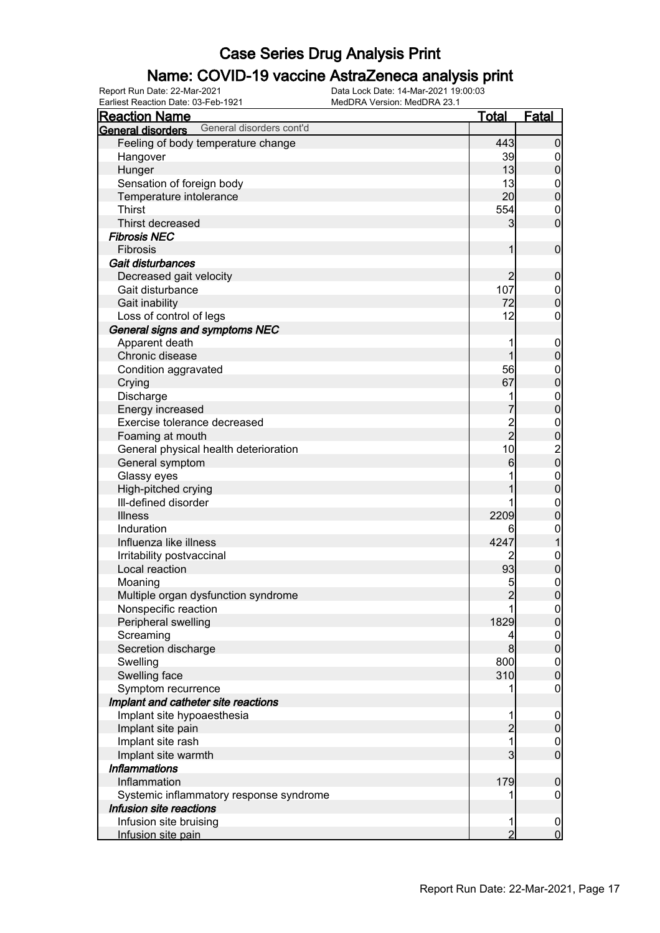### Name: COVID-19 vaccine AstraZeneca analysis print

| <b>Reaction Name</b>                          | <u>Total</u>   | <b>Fatal</b>                               |
|-----------------------------------------------|----------------|--------------------------------------------|
| General disorders cont'd<br>General disorders |                |                                            |
| Feeling of body temperature change            | 443            | $\boldsymbol{0}$                           |
| Hangover                                      | 39             | $\overline{0}$                             |
| Hunger                                        | 13             | $\pmb{0}$                                  |
| Sensation of foreign body                     | 13             | $\overline{0}$                             |
| Temperature intolerance                       | 20             | $\pmb{0}$                                  |
| <b>Thirst</b>                                 | 554            | $\mathbf 0$                                |
| Thirst decreased                              | 3              | $\mathbf 0$                                |
| <b>Fibrosis NEC</b>                           |                |                                            |
| Fibrosis                                      | 1              | $\boldsymbol{0}$                           |
| Gait disturbances                             |                |                                            |
| Decreased gait velocity                       | $\overline{c}$ | $\boldsymbol{0}$                           |
| Gait disturbance                              | 107            | $\mathbf 0$                                |
| Gait inability                                | 72             | $\overline{0}$                             |
| Loss of control of legs                       | 12             | $\mathbf 0$                                |
| General signs and symptoms NEC                |                |                                            |
| Apparent death                                | 1              | $\mathbf 0$                                |
| Chronic disease                               | 1              | $\pmb{0}$                                  |
| Condition aggravated                          | 56             | $\boldsymbol{0}$                           |
| Crying                                        | 67             | $\mathbf 0$                                |
| Discharge                                     |                | $\boldsymbol{0}$                           |
| Energy increased                              |                | $\mathbf 0$                                |
| Exercise tolerance decreased                  |                | $\boldsymbol{0}$                           |
| Foaming at mouth                              | $\frac{2}{2}$  |                                            |
| General physical health deterioration         | 10             | $\begin{array}{c} 0 \\ 2 \\ 0 \end{array}$ |
| General symptom                               | 6              |                                            |
| Glassy eyes                                   |                |                                            |
| High-pitched crying                           |                | $0$<br>0                                   |
| III-defined disorder                          |                | $\mathbf{0}$                               |
| <b>Illness</b>                                | 2209           | $\mathbf 0$                                |
| Induration                                    | 6              | $\mathbf{0}$                               |
| Influenza like illness                        | 4247           | $\mathbf{1}$                               |
| Irritability postvaccinal                     | 2              | $\boldsymbol{0}$                           |
| Local reaction                                | 93             | $\mathbf 0$                                |
| Moaning                                       | 5              | $\boldsymbol{0}$                           |
| Multiple organ dysfunction syndrome           | $\overline{2}$ | $\overline{0}$                             |
| Nonspecific reaction                          |                | $\overline{0}$                             |
| Peripheral swelling                           | 1829           | $\overline{0}$                             |
| Screaming                                     | 4              | $\boldsymbol{0}$                           |
| Secretion discharge                           | 8              | $\mathbf 0$                                |
| Swelling                                      | 800            | $\boldsymbol{0}$                           |
| Swelling face                                 | 310            | $\overline{0}$                             |
| Symptom recurrence                            |                | $\mathbf 0$                                |
| Implant and catheter site reactions           |                |                                            |
| Implant site hypoaesthesia                    | 1              | $\mathbf 0$                                |
| Implant site pain                             | $\overline{c}$ | $\pmb{0}$                                  |
| Implant site rash                             | 1              | $\boldsymbol{0}$                           |
| Implant site warmth                           | 3              | $\overline{0}$                             |
| <b>Inflammations</b>                          |                |                                            |
| Inflammation                                  | 179            | $\boldsymbol{0}$                           |
| Systemic inflammatory response syndrome       |                | $\boldsymbol{0}$                           |
| Infusion site reactions                       |                |                                            |
| Infusion site bruising                        | 1              | $\mathbf 0$                                |
| Infusion site pain                            | $\overline{2}$ | $\overline{0}$                             |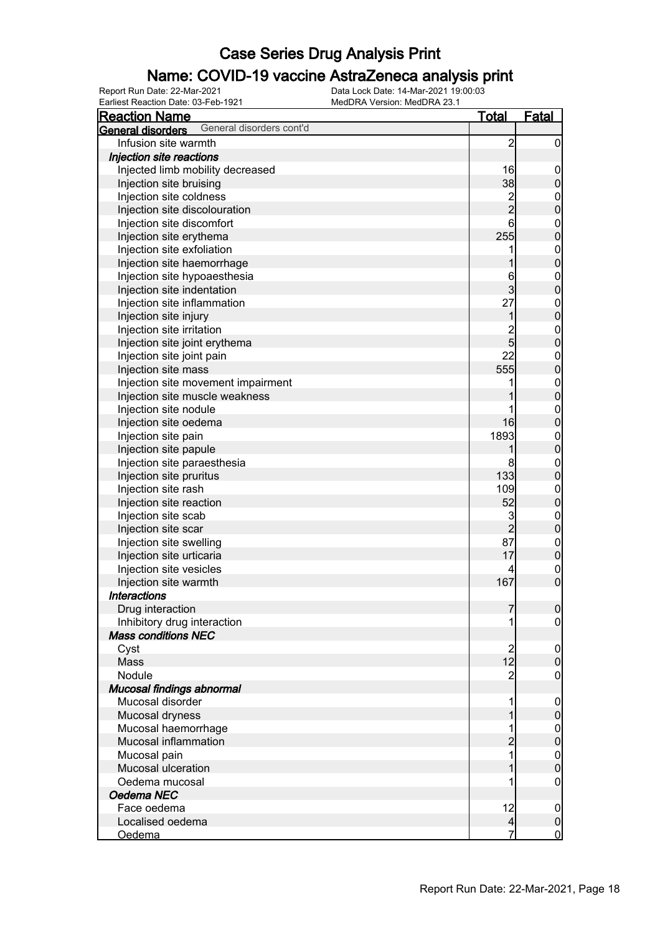### Name: COVID-19 vaccine AstraZeneca analysis print

| <b>Reaction Name</b>                          | <u>Total</u>   | <u>Fatal</u>                     |
|-----------------------------------------------|----------------|----------------------------------|
| General disorders cont'd<br>General disorders |                |                                  |
| Infusion site warmth                          | $\overline{2}$ | $\overline{0}$                   |
| Injection site reactions                      |                |                                  |
| Injected limb mobility decreased              | 16             | $\boldsymbol{0}$                 |
| Injection site bruising                       | 38             | $\pmb{0}$                        |
| Injection site coldness                       |                |                                  |
| Injection site discolouration                 | $\frac{2}{2}$  | $0\atop 0$                       |
| Injection site discomfort                     | 6              |                                  |
| Injection site erythema                       | 255            | $0\atop 0$                       |
| Injection site exfoliation                    | 1              |                                  |
| Injection site haemorrhage                    | 1              | $0\atop 0$                       |
| Injection site hypoaesthesia                  | 6              |                                  |
| Injection site indentation                    | 3              | $\begin{matrix}0\\0\end{matrix}$ |
| Injection site inflammation                   | 27             |                                  |
| Injection site injury                         | 1              | $\begin{matrix}0\\0\end{matrix}$ |
| Injection site irritation                     |                |                                  |
| Injection site joint erythema                 | $\frac{2}{5}$  | $\begin{matrix}0\\0\end{matrix}$ |
| Injection site joint pain                     | 22             |                                  |
| Injection site mass                           | 555            | $\begin{matrix}0\\0\end{matrix}$ |
| Injection site movement impairment            |                |                                  |
| Injection site muscle weakness                |                | $0\atop 0$                       |
| Injection site nodule                         |                |                                  |
| Injection site oedema                         | 16             | $\begin{matrix}0\\0\end{matrix}$ |
|                                               | 1893           |                                  |
| Injection site pain                           |                | $0\atop 0$                       |
| Injection site papule                         |                |                                  |
| Injection site paraesthesia                   | 8              | $\mathbf{0}$                     |
| Injection site pruritus                       | 133            | $\overline{0}$                   |
| Injection site rash                           | 109            | $\mathbf{0}$                     |
| Injection site reaction                       | 52             | $\overline{0}$                   |
| Injection site scab                           | 3              | $0\atop 0$                       |
| Injection site scar                           | $\overline{2}$ |                                  |
| Injection site swelling                       | 87             | $\mathbf{0}$                     |
| Injection site urticaria                      | 17             | $\overline{0}$                   |
| Injection site vesicles                       |                | $\boldsymbol{0}$                 |
| Injection site warmth                         | 167            | $\overline{0}$                   |
| <b>Interactions</b>                           |                |                                  |
| Drug interaction                              | 7              | 0                                |
| Inhibitory drug interaction                   |                | $\overline{0}$                   |
| <b>Mass conditions NEC</b>                    |                |                                  |
| Cyst                                          | $\overline{c}$ | $\mathbf 0$                      |
| Mass                                          | 12             | $\boldsymbol{0}$                 |
| Nodule                                        | $\overline{c}$ | $\mathbf 0$                      |
| Mucosal findings abnormal                     |                |                                  |
| Mucosal disorder                              | 1              | $\mathbf 0$                      |
| Mucosal dryness                               |                | $\pmb{0}$                        |
| Mucosal haemorrhage                           |                | $\boldsymbol{0}$                 |
| Mucosal inflammation                          | $\overline{c}$ | $\pmb{0}$                        |
| Mucosal pain                                  | 1              | $\boldsymbol{0}$                 |
| Mucosal ulceration                            | 1              | $\mathbf 0$                      |
| Oedema mucosal                                |                | $\mathbf 0$                      |
| Oedema NEC                                    |                |                                  |
| Face oedema                                   | 12             | $\mathbf 0$                      |
| Localised oedema                              | $\overline{4}$ | $\pmb{0}$                        |
| Oedema                                        |                | $\overline{0}$                   |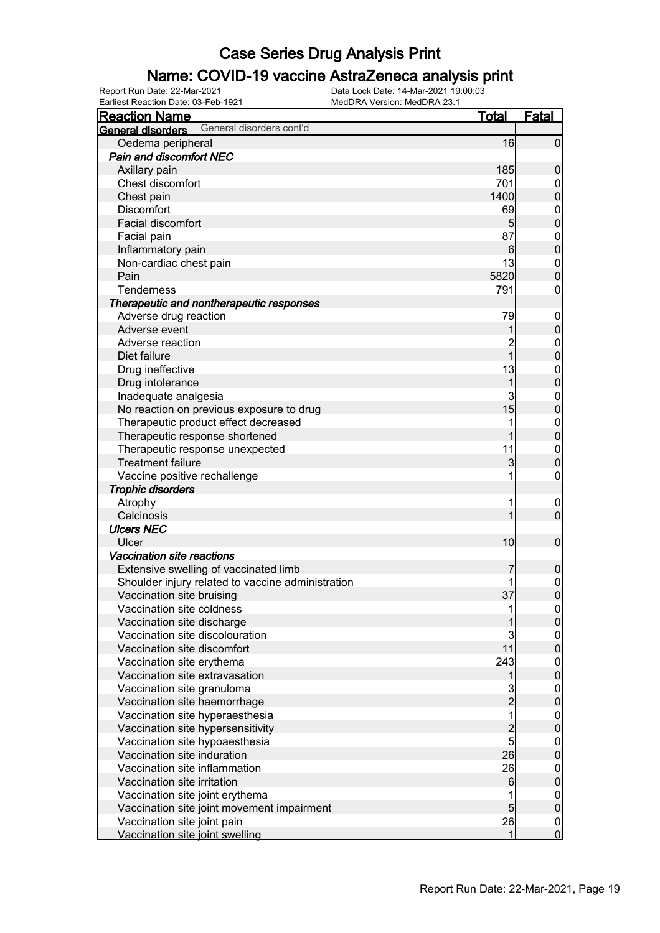### Name: COVID-19 vaccine AstraZeneca analysis print

Earliest Reaction Date: 03-Feb-1921 MedDRA Version: MedDRA 23.1

| General disorders cont'd<br>General disorders     |                 |                                      |
|---------------------------------------------------|-----------------|--------------------------------------|
|                                                   |                 |                                      |
| Oedema peripheral                                 | 16              | $\overline{0}$                       |
| <b>Pain and discomfort NEC</b>                    |                 |                                      |
| Axillary pain                                     | 185             | $\mathbf 0$                          |
| Chest discomfort                                  | 701             | $\boldsymbol{0}$                     |
| Chest pain                                        | 1400            | $\overline{0}$                       |
| <b>Discomfort</b>                                 | 69              |                                      |
| Facial discomfort                                 | 5 <sub>5</sub>  | $0$<br>0                             |
| Facial pain                                       | 87              |                                      |
| Inflammatory pain                                 | $6 \mid$        | $0\atop 0$                           |
| Non-cardiac chest pain                            | 13              | $\boldsymbol{0}$                     |
| Pain                                              | 5820            | $\overline{0}$                       |
| Tenderness                                        | 791             | $\pmb{0}$                            |
| Therapeutic and nontherapeutic responses          |                 |                                      |
| Adverse drug reaction                             | 79              | $\boldsymbol{0}$                     |
| Adverse event                                     | 1               | $\mathbf 0$                          |
| Adverse reaction                                  | $\overline{2}$  |                                      |
| Diet failure                                      | $\overline{1}$  | $0\atop 0$                           |
|                                                   | 13              |                                      |
| Drug ineffective                                  |                 | $0\atop 0$                           |
| Drug intolerance                                  | 1               |                                      |
| Inadequate analgesia                              | 3               | $0\atop 0$                           |
| No reaction on previous exposure to drug          | 15              |                                      |
| Therapeutic product effect decreased              | 1               | $0\atop 0$                           |
| Therapeutic response shortened                    | 1               |                                      |
| Therapeutic response unexpected                   | 11              | $\begin{matrix}0\\0\end{matrix}$     |
| <b>Treatment failure</b>                          | 3               |                                      |
| Vaccine positive rechallenge                      | 1               | $\boldsymbol{0}$                     |
| <b>Trophic disorders</b>                          |                 |                                      |
| Atrophy                                           | 1               | $\mathbf 0$                          |
| Calcinosis                                        | 1               | $\overline{0}$                       |
| <b>Ulcers NEC</b>                                 |                 |                                      |
| Ulcer                                             | 10 <sub>l</sub> | $\boldsymbol{0}$                     |
| Vaccination site reactions                        |                 |                                      |
| Extensive swelling of vaccinated limb             |                 | $\mathbf 0$                          |
| Shoulder injury related to vaccine administration |                 | $\begin{matrix} 0 \\ 0 \end{matrix}$ |
| Vaccination site bruising                         | 37              |                                      |
| Vaccination site coldness                         | 11              | $\Omega$                             |
| Vaccination site discharge                        | 1               | $\overline{0}$                       |
| Vaccination site discolouration                   | 3               | $\boldsymbol{0}$                     |
| Vaccination site discomfort                       | 11              | $\overline{0}$                       |
| Vaccination site erythema                         | 243             | $\boldsymbol{0}$                     |
| Vaccination site extravasation                    | 1               | $\mathbf 0$                          |
| Vaccination site granuloma                        | 3               | $\boldsymbol{0}$                     |
| Vaccination site haemorrhage                      | $\overline{c}$  | $\mathbf 0$                          |
| Vaccination site hyperaesthesia                   | $\overline{1}$  | $\boldsymbol{0}$                     |
| Vaccination site hypersensitivity                 |                 | $\mathbf 0$                          |
| Vaccination site hypoaesthesia                    | $\frac{2}{5}$   | $\boldsymbol{0}$                     |
| Vaccination site induration                       | 26              | $\overline{0}$                       |
| Vaccination site inflammation                     | 26              | $\boldsymbol{0}$                     |
| Vaccination site irritation                       | 6               | $\mathbf 0$                          |
| Vaccination site joint erythema                   |                 | $\boldsymbol{0}$                     |
| Vaccination site joint movement impairment        | $\overline{5}$  | $\mathbf 0$                          |
| Vaccination site joint pain                       | 26              | $\boldsymbol{0}$                     |
| Vaccination site joint swelling                   | 1               | $\overline{0}$                       |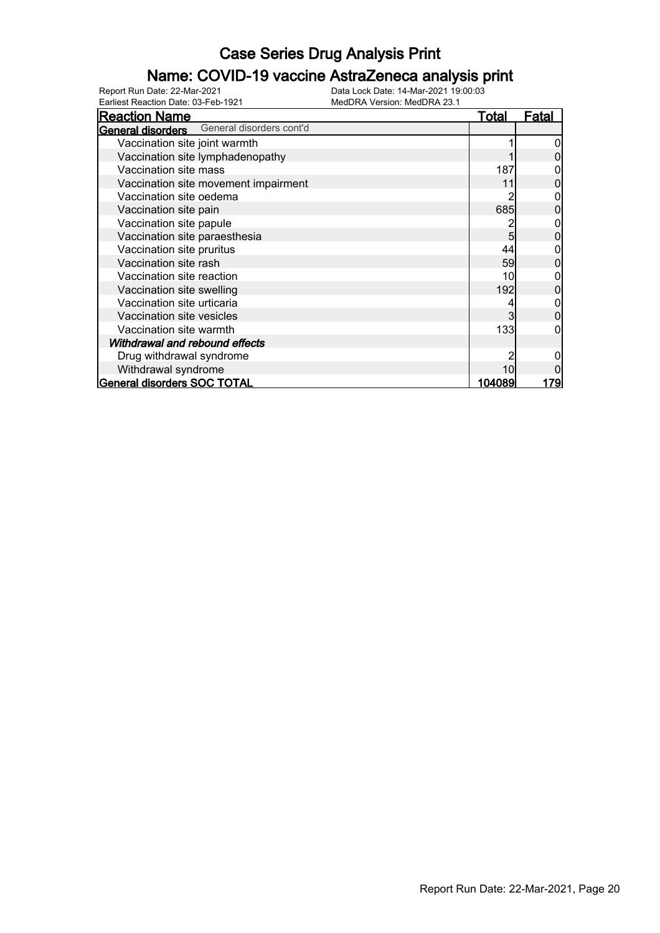### Name: COVID-19 vaccine AstraZeneca analysis print

Earliest Reaction Date: 03-Feb-1921 MedDRA Version: MedDRA 23.1

| <b>Reaction Name</b>                              | Total  | <u>Fatal</u> |
|---------------------------------------------------|--------|--------------|
| <b>General disorders</b> General disorders cont'd |        |              |
| Vaccination site joint warmth                     |        |              |
| Vaccination site lymphadenopathy                  |        |              |
| Vaccination site mass                             | 187    |              |
| Vaccination site movement impairment              | 11     |              |
| Vaccination site oedema                           |        |              |
| Vaccination site pain                             | 685    |              |
| Vaccination site papule                           |        |              |
| Vaccination site paraesthesia                     | 5      |              |
| Vaccination site pruritus                         | 44     |              |
| Vaccination site rash                             | 59     |              |
| Vaccination site reaction                         | 10     |              |
| Vaccination site swelling                         | 192    |              |
| Vaccination site urticaria                        |        |              |
| Vaccination site vesicles                         | 3      |              |
| Vaccination site warmth                           | 133    |              |
| Withdrawal and rebound effects                    |        |              |
| Drug withdrawal syndrome                          |        |              |
| Withdrawal syndrome                               | 10     |              |
| General disorders SOC TOTAL                       | 104089 | 1791         |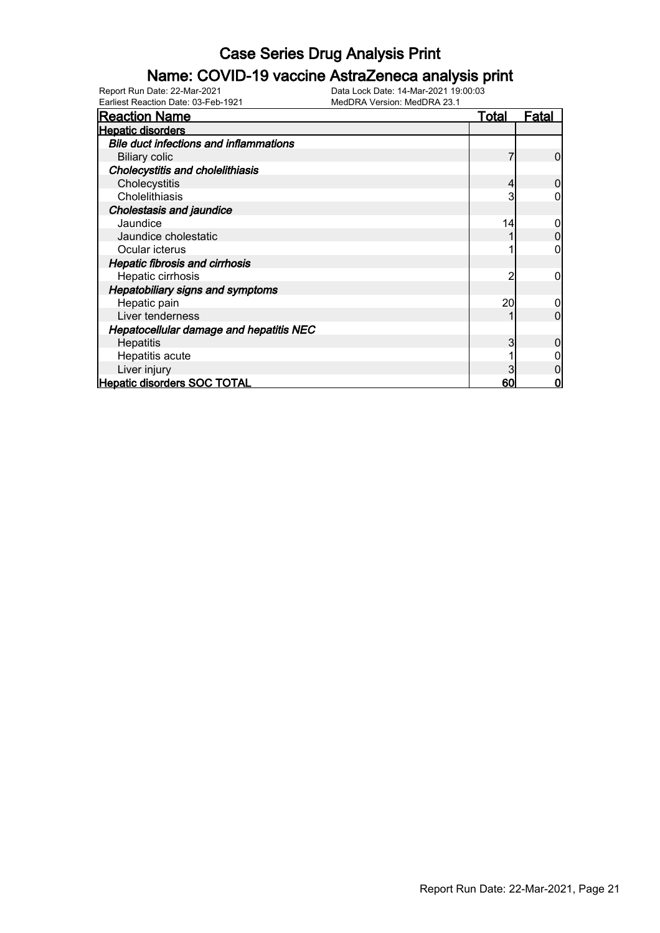### Name: COVID-19 vaccine AstraZeneca analysis print

| <b>Reaction Name</b>                           | <b>Total</b> | Fatal |
|------------------------------------------------|--------------|-------|
| <b>Hepatic disorders</b>                       |              |       |
| <b>Bile duct infections and inflammations</b>  |              |       |
| <b>Biliary colic</b>                           |              | 0     |
| <b>Cholecystitis and cholelithiasis</b>        |              |       |
| Cholecystitis                                  |              |       |
| Cholelithiasis                                 | 3            |       |
| Cholestasis and jaundice                       |              |       |
| Jaundice                                       | 14           |       |
| Jaundice cholestatic                           |              |       |
| Ocular icterus                                 |              |       |
| <b>Hepatic fibrosis and cirrhosis</b>          |              |       |
| Hepatic cirrhosis                              | າ            |       |
| Hepatobiliary signs and symptoms               |              |       |
| Hepatic pain                                   | 20           |       |
| Liver tenderness                               |              | ი     |
| <b>Hepatocellular damage and hepatitis NEC</b> |              |       |
| Hepatitis                                      |              |       |
| Hepatitis acute                                |              |       |
| Liver injury                                   |              |       |
| <b>Hepatic disorders SOC TOTAL</b>             | 60           |       |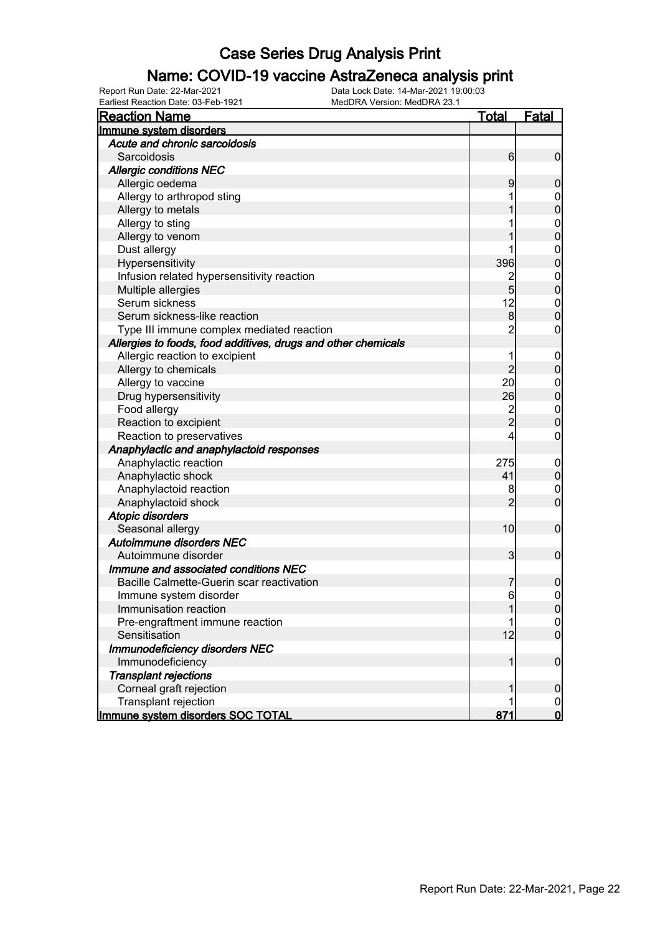### Name: COVID-19 vaccine AstraZeneca analysis print

| <b>Reaction Name</b>                                          | <b>Total</b>   | Fatal                      |
|---------------------------------------------------------------|----------------|----------------------------|
| Immune system disorders                                       |                |                            |
| Acute and chronic sarcoidosis                                 |                |                            |
| Sarcoidosis                                                   | 6              | $\overline{0}$             |
| <b>Allergic conditions NEC</b>                                |                |                            |
| Allergic oedema                                               | 9              | $\mathbf 0$                |
| Allergy to arthropod sting                                    |                | $\mathbf 0$                |
| Allergy to metals                                             |                | $\mathbf 0$                |
| Allergy to sting                                              |                | $\mathbf 0$                |
| Allergy to venom                                              |                | $\overline{0}$             |
| Dust allergy                                                  |                | $\mathbf 0$                |
| Hypersensitivity                                              | 396            | $\mathbf 0$                |
| Infusion related hypersensitivity reaction                    |                | $\mathbf 0$                |
| Multiple allergies                                            | $\overline{5}$ | $\overline{0}$             |
| Serum sickness                                                | 12             | $\mathbf 0$                |
| Serum sickness-like reaction                                  | 8              | $\mathbf 0$                |
| Type III immune complex mediated reaction                     | 2              | 0                          |
| Allergies to foods, food additives, drugs and other chemicals |                |                            |
| Allergic reaction to excipient                                |                | $\mathbf 0$                |
| Allergy to chemicals                                          | $\overline{2}$ | $\boldsymbol{0}$           |
| Allergy to vaccine                                            | 20             | $\mathbf 0$                |
| Drug hypersensitivity                                         | 26             | $\mathbf 0$                |
| Food allergy                                                  |                | $\boldsymbol{0}$           |
| Reaction to excipient                                         | $\frac{2}{2}$  | $\mathbf 0$                |
| Reaction to preservatives                                     | 4              | 0                          |
| Anaphylactic and anaphylactoid responses                      |                |                            |
| Anaphylactic reaction                                         | 275            |                            |
| Anaphylactic shock                                            | 41             | $\mathbf 0$<br>$\mathbf 0$ |
| Anaphylactoid reaction                                        | 8              | $\mathbf 0$                |
| Anaphylactoid shock                                           | $\overline{2}$ | $\mathbf 0$                |
| <b>Atopic disorders</b>                                       |                |                            |
|                                                               | 10             | $\mathbf 0$                |
| Seasonal allergy<br>Autoimmune disorders NEC                  |                |                            |
| Autoimmune disorder                                           | 3              | $\mathbf 0$                |
| Immune and associated conditions NEC                          |                |                            |
| Bacille Calmette-Guerin scar reactivation                     |                |                            |
|                                                               |                | $\boldsymbol{0}$           |
| Immune system disorder<br>Immunisation reaction               | 6              | $\mathbf 0$                |
|                                                               |                | 0                          |
| Pre-engraftment immune reaction<br>Sensitisation              |                | $\overline{0}$             |
|                                                               | 12             | $\overline{0}$             |
| Immunodeficiency disorders NEC                                |                |                            |
| Immunodeficiency                                              | 1              | $\boldsymbol{0}$           |
| <b>Transplant rejections</b>                                  |                |                            |
| Corneal graft rejection                                       |                | $\mathbf 0$                |
| Transplant rejection                                          |                | $\overline{0}$             |
| Immune system disorders SOC TOTAL                             | 871            | $\mathbf 0$                |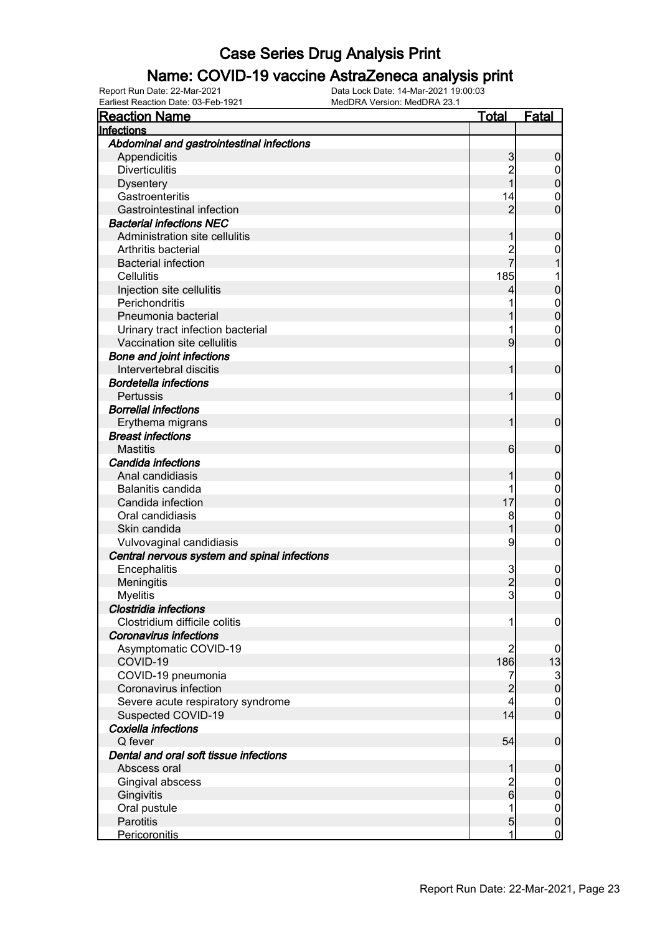#### Name: COVID-19 vaccine AstraZeneca analysis print

Earliest Reaction Date: 03-Feb-1921 MedDRA Version: MedDRA 23.1

| <b>Reaction Name</b>                         | Total          | <b>Fatal</b>   |
|----------------------------------------------|----------------|----------------|
| Infections                                   |                |                |
| Abdominal and gastrointestinal infections    |                |                |
| Appendicitis                                 | 3              | 0              |
| <b>Diverticulitis</b>                        |                | 0              |
| <b>Dysentery</b>                             |                | 0              |
| Gastroenteritis                              | 14             | 0              |
| Gastrointestinal infection                   | 2              | 0              |
| <b>Bacterial infections NEC</b>              |                |                |
| Administration site cellulitis               |                | 0              |
| Arthritis bacterial                          |                | 0              |
| <b>Bacterial infection</b>                   |                |                |
| Cellulitis                                   | 185            |                |
| Injection site cellulitis                    | 4              | 0              |
| Perichondritis                               |                | $\mathbf 0$    |
| Pneumonia bacterial                          |                | 0              |
| Urinary tract infection bacterial            |                | 0              |
| Vaccination site cellulitis                  | 9              | 0              |
| <b>Bone and joint infections</b>             |                |                |
| Intervertebral discitis                      |                | 0              |
| <b>Bordetella infections</b>                 |                |                |
| Pertussis                                    |                | 0              |
| <b>Borrelial infections</b>                  |                |                |
| Erythema migrans                             |                | 0              |
| <b>Breast infections</b>                     |                |                |
| <b>Mastitis</b>                              | 6              | 0              |
| Candida infections                           |                |                |
| Anal candidiasis                             |                | 0              |
| Balanitis candida                            |                | 0              |
| Candida infection                            | 17             | 0              |
| Oral candidiasis                             | 8              | 0              |
| Skin candida                                 |                | 0              |
| Vulvovaginal candidiasis                     | 9              | 0              |
| Central nervous system and spinal infections |                |                |
| Encephalitis                                 | 3              | 0              |
| Meningitis                                   | $\overline{2}$ | 0              |
| <b>Myelitis</b>                              | 3              | 0              |
| <b>Clostridia infections</b>                 |                |                |
| Clostridium difficile colitis                | 1              | 0              |
| <b>Coronavirus infections</b>                |                |                |
| Asymptomatic COVID-19                        |                | 0              |
| COVID-19                                     | 186            | 13             |
| COVID-19 pneumonia                           | 7              |                |
| Coronavirus infection                        |                | $\frac{3}{0}$  |
| Severe acute respiratory syndrome            | 4              | $\mathbf 0$    |
| Suspected COVID-19                           | 14             | $\overline{0}$ |
| Coxiella infections                          |                |                |
| Q fever                                      | 54             | $\mathbf 0$    |
| Dental and oral soft tissue infections       |                |                |
| Abscess oral                                 |                | 0              |
| Gingival abscess                             | 2              | 0              |
| Gingivitis                                   | 6              | 0              |
| Oral pustule                                 |                | $\mathbf{0}$   |
| Parotitis                                    | 5              | 0              |
| <b>Pericoronitis</b>                         | 1              | $\mathbf 0$    |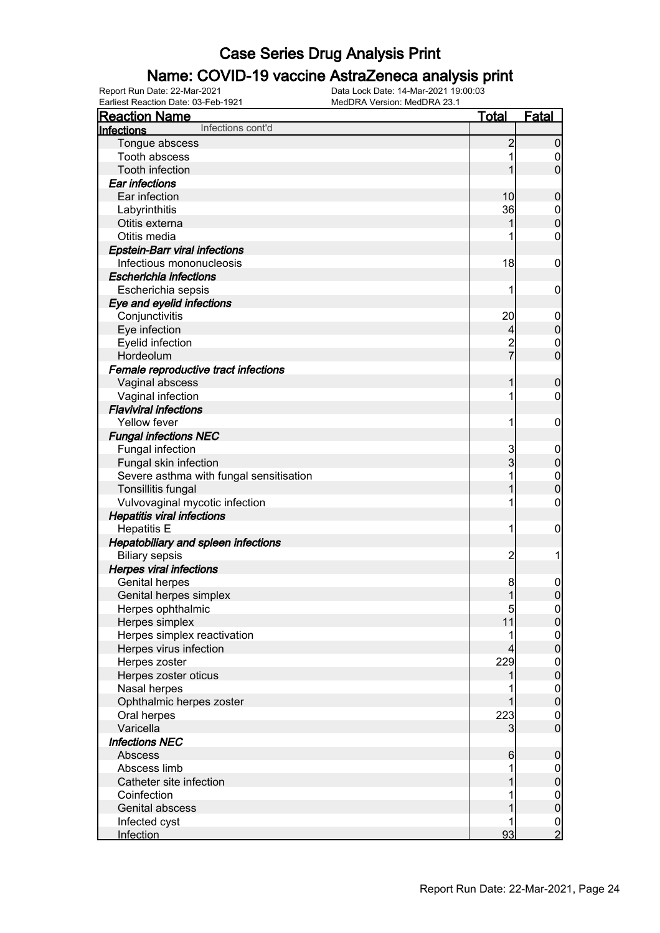#### Name: COVID-19 vaccine AstraZeneca analysis print

| <b>Reaction Name</b>                    | <b>Total</b>   | <b>Fatal</b>                       |
|-----------------------------------------|----------------|------------------------------------|
| Infections cont'd<br>Infections         |                |                                    |
| Tongue abscess                          | $\overline{c}$ | $\boldsymbol{0}$                   |
| Tooth abscess                           |                | 0                                  |
| <b>Tooth infection</b>                  |                | $\mathbf 0$                        |
| Ear infections                          |                |                                    |
| Ear infection                           | 10             | $\boldsymbol{0}$                   |
| Labyrinthitis                           | 36             | $\mathbf 0$                        |
| Otitis externa                          |                | $\mathbf 0$                        |
| Otitis media                            |                | 0                                  |
| <b>Epstein-Barr viral infections</b>    |                |                                    |
| Infectious mononucleosis                | 18             | $\mathbf 0$                        |
| <b>Escherichia infections</b>           |                |                                    |
| Escherichia sepsis                      | 1              | 0                                  |
| Eye and eyelid infections               |                |                                    |
| Conjunctivitis                          | 20             | $\mathbf 0$                        |
| Eye infection                           | 4              | $\pmb{0}$                          |
| Eyelid infection                        |                | $\mathbf 0$                        |
| Hordeolum                               | 2<br>7         | $\mathbf 0$                        |
| Female reproductive tract infections    |                |                                    |
| Vaginal abscess                         |                | $\boldsymbol{0}$                   |
| Vaginal infection                       |                | 0                                  |
| <b>Flaviviral infections</b>            |                |                                    |
| <b>Yellow fever</b>                     | 1              | $\mathbf 0$                        |
| <b>Fungal infections NEC</b>            |                |                                    |
| Fungal infection                        | 3              | $\mathbf 0$                        |
| Fungal skin infection                   | 3              | $\pmb{0}$                          |
| Severe asthma with fungal sensitisation |                | $\mathbf 0$                        |
| Tonsillitis fungal                      |                | $\mathbf 0$                        |
| Vulvovaginal mycotic infection          |                | 0                                  |
| <b>Hepatitis viral infections</b>       |                |                                    |
| <b>Hepatitis E</b>                      | 1              | $\mathbf 0$                        |
| Hepatobiliary and spleen infections     |                |                                    |
| <b>Biliary sepsis</b>                   | $\overline{c}$ | 1                                  |
| <b>Herpes viral infections</b>          |                |                                    |
| <b>Genital herpes</b>                   |                | $\mathbf 0$                        |
| Genital herpes simplex                  | 8<br>1         | $\mathbf 0$                        |
|                                         | $\overline{5}$ |                                    |
| Herpes ophthalmic<br>Herpes simplex     | 11             | 0 <br>$\overline{0}$               |
| Herpes simplex reactivation             |                |                                    |
| Herpes virus infection                  | 4              | $\boldsymbol{0}$<br>$\mathbf 0$    |
| Herpes zoster                           | 229            |                                    |
| Herpes zoster oticus                    |                | $\boldsymbol{0}$<br>$\mathbf 0$    |
| Nasal herpes                            |                |                                    |
| Ophthalmic herpes zoster                |                | $\boldsymbol{0}$<br>$\mathbf 0$    |
|                                         |                |                                    |
| Oral herpes<br>Varicella                | 223            | $\boldsymbol{0}$<br>$\overline{0}$ |
| <b>Infections NEC</b>                   | 3              |                                    |
|                                         |                |                                    |
| Abscess<br>Abscess limb                 | 6              | $\mathbf 0$                        |
| Catheter site infection                 |                | $\mathbf 0$                        |
|                                         |                | $\pmb{0}$                          |
| Coinfection                             |                | $\overline{0}$                     |
| Genital abscess                         |                | $\pmb{0}$                          |
| Infected cyst                           |                | $\frac{0}{2}$                      |
| Infection                               | 93             |                                    |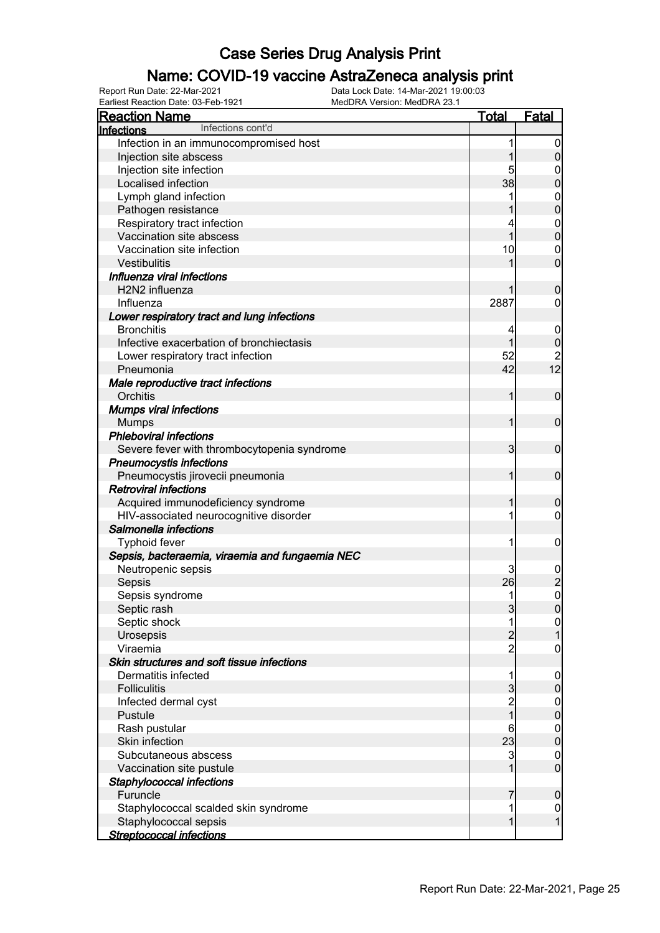### Name: COVID-19 vaccine AstraZeneca analysis print

Earliest Reaction Date: 03-Feb-1921 MedDRA Version: MedDRA 23.1

| <b>Reaction Name</b>                            | <b>Total</b>   | <b>Fatal</b>                           |
|-------------------------------------------------|----------------|----------------------------------------|
| Infections cont'd<br>Infections                 |                |                                        |
| Infection in an immunocompromised host          | 1              | $\boldsymbol{0}$                       |
| Injection site abscess                          | 1              | $\boldsymbol{0}$                       |
| Injection site infection                        | 5              | $\boldsymbol{0}$                       |
| Localised infection                             | 38             | $\overline{0}$                         |
| Lymph gland infection                           | 1              | $\mathbf{0}$                           |
| Pathogen resistance                             |                | $\overline{0}$                         |
| Respiratory tract infection                     |                | $\mathbf{0}$                           |
| Vaccination site abscess                        | 1              | $\overline{0}$                         |
| Vaccination site infection                      | 10             | $\mathbf 0$                            |
| Vestibulitis                                    | 1              | $\overline{0}$                         |
| Influenza viral infections                      |                |                                        |
| H2N2 influenza                                  |                | $\mathbf 0$                            |
| Influenza                                       | 2887           | $\mathbf 0$                            |
| Lower respiratory tract and lung infections     |                |                                        |
| <b>Bronchitis</b>                               | 4              | $\mathbf 0$                            |
| Infective exacerbation of bronchiectasis        | 1              | $\boldsymbol{0}$                       |
| Lower respiratory tract infection               | 52             |                                        |
| Pneumonia                                       | 42             | $\begin{array}{c} 2 \\ 12 \end{array}$ |
| Male reproductive tract infections              |                |                                        |
| Orchitis                                        | 1              | $\mathbf 0$                            |
| <b>Mumps viral infections</b>                   |                |                                        |
| <b>Mumps</b>                                    | 1              | $\mathbf 0$                            |
| <b>Phleboviral infections</b>                   |                |                                        |
| Severe fever with thrombocytopenia syndrome     | 3              | $\mathbf 0$                            |
| <b>Pneumocystis infections</b>                  |                |                                        |
| Pneumocystis jirovecii pneumonia                | 1              | $\mathbf 0$                            |
| <b>Retroviral infections</b>                    |                |                                        |
| Acquired immunodeficiency syndrome              | 1              | $\mathbf 0$                            |
| HIV-associated neurocognitive disorder          | 1              | $\mathbf 0$                            |
| Salmonella infections                           |                |                                        |
| <b>Typhoid fever</b>                            | 1              | $\mathbf 0$                            |
| Sepsis, bacteraemia, viraemia and fungaemia NEC |                |                                        |
| Neutropenic sepsis                              | 3              |                                        |
| Sepsis                                          | 26             | $\begin{matrix}0\\2\\0\end{matrix}$    |
| Sepsis syndrome                                 | 1              |                                        |
| Septic rash                                     | 3              | $\overline{0}$                         |
| Septic shock                                    | 1              | $\overline{0}$                         |
| Urosepsis                                       | $\overline{c}$ | 1                                      |
| Viraemia                                        | $\overline{2}$ | $\mathbf 0$                            |
| Skin structures and soft tissue infections      |                |                                        |
| Dermatitis infected                             | 1              | $\mathbf 0$                            |
| <b>Folliculitis</b>                             | 3              | $\pmb{0}$                              |
| Infected dermal cyst                            | $\frac{2}{1}$  | $\boldsymbol{0}$                       |
| Pustule                                         |                | $\pmb{0}$                              |
| Rash pustular                                   | 6              | $\boldsymbol{0}$                       |
| Skin infection                                  | 23             | $\mathbf 0$                            |
| Subcutaneous abscess                            | 3              | $\mathbf 0$                            |
| Vaccination site pustule                        | 1              | $\boldsymbol{0}$                       |
| Staphylococcal infections                       |                |                                        |
| Furuncle                                        | 7              | $\mathbf 0$                            |
| Staphylococcal scalded skin syndrome            | 1              | $\boldsymbol{0}$                       |
| Staphylococcal sepsis                           | 1              | $\mathbf{1}$                           |
| <b>Streptococcal infections</b>                 |                |                                        |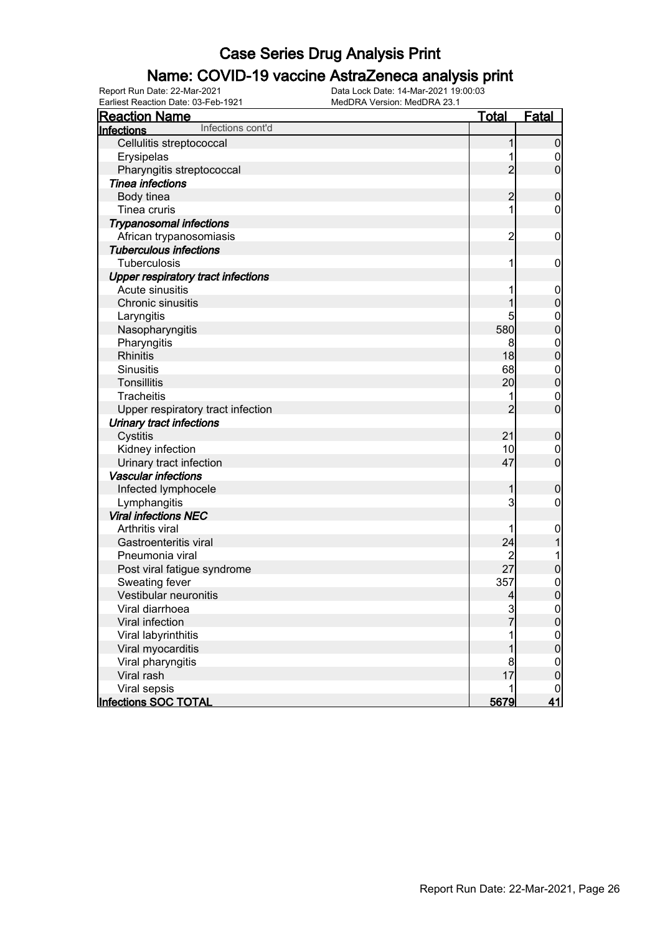#### Name: COVID-19 vaccine AstraZeneca analysis print

| <b>Reaction Name</b>                      | <b>Total</b>   | <b>Fatal</b>     |
|-------------------------------------------|----------------|------------------|
| Infections cont'd<br>Infections           |                |                  |
| Cellulitis streptococcal                  | 1              | $\mathbf 0$      |
| Erysipelas                                |                | $\boldsymbol{0}$ |
| Pharyngitis streptococcal                 | $\overline{2}$ | $\mathbf 0$      |
| <b>Tinea infections</b>                   |                |                  |
| Body tinea                                | $\overline{2}$ | $\mathbf 0$      |
| Tinea cruris                              | 1              | $\mathbf 0$      |
| <b>Trypanosomal infections</b>            |                |                  |
| African trypanosomiasis                   | $\overline{c}$ | $\mathbf 0$      |
| <b>Tuberculous infections</b>             |                |                  |
| Tuberculosis                              | 1              | $\mathbf 0$      |
| <b>Upper respiratory tract infections</b> |                |                  |
| Acute sinusitis                           |                | $\mathbf 0$      |
| Chronic sinusitis                         | 1              | $\mathbf 0$      |
| Laryngitis                                | 5              | $\boldsymbol{0}$ |
| Nasopharyngitis                           | 580            | $\mathbf 0$      |
| Pharyngitis                               | 8              | $\mathbf 0$      |
| <b>Rhinitis</b>                           | 18             | $\mathbf 0$      |
| <b>Sinusitis</b>                          | 68             | $\mathbf 0$      |
| <b>Tonsillitis</b>                        | 20             | $\mathbf 0$      |
| <b>Tracheitis</b>                         |                | $\mathbf 0$      |
| Upper respiratory tract infection         | $\overline{2}$ | $\mathbf 0$      |
| <b>Urinary tract infections</b>           |                |                  |
| Cystitis                                  | 21             | $\mathbf 0$      |
| Kidney infection                          | 10             | $\mathbf 0$      |
| Urinary tract infection                   | 47             | $\mathbf 0$      |
| <b>Vascular infections</b>                |                |                  |
| Infected lymphocele                       | 1              | $\mathbf 0$      |
| Lymphangitis                              | 3              | $\boldsymbol{0}$ |
| <b>Viral infections NEC</b>               |                |                  |
| Arthritis viral                           |                | $\mathbf 0$      |
| Gastroenteritis viral                     | 24             | 1                |
| Pneumonia viral                           | 2              | 1                |
| Post viral fatigue syndrome               | 27             | $\pmb{0}$        |
| Sweating fever                            | 357            | $\mathbf{0}$     |
| Vestibular neuronitis                     | $\overline{4}$ | $\overline{0}$   |
| Viral diarrhoea                           | $rac{3}{7}$    |                  |
| Viral infection                           |                | $\frac{0}{0}$    |
| Viral labyrinthitis                       |                |                  |
| Viral myocarditis                         |                | $0\atop 0$       |
| Viral pharyngitis                         | 8              | $\mathbf 0$      |
| Viral rash                                | 17             | $\overline{0}$   |
| Viral sepsis                              | 1              | $\mathbf 0$      |
| Infections SOC TOTAL                      | 5679           | 41               |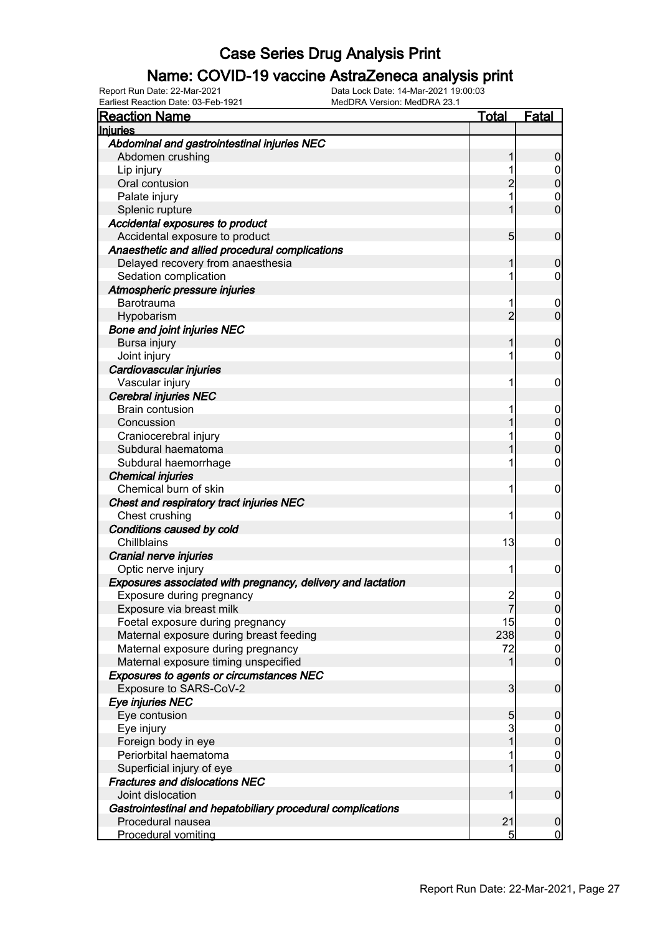### Name: COVID-19 vaccine AstraZeneca analysis print

Earliest Reaction Date: 03-Feb-1921 MedDRA Version: MedDRA 23.1

| <b>Reaction Name</b>                                                          | <u>Total</u>    | <u>Fatal</u>                     |
|-------------------------------------------------------------------------------|-----------------|----------------------------------|
| <b>Injuries</b>                                                               |                 |                                  |
| Abdominal and gastrointestinal injuries NEC                                   |                 |                                  |
| Abdomen crushing                                                              |                 | $\boldsymbol{0}$                 |
| Lip injury                                                                    |                 | $\overline{0}$                   |
| Oral contusion                                                                | $\overline{2}$  | $\overline{0}$                   |
| Palate injury                                                                 |                 | $\boldsymbol{0}$                 |
| Splenic rupture                                                               |                 | $\overline{0}$                   |
| Accidental exposures to product                                               |                 |                                  |
| Accidental exposure to product                                                | $5\overline{)}$ | $\mathbf 0$                      |
| Anaesthetic and allied procedural complications                               |                 |                                  |
| Delayed recovery from anaesthesia                                             |                 | $\mathbf 0$                      |
| Sedation complication                                                         |                 | 0                                |
| Atmospheric pressure injuries                                                 |                 |                                  |
| Barotrauma                                                                    |                 | $\boldsymbol{0}$                 |
| Hypobarism                                                                    | $\overline{2}$  | $\mathbf 0$                      |
| <b>Bone and joint injuries NEC</b>                                            |                 |                                  |
| Bursa injury                                                                  |                 | $\mathbf 0$                      |
| Joint injury                                                                  |                 | 0                                |
| Cardiovascular injuries                                                       |                 |                                  |
| Vascular injury                                                               |                 | 0                                |
| <b>Cerebral injuries NEC</b>                                                  |                 |                                  |
| <b>Brain contusion</b>                                                        |                 | $\mathbf 0$                      |
| Concussion                                                                    |                 | $\overline{0}$                   |
| Craniocerebral injury                                                         |                 | $\mathbf{0}$                     |
| Subdural haematoma                                                            |                 | $\overline{0}$                   |
| Subdural haemorrhage                                                          |                 | 0                                |
| <b>Chemical injuries</b>                                                      |                 |                                  |
| Chemical burn of skin                                                         |                 | $\mathbf 0$                      |
| Chest and respiratory tract injuries NEC                                      |                 |                                  |
| Chest crushing                                                                |                 | 0                                |
| Conditions caused by cold                                                     |                 |                                  |
| Chillblains                                                                   | 13              | 0                                |
| Cranial nerve injuries                                                        |                 |                                  |
| Optic nerve injury                                                            | 1               | 0                                |
| Exposures associated with pregnancy, delivery and lactation                   |                 |                                  |
| Exposure during pregnancy                                                     | $\frac{2}{7}$   | $\mathbf 0$                      |
| Exposure via breast milk                                                      |                 |                                  |
| Foetal exposure during pregnancy                                              | 15<br>238       | $\overline{0}$<br>$\overline{0}$ |
| Maternal exposure during breast feeding<br>Maternal exposure during pregnancy | 72              | 0                                |
| Maternal exposure timing unspecified                                          |                 | $\overline{0}$                   |
| Exposures to agents or circumstances NEC                                      |                 |                                  |
| Exposure to SARS-CoV-2                                                        | 3               | $\overline{0}$                   |
| Eye injuries NEC                                                              |                 |                                  |
| Eye contusion                                                                 | 5               | $\overline{0}$                   |
| Eye injury                                                                    | 3               | $\mathbf 0$                      |
| Foreign body in eye                                                           |                 | $\mathbf{0}$                     |
| Periorbital haematoma                                                         |                 | $\mathbf 0$                      |
| Superficial injury of eye                                                     |                 | $\mathbf 0$                      |
| <b>Fractures and dislocations NEC</b>                                         |                 |                                  |
| Joint dislocation                                                             |                 | $\overline{0}$                   |
| Gastrointestinal and hepatobiliary procedural complications                   |                 |                                  |
| Procedural nausea                                                             | 21              | $\boldsymbol{0}$                 |
| <b>Procedural vomiting</b>                                                    | 5               | $\mathbf 0$                      |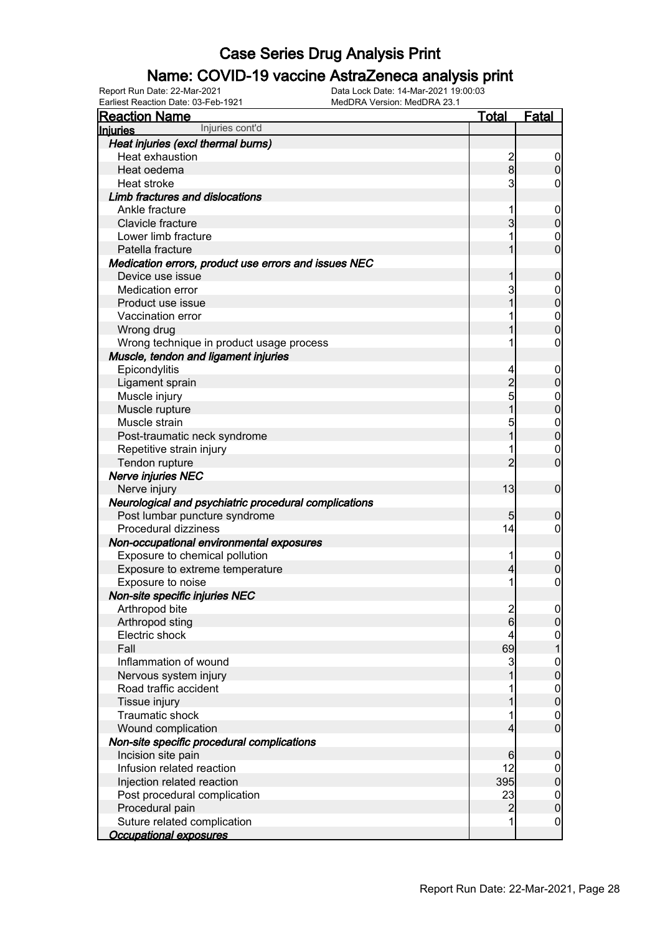### Name: COVID-19 vaccine AstraZeneca analysis print

Earliest Reaction Date: 03-Feb-1921 MedDRA Version: MedDRA 23.1

| <b>Reaction Name</b>                                  | Total            | <b>Fatal</b>      |
|-------------------------------------------------------|------------------|-------------------|
| Injuries cont'd<br>Injuries                           |                  |                   |
| Heat injuries (excl thermal burns)                    |                  |                   |
| Heat exhaustion                                       |                  | 0                 |
| Heat oedema                                           | $\frac{2}{8}$    | 0                 |
| Heat stroke                                           | 3                | 0                 |
| <b>Limb fractures and dislocations</b>                |                  |                   |
| Ankle fracture                                        | 1                | $\mathbf 0$       |
| Clavicle fracture                                     | 3                | 0                 |
| Lower limb fracture                                   |                  | 0                 |
| Patella fracture                                      |                  | 0                 |
| Medication errors, product use errors and issues NEC  |                  |                   |
| Device use issue                                      |                  | 0                 |
| Medication error                                      | 3                | $\mathbf 0$       |
| Product use issue                                     |                  | 0                 |
| Vaccination error                                     |                  | $\mathbf{0}$      |
| Wrong drug                                            |                  | 0                 |
| Wrong technique in product usage process              |                  | 0                 |
| Muscle, tendon and ligament injuries                  |                  |                   |
| Epicondylitis                                         | 4                | $\mathbf 0$       |
| Ligament sprain                                       | $\overline{c}$   | 0                 |
| Muscle injury                                         | 5                | $\mathbf 0$       |
| Muscle rupture                                        |                  | 0                 |
| Muscle strain                                         |                  |                   |
|                                                       | 5                | $\mathbf{0}$<br>0 |
| Post-traumatic neck syndrome                          |                  |                   |
| Repetitive strain injury                              | 2                | $\mathbf 0$       |
| Tendon rupture                                        |                  | 0                 |
| Nerve injuries NEC                                    |                  |                   |
| Nerve injury                                          | 13               | $\mathbf 0$       |
| Neurological and psychiatric procedural complications |                  |                   |
| Post lumbar puncture syndrome                         | 5                | 0                 |
| Procedural dizziness                                  | 14               | 0                 |
| Non-occupational environmental exposures              |                  |                   |
| Exposure to chemical pollution                        | 1                | $\mathbf 0$       |
| Exposure to extreme temperature                       | 4                | 0                 |
| Exposure to noise                                     | 1                | 0                 |
| Non-site specific injuries NEC                        |                  |                   |
| Arthropod bite                                        | $\mathbf{z}$     | $\boldsymbol{0}$  |
| Arthropod sting                                       | $6 \overline{6}$ | $\overline{0}$    |
| Electric shock                                        |                  | $\mathbf 0$       |
| Fall                                                  | 69               |                   |
| Inflammation of wound                                 | 3                | $\boldsymbol{0}$  |
| Nervous system injury                                 |                  | $\overline{0}$    |
| Road traffic accident                                 |                  | $\boldsymbol{0}$  |
| Tissue injury                                         |                  | 0                 |
| <b>Traumatic shock</b>                                |                  | $\mathbf 0$       |
| Wound complication                                    | 4                | $\overline{0}$    |
| Non-site specific procedural complications            |                  |                   |
| Incision site pain                                    | 6                | 0                 |
| Infusion related reaction                             | 12               | $\mathbf 0$       |
| Injection related reaction                            | 395              | $\mathbf 0$       |
| Post procedural complication                          | 23               | $\mathbf 0$       |
| Procedural pain                                       | $\overline{2}$   | 0                 |
| Suture related complication                           | 1                | $\boldsymbol{0}$  |
| <b>Occupational exposures</b>                         |                  |                   |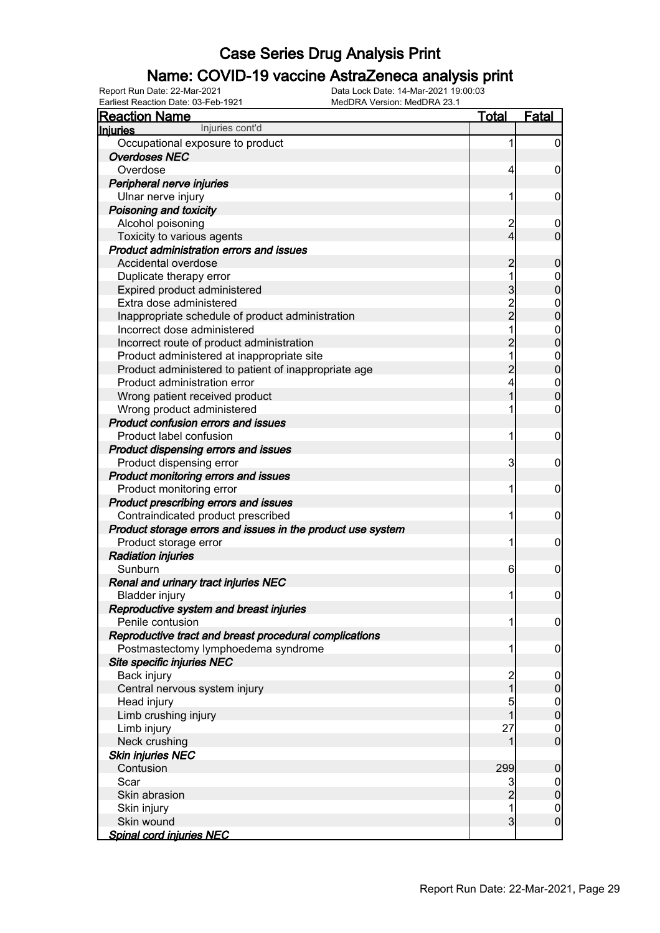### Name: COVID-19 vaccine AstraZeneca analysis print

| <b>Reaction Name</b>                                        | <b>Total</b>   | <b>Fatal</b>     |
|-------------------------------------------------------------|----------------|------------------|
| Injuries cont'd<br><b>Injuries</b>                          |                |                  |
| Occupational exposure to product                            | 1              | $\boldsymbol{0}$ |
| <b>Overdoses NEC</b>                                        |                |                  |
| Overdose                                                    | 4              | 0                |
| Peripheral nerve injuries                                   |                |                  |
| Ulnar nerve injury                                          | 1              | 0                |
| Poisoning and toxicity                                      |                |                  |
| Alcohol poisoning                                           | $\overline{c}$ | $\boldsymbol{0}$ |
| Toxicity to various agents                                  | 4              | $\mathbf 0$      |
| <b>Product administration errors and issues</b>             |                |                  |
| Accidental overdose                                         | $\overline{c}$ | $\mathbf 0$      |
| Duplicate therapy error                                     | 1              | 0                |
| Expired product administered                                | 3              | $\mathbf 0$      |
| Extra dose administered                                     |                | $\mathbf 0$      |
| Inappropriate schedule of product administration            | $\frac{2}{2}$  | $\mathbf 0$      |
| Incorrect dose administered                                 | 1              | $\mathbf 0$      |
| Incorrect route of product administration                   | $\overline{2}$ | $\mathbf 0$      |
| Product administered at inappropriate site                  | 1              | $\mathbf 0$      |
| Product administered to patient of inappropriate age        | $\overline{c}$ | $\mathbf 0$      |
| Product administration error                                | 4              | $\boldsymbol{0}$ |
| Wrong patient received product                              |                | $\mathbf 0$      |
| Wrong product administered                                  |                | $\mathbf 0$      |
| Product confusion errors and issues                         |                |                  |
| Product label confusion                                     | 1              | $\mathbf 0$      |
| Product dispensing errors and issues                        |                |                  |
| Product dispensing error                                    | 3              | $\mathbf 0$      |
| Product monitoring errors and issues                        |                |                  |
| Product monitoring error                                    | 1              | $\mathbf 0$      |
| Product prescribing errors and issues                       |                |                  |
| Contraindicated product prescribed                          | 1              | $\mathbf 0$      |
| Product storage errors and issues in the product use system |                |                  |
| Product storage error                                       | 1              | $\mathbf 0$      |
| <b>Radiation injuries</b>                                   |                |                  |
| Sunburn                                                     | 6              | 0                |
| Renal and urinary tract injuries NEC                        |                |                  |
| <b>Bladder injury</b>                                       | 11             | $\mathbf 0$      |
| Reproductive system and breast injuries                     |                |                  |
| Penile contusion                                            | 1              | $\overline{0}$   |
| Reproductive tract and breast procedural complications      |                |                  |
| Postmastectomy lymphoedema syndrome                         | 1              | $\mathbf 0$      |
| Site specific injuries NEC                                  |                |                  |
| Back injury                                                 |                | $\mathbf 0$      |
| Central nervous system injury                               | 2<br>1         | $\pmb{0}$        |
| Head injury                                                 | 5              | $\overline{0}$   |
| Limb crushing injury                                        | 1              | $\overline{0}$   |
| Limb injury                                                 | 27             | $\overline{0}$   |
| Neck crushing                                               |                | $\overline{0}$   |
| <b>Skin injuries NEC</b>                                    |                |                  |
| Contusion                                                   | 299            | $\mathbf 0$      |
| Scar                                                        | 3              | $\overline{0}$   |
| Skin abrasion                                               | $\overline{c}$ | $\pmb{0}$        |
| Skin injury                                                 | 1              | $\overline{0}$   |
| Skin wound                                                  | $\overline{3}$ | $\mathbf 0$      |
| Spinal cord injuries NEC                                    |                |                  |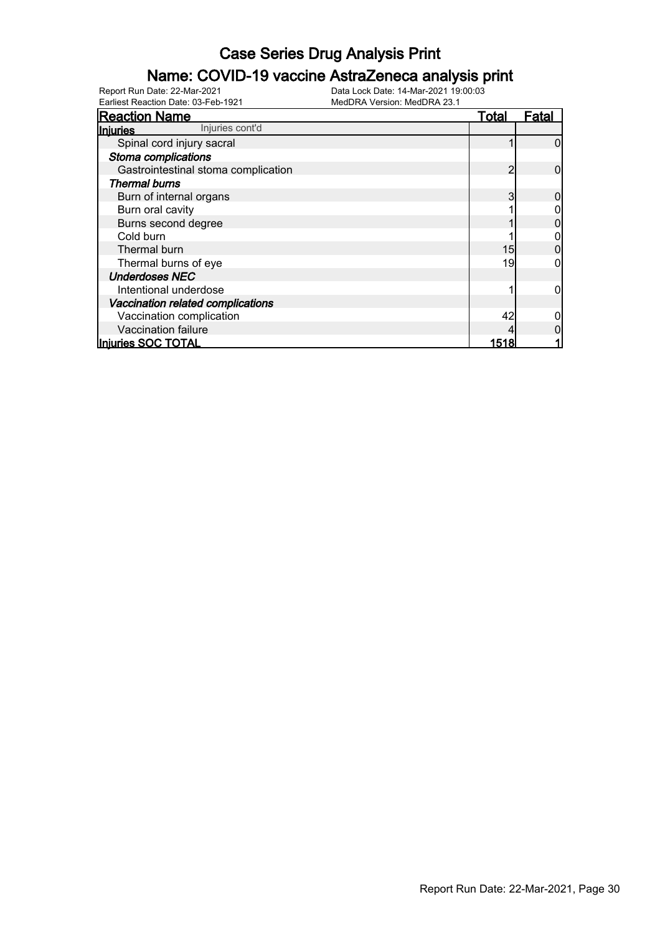### Name: COVID-19 vaccine AstraZeneca analysis print

Earliest Reaction Date: 03-Feb-1921 MedDRA Version: MedDRA 23.1

| <b>Reaction Name</b>                | Total | <u>Fatal</u> |
|-------------------------------------|-------|--------------|
| Injuries cont'd<br>Injuries         |       |              |
| Spinal cord injury sacral           |       |              |
| Stoma complications                 |       |              |
| Gastrointestinal stoma complication | 2     |              |
| <b>Thermal burns</b>                |       |              |
| Burn of internal organs             | 3     |              |
| Burn oral cavity                    |       |              |
| Burns second degree                 |       |              |
| Cold burn                           |       |              |
| Thermal burn                        | 15    |              |
| Thermal burns of eye                | 19    |              |
| <b>Underdoses NEC</b>               |       |              |
| Intentional underdose               |       |              |
| Vaccination related complications   |       |              |
| Vaccination complication            | 42    |              |
| Vaccination failure                 |       |              |
| Injuries SOC TOTAL                  | 1518  |              |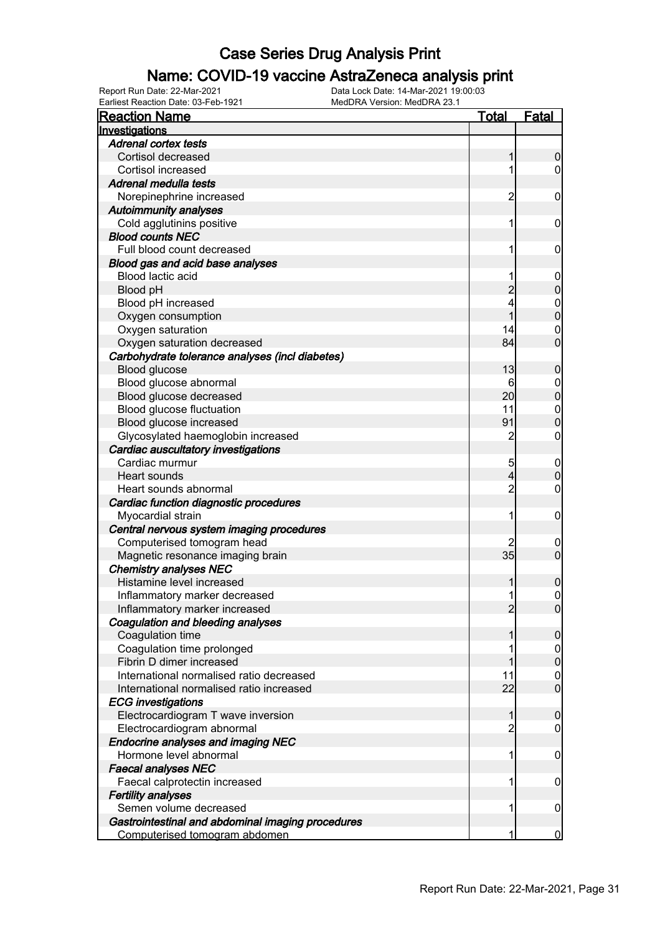### Name: COVID-19 vaccine AstraZeneca analysis print

| <b>Reaction Name</b>                                                  | <u>Total</u>   | <b>Fatal</b>        |
|-----------------------------------------------------------------------|----------------|---------------------|
| Investigations                                                        |                |                     |
| <b>Adrenal cortex tests</b>                                           |                |                     |
| Cortisol decreased                                                    |                | 0                   |
| Cortisol increased                                                    | 1              | 0                   |
| Adrenal medulla tests                                                 |                |                     |
| Norepinephrine increased                                              | $\overline{c}$ | 0                   |
| <b>Autoimmunity analyses</b>                                          |                |                     |
| Cold agglutinins positive                                             | 1              | $\mathbf 0$         |
| <b>Blood counts NEC</b>                                               |                |                     |
| Full blood count decreased                                            | 1              | 0                   |
| Blood gas and acid base analyses                                      |                |                     |
| Blood lactic acid                                                     | 1              | $\overline{0}$      |
| Blood pH                                                              |                | 0                   |
| Blood pH increased                                                    | 4              | $\mathbf{0}$        |
| Oxygen consumption                                                    |                | 0                   |
| Oxygen saturation                                                     | 14             | $\mathbf{0}$        |
| Oxygen saturation decreased                                           | 84             | $\overline{0}$      |
| Carbohydrate tolerance analyses (incl diabetes)                       |                |                     |
| Blood glucose                                                         | 13             | 0                   |
| Blood glucose abnormal                                                | 6              | $\mathbf 0$         |
| Blood glucose decreased                                               | 20             | $\mathbf{0}$        |
| Blood glucose fluctuation                                             | 11             | $\mathbf 0$         |
| Blood glucose increased                                               | 91             | $\overline{0}$      |
| Glycosylated haemoglobin increased                                    | $\overline{c}$ | 0                   |
| Cardiac auscultatory investigations                                   |                |                     |
| Cardiac murmur                                                        | 5              | $\mathbf 0$         |
| Heart sounds                                                          | 4              | 0                   |
| Heart sounds abnormal                                                 | $\overline{c}$ | 0                   |
| Cardiac function diagnostic procedures                                |                |                     |
| Myocardial strain                                                     | 1              | $\mathbf 0$         |
| Central nervous system imaging procedures                             |                |                     |
| Computerised tomogram head                                            |                | $\boldsymbol{0}$    |
| Magnetic resonance imaging brain                                      | 35             | $\overline{0}$      |
| <b>Chemistry analyses NEC</b>                                         |                |                     |
| Histamine level increased                                             |                | 0                   |
| Inflammatory marker decreased                                         | 1              | $\mathbf{0}$        |
| Inflammatory marker increased                                         | 2              | <sup>o</sup>        |
| Coagulation and bleeding analyses                                     |                |                     |
| Coagulation time                                                      |                | 0                   |
| Coagulation time prolonged<br>Fibrin D dimer increased                |                | $\mathbf 0$         |
| International normalised ratio decreased                              |                | $\mathbf 0$         |
|                                                                       | 11<br>22       | 0<br>$\overline{0}$ |
| International normalised ratio increased<br><b>ECG</b> investigations |                |                     |
| Electrocardiogram T wave inversion                                    |                | 0                   |
| Electrocardiogram abnormal                                            | 2              | 0                   |
| <b>Endocrine analyses and imaging NEC</b>                             |                |                     |
| Hormone level abnormal                                                | 1              | 0                   |
| <b>Faecal analyses NEC</b>                                            |                |                     |
| Faecal calprotectin increased                                         | 1              | 0                   |
| <b>Fertility analyses</b>                                             |                |                     |
| Semen volume decreased                                                | 1              | $\boldsymbol{0}$    |
| Gastrointestinal and abdominal imaging procedures                     |                |                     |
| Computerised tomogram abdomen                                         | 1              | $\bf{0}$            |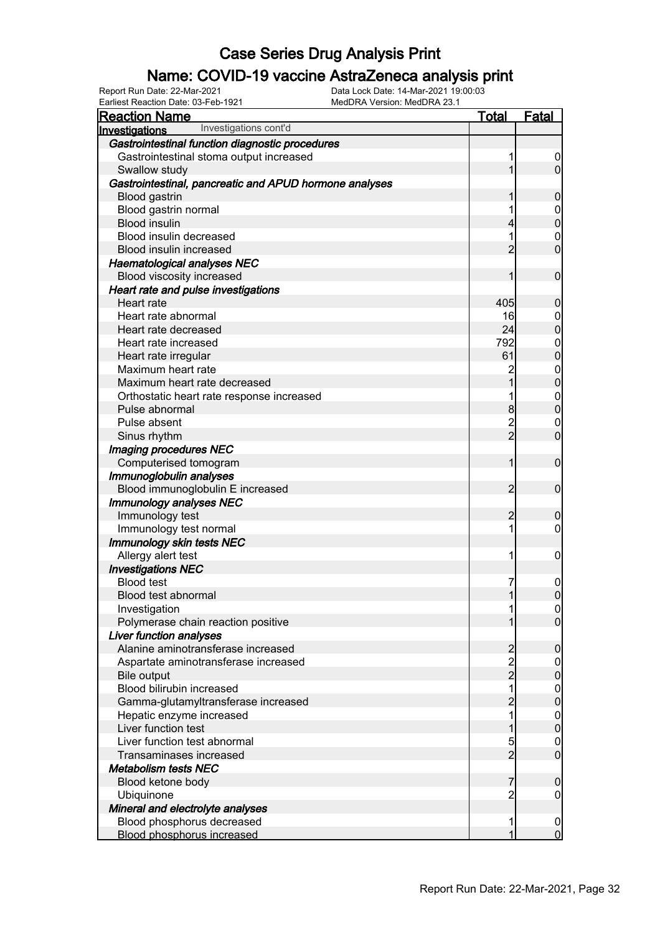### Name: COVID-19 vaccine AstraZeneca analysis print

Earliest Reaction Date: 03-Feb-1921 MedDRA Version: MedDRA 23.1

| <b>Reaction Name</b>                                       | <u>Total</u>        | <b>Fatal</b>                   |
|------------------------------------------------------------|---------------------|--------------------------------|
| Investigations cont'd<br>Investigations                    |                     |                                |
| Gastrointestinal function diagnostic procedures            |                     |                                |
| Gastrointestinal stoma output increased                    | 1                   | $\mathbf 0$                    |
| Swallow study                                              |                     | $\overline{0}$                 |
| Gastrointestinal, pancreatic and APUD hormone analyses     |                     |                                |
| <b>Blood gastrin</b>                                       |                     | 0                              |
| Blood gastrin normal                                       |                     | $\boldsymbol{0}$               |
| <b>Blood insulin</b>                                       |                     | $\mathbf{0}$                   |
| Blood insulin decreased                                    |                     | $\mathbf 0$                    |
| Blood insulin increased                                    | 2                   | $\overline{0}$                 |
| <b>Haematological analyses NEC</b>                         |                     |                                |
| Blood viscosity increased                                  |                     | $\mathbf 0$                    |
| Heart rate and pulse investigations                        |                     |                                |
| Heart rate                                                 | 405                 | 0                              |
| Heart rate abnormal                                        | 16                  | 0                              |
| Heart rate decreased                                       | 24                  | $\mathbf{0}$                   |
| Heart rate increased                                       | 792                 | $\mathbf{0}$                   |
| Heart rate irregular                                       | 61                  | $\overline{0}$                 |
| Maximum heart rate                                         | 2                   | $\mathbf 0$                    |
| Maximum heart rate decreased                               |                     | $\mathbf 0$                    |
| Orthostatic heart rate response increased                  |                     | $\mathbf{0}$                   |
| Pulse abnormal                                             | 8                   | $\overline{0}$                 |
| Pulse absent                                               | $\overline{c}$      | $\mathbf 0$                    |
| Sinus rhythm                                               | $\overline{2}$      | $\overline{0}$                 |
| <b>Imaging procedures NEC</b>                              |                     |                                |
| Computerised tomogram                                      | 1                   | $\mathbf 0$                    |
| Immunoglobulin analyses                                    |                     |                                |
| Blood immunoglobulin E increased                           | $\overline{c}$      | $\mathbf 0$                    |
| <b>Immunology analyses NEC</b>                             |                     |                                |
| Immunology test                                            | 2                   | 0                              |
| Immunology test normal                                     | 1                   | 0                              |
| Immunology skin tests NEC                                  |                     |                                |
| Allergy alert test                                         | 1                   | $\mathbf 0$                    |
| <b>Investigations NEC</b>                                  |                     |                                |
| <b>Blood test</b>                                          | 7                   | $\mathbf 0$                    |
| Blood test abnormal                                        | 1                   | $\overline{0}$                 |
| Investigation                                              |                     |                                |
| Polymerase chain reaction positive                         |                     | <sup>0</sup><br>$\overline{0}$ |
| <b>Liver function analyses</b>                             |                     |                                |
| Alanine aminotransferase increased                         |                     | 0                              |
|                                                            | $\overline{c}$      |                                |
| Aspartate aminotransferase increased<br><b>Bile output</b> | $\frac{2}{2}$       | $\mathbf 0$                    |
| Blood bilirubin increased                                  | 1                   | 0                              |
|                                                            | $\overline{2}$      | $\boldsymbol{0}$<br>$\pmb{0}$  |
| Gamma-glutamyltransferase increased                        | 1                   |                                |
| Hepatic enzyme increased<br>Liver function test            |                     | $\boldsymbol{0}$<br>$\pmb{0}$  |
| Liver function test abnormal                               |                     |                                |
|                                                            | 5<br>$\overline{2}$ | 0<br>$\mathbf 0$               |
| Transaminases increased                                    |                     |                                |
| Metabolism tests NEC                                       |                     |                                |
| Blood ketone body                                          | 7                   | 0                              |
| Ubiquinone                                                 | $\overline{c}$      | 0                              |
| Mineral and electrolyte analyses                           |                     |                                |
| Blood phosphorus decreased                                 | 1<br>1              | $\mathbf 0$<br>$\mathbf 0$     |
| <b>Blood phosphorus increased</b>                          |                     |                                |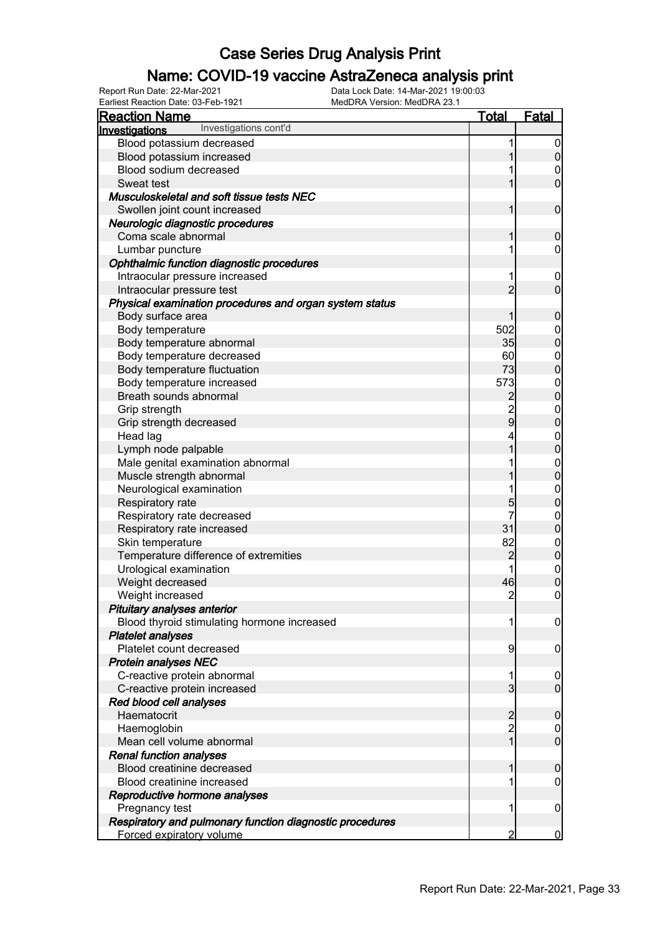### Name: COVID-19 vaccine AstraZeneca analysis print

| <b>Reaction Name</b>                                     | <b>Total</b>   | <u>Fatal</u>     |
|----------------------------------------------------------|----------------|------------------|
| Investigations cont'd<br>Investigations                  |                |                  |
| Blood potassium decreased                                | 1              | $\boldsymbol{0}$ |
| Blood potassium increased                                |                | $\overline{0}$   |
| Blood sodium decreased                                   |                | 0                |
| Sweat test                                               |                | $\overline{0}$   |
| Musculoskeletal and soft tissue tests NEC                |                |                  |
| Swollen joint count increased                            | 1              | $\mathbf 0$      |
| Neurologic diagnostic procedures                         |                |                  |
| Coma scale abnormal                                      |                | $\mathbf 0$      |
| Lumbar puncture                                          |                | 0                |
| Ophthalmic function diagnostic procedures                |                |                  |
| Intraocular pressure increased                           |                | $\mathbf 0$      |
| Intraocular pressure test                                | $\overline{2}$ | $\overline{0}$   |
| Physical examination procedures and organ system status  |                |                  |
| Body surface area                                        |                | $\boldsymbol{0}$ |
| Body temperature                                         | 502            | $\mathbf 0$      |
| Body temperature abnormal                                | 35             | $\mathbf 0$      |
| Body temperature decreased                               | 60             | $\mathbf 0$      |
| Body temperature fluctuation                             | 73             | $\overline{0}$   |
| Body temperature increased                               | 573            | $\boldsymbol{0}$ |
| Breath sounds abnormal                                   | $\overline{c}$ | $\overline{0}$   |
| Grip strength                                            |                | $\boldsymbol{0}$ |
| Grip strength decreased                                  | $\mathsf{g}$   | $\overline{0}$   |
| Head lag                                                 |                | $\boldsymbol{0}$ |
| Lymph node palpable                                      |                | $\overline{0}$   |
| Male genital examination abnormal                        |                | $\boldsymbol{0}$ |
| Muscle strength abnormal                                 |                | $\overline{0}$   |
| Neurological examination                                 |                | $\boldsymbol{0}$ |
| Respiratory rate                                         | 5              | $\overline{0}$   |
| Respiratory rate decreased                               | 7              | $\mathbf{0}$     |
| Respiratory rate increased                               | 31             | $\mathbf 0$      |
| Skin temperature                                         | 82             | $\boldsymbol{0}$ |
| Temperature difference of extremities                    | $\overline{2}$ | $\mathbf 0$      |
| Urological examination                                   |                | $\mathbf 0$      |
| Weight decreased                                         | 46             | $\overline{0}$   |
| Weight increased                                         | $\overline{2}$ | $\mathbf 0$      |
| Pituitary analyses anterior                              |                |                  |
| Blood thyroid stimulating hormone increased              | 1              | $\boldsymbol{0}$ |
| <b>Platelet analyses</b>                                 |                |                  |
| Platelet count decreased                                 | 9              | $\mathbf 0$      |
| <b>Protein analyses NEC</b>                              |                |                  |
| C-reactive protein abnormal                              |                | $\boldsymbol{0}$ |
| C-reactive protein increased                             | $\overline{3}$ | $\overline{0}$   |
| Red blood cell analyses                                  |                |                  |
| Haematocrit                                              | $\overline{c}$ | $\mathbf 0$      |
| Haemoglobin                                              | $\overline{c}$ | 0                |
| Mean cell volume abnormal                                | 1              | $\mathbf 0$      |
| <b>Renal function analyses</b>                           |                |                  |
| Blood creatinine decreased                               |                | $\mathbf 0$      |
| Blood creatinine increased                               |                | 0                |
| Reproductive hormone analyses                            |                |                  |
| Pregnancy test                                           |                | $\mathbf 0$      |
| Respiratory and pulmonary function diagnostic procedures |                |                  |
| Forced expiratory volume                                 | 2              | $\bf{0}$         |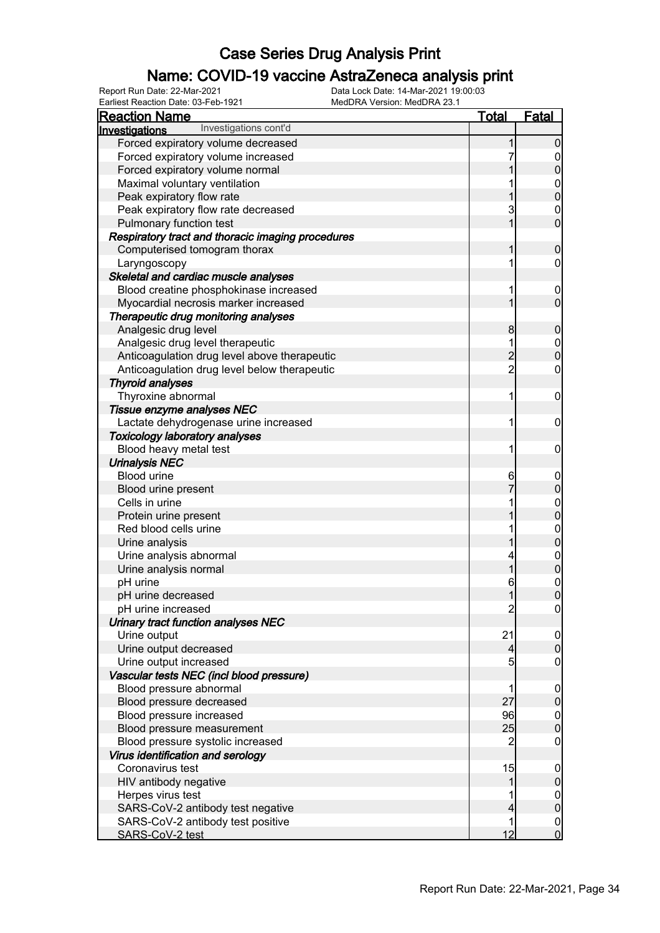### Name: COVID-19 vaccine AstraZeneca analysis print

| <b>Reaction Name</b>                              | <b>Total</b>   | Fatal                                |
|---------------------------------------------------|----------------|--------------------------------------|
| Investigations cont'd<br>Investigations           |                |                                      |
| Forced expiratory volume decreased                |                | $\mathbf 0$                          |
| Forced expiratory volume increased                |                |                                      |
| Forced expiratory volume normal                   |                | $\mathbf 0$<br>$\mathbf 0$           |
|                                                   |                |                                      |
| Maximal voluntary ventilation                     |                | $\boldsymbol{0}$                     |
| Peak expiratory flow rate                         |                | $\overline{0}$                       |
| Peak expiratory flow rate decreased               | 3              | $\mathbf 0$                          |
| Pulmonary function test                           |                | $\mathbf 0$                          |
| Respiratory tract and thoracic imaging procedures |                |                                      |
| Computerised tomogram thorax                      |                | $\boldsymbol{0}$                     |
| Laryngoscopy                                      |                | 0                                    |
| Skeletal and cardiac muscle analyses              |                |                                      |
| Blood creatine phosphokinase increased            |                | $\mathbf 0$                          |
| Myocardial necrosis marker increased              |                | $\mathbf 0$                          |
| Therapeutic drug monitoring analyses              |                |                                      |
| Analgesic drug level                              | 8              | $\boldsymbol{0}$                     |
| Analgesic drug level therapeutic                  |                | $\boldsymbol{0}$                     |
| Anticoagulation drug level above therapeutic      | $\overline{2}$ | $\overline{0}$                       |
| Anticoagulation drug level below therapeutic      | $\overline{c}$ | $\mathbf 0$                          |
| <b>Thyroid analyses</b>                           |                |                                      |
| Thyroxine abnormal                                | 1              | $\mathbf 0$                          |
| Tissue enzyme analyses NEC                        |                |                                      |
| Lactate dehydrogenase urine increased             | 1              | $\mathbf 0$                          |
| <b>Toxicology laboratory analyses</b>             |                |                                      |
| Blood heavy metal test                            | 1              | $\mathbf 0$                          |
| <b>Urinalysis NEC</b>                             |                |                                      |
| <b>Blood urine</b>                                | 6              | $\mathbf 0$                          |
| Blood urine present                               |                | $\mathbf 0$                          |
| Cells in urine                                    |                |                                      |
| Protein urine present                             |                | $\mathbf 0$<br>$\overline{0}$        |
| Red blood cells urine                             |                |                                      |
| Urine analysis                                    |                | $\mathbf 0$<br>$\overline{0}$        |
|                                                   |                |                                      |
| Urine analysis abnormal                           |                | $\begin{matrix} 0 \\ 0 \end{matrix}$ |
| Urine analysis normal                             |                |                                      |
| pH urine                                          | 6              | $\mathbf{0}$                         |
| pH urine decreased                                | 1              | $\mathbf 0$                          |
| pH urine increased                                | $\overline{c}$ | $\overline{0}$                       |
| Urinary tract function analyses NEC               |                |                                      |
| Urine output                                      | 21             | $\overline{0}$                       |
| Urine output decreased                            | 4              | $\boldsymbol{0}$                     |
| Urine output increased                            | 5              | $\mathbf 0$                          |
| Vascular tests NEC (incl blood pressure)          |                |                                      |
| Blood pressure abnormal                           |                | $\mathbf 0$                          |
| Blood pressure decreased                          | 27             | $\mathbf 0$                          |
| Blood pressure increased                          | 96             | $\overline{0}$                       |
| Blood pressure measurement                        | 25             | $\mathbf 0$                          |
| Blood pressure systolic increased                 | 2              | $\mathbf 0$                          |
| Virus identification and serology                 |                |                                      |
| Coronavirus test                                  | 15             | $\mathbf 0$                          |
| HIV antibody negative                             |                | $\pmb{0}$                            |
| Herpes virus test                                 |                | $\boldsymbol{0}$                     |
| SARS-CoV-2 antibody test negative                 |                | $\pmb{0}$                            |
| SARS-CoV-2 antibody test positive                 |                | $\mathbf 0$                          |
| SARS-CoV-2 test                                   | 12             | $\overline{0}$                       |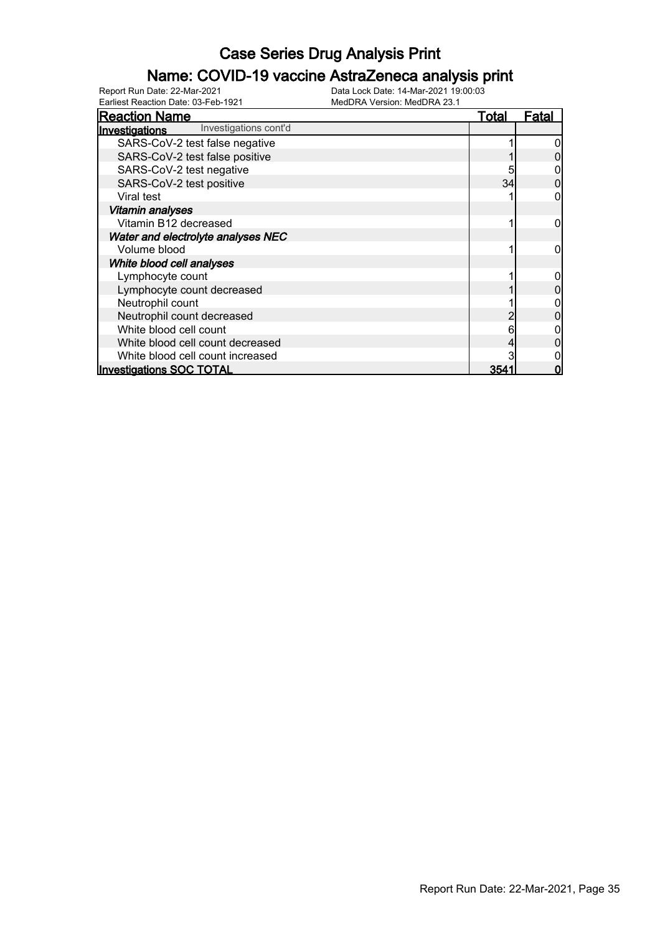#### Name: COVID-19 vaccine AstraZeneca analysis print

| <b>Reaction Name</b>                    | Total | Fatal |
|-----------------------------------------|-------|-------|
| Investigations cont'd<br>Investigations |       |       |
| SARS-CoV-2 test false negative          |       |       |
| SARS-CoV-2 test false positive          |       |       |
| SARS-CoV-2 test negative                |       |       |
| SARS-CoV-2 test positive                | 34    |       |
| Viral test                              |       |       |
| <b>Vitamin analyses</b>                 |       |       |
| Vitamin B12 decreased                   |       |       |
| Water and electrolyte analyses NEC      |       |       |
| Volume blood                            |       |       |
| White blood cell analyses               |       |       |
| Lymphocyte count                        |       |       |
| Lymphocyte count decreased              |       |       |
| Neutrophil count                        |       |       |
| Neutrophil count decreased              |       |       |
| White blood cell count                  |       |       |
| White blood cell count decreased        |       |       |
| White blood cell count increased        |       |       |
| <b>Investigations SOC TOTAL</b>         | 354   |       |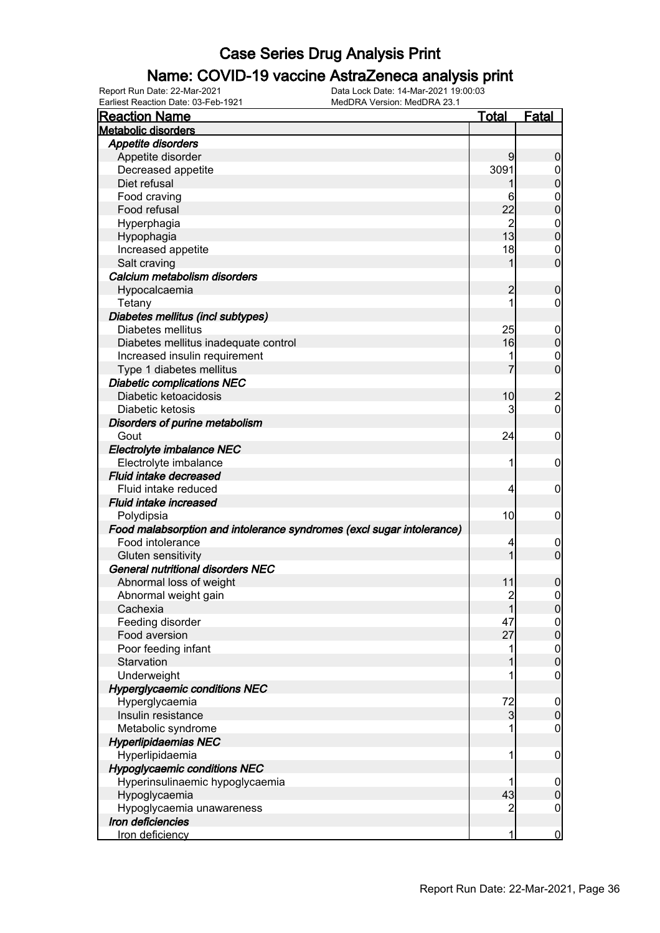### Name: COVID-19 vaccine AstraZeneca analysis print

| <b>Reaction Name</b>                                                  | <b>Total</b>   | <b>Fatal</b>     |
|-----------------------------------------------------------------------|----------------|------------------|
| <b>Metabolic disorders</b>                                            |                |                  |
| Appetite disorders                                                    |                |                  |
| Appetite disorder                                                     | 9              | $\boldsymbol{0}$ |
| Decreased appetite                                                    | 3091           | $\boldsymbol{0}$ |
| Diet refusal                                                          |                | $\mathbf 0$      |
| Food craving                                                          | 6              | $\mathbf 0$      |
| Food refusal                                                          | 22             | $\mathbf 0$      |
| Hyperphagia                                                           | $\overline{2}$ | $\mathbf 0$      |
| Hypophagia                                                            | 13             | $\mathbf 0$      |
| Increased appetite                                                    | 18             | $\mathbf 0$      |
| Salt craving                                                          | 1              | $\mathbf 0$      |
| Calcium metabolism disorders                                          |                |                  |
| Hypocalcaemia                                                         | $\overline{c}$ | $\mathbf 0$      |
| Tetany                                                                | 1              | $\mathbf 0$      |
| Diabetes mellitus (incl subtypes)                                     |                |                  |
| Diabetes mellitus                                                     | 25             |                  |
|                                                                       | 16             | $\boldsymbol{0}$ |
| Diabetes mellitus inadequate control                                  |                | $\pmb{0}$        |
| Increased insulin requirement                                         |                | $\mathbf 0$      |
| Type 1 diabetes mellitus                                              |                | $\mathbf 0$      |
| <b>Diabetic complications NEC</b>                                     |                |                  |
| Diabetic ketoacidosis                                                 | 10             | $\overline{c}$   |
| Diabetic ketosis                                                      | 3              | $\overline{0}$   |
| Disorders of purine metabolism                                        |                |                  |
| Gout                                                                  | 24             | $\mathbf 0$      |
| Electrolyte imbalance NEC                                             |                |                  |
| Electrolyte imbalance                                                 | 1              | $\mathbf 0$      |
| Fluid intake decreased                                                |                |                  |
| Fluid intake reduced                                                  | 4              | $\mathbf 0$      |
| Fluid intake increased                                                |                |                  |
| Polydipsia                                                            | 10             | $\mathbf 0$      |
| Food malabsorption and intolerance syndromes (excl sugar intolerance) |                |                  |
| Food intolerance                                                      | 4              | $\mathbf 0$      |
| Gluten sensitivity                                                    | 1              | $\mathbf 0$      |
| General nutritional disorders NEC                                     |                |                  |
| Abnormal loss of weight                                               | 11             | $\boldsymbol{0}$ |
| Abnormal weight gain                                                  | $\overline{2}$ | $\mathbf 0$      |
| Cachexia                                                              | 1              | $\boldsymbol{0}$ |
| Feeding disorder                                                      | 47             | $\mathbf 0$      |
| Food aversion                                                         | 27             | $\pmb{0}$        |
| Poor feeding infant                                                   |                | $\boldsymbol{0}$ |
| Starvation                                                            |                | $\overline{0}$   |
| Underweight                                                           |                | $\boldsymbol{0}$ |
| <b>Hyperglycaemic conditions NEC</b>                                  |                |                  |
| Hyperglycaemia                                                        | 72             | $\mathbf 0$      |
| Insulin resistance                                                    | $\overline{3}$ | $\boldsymbol{0}$ |
| Metabolic syndrome                                                    |                | $\mathbf 0$      |
| <b>Hyperlipidaemias NEC</b>                                           |                |                  |
| Hyperlipidaemia                                                       | 1              | $\mathbf 0$      |
| <b>Hypoglycaemic conditions NEC</b>                                   |                |                  |
| Hyperinsulinaemic hypoglycaemia                                       |                | $\boldsymbol{0}$ |
| Hypoglycaemia                                                         | 43             | $\pmb{0}$        |
| Hypoglycaemia unawareness                                             | 2              | $\boldsymbol{0}$ |
| Iron deficiencies                                                     |                |                  |
| Iron deficiency                                                       | 1              | $\overline{0}$   |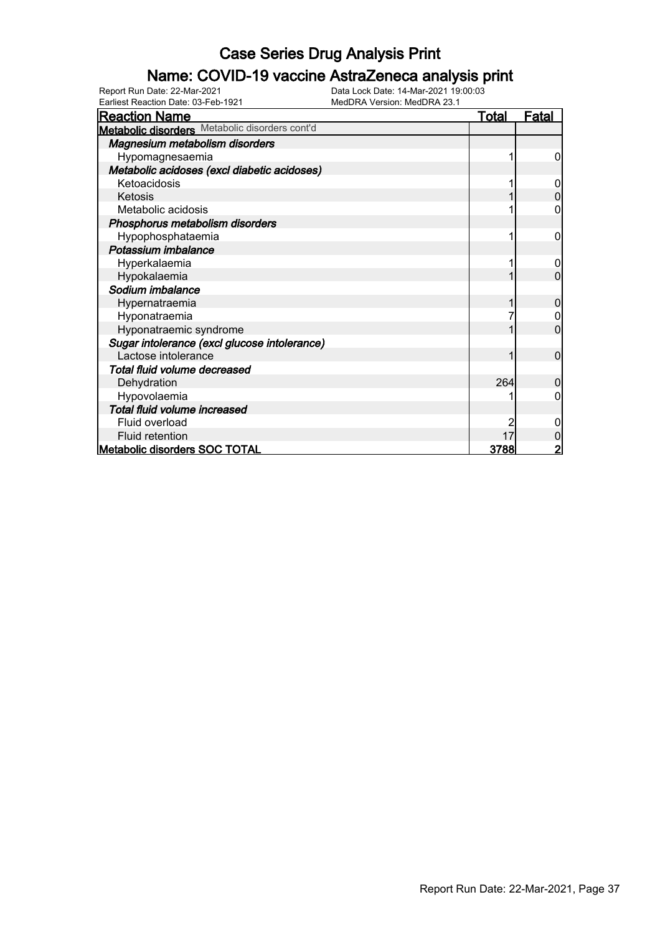### Name: COVID-19 vaccine AstraZeneca analysis print

| <b>Reaction Name</b>                           | <u>Total</u> | <b>Fatal</b> |
|------------------------------------------------|--------------|--------------|
| Metabolic disorders Metabolic disorders cont'd |              |              |
| Magnesium metabolism disorders                 |              |              |
| Hypomagnesaemia                                |              | 0            |
| Metabolic acidoses (excl diabetic acidoses)    |              |              |
| Ketoacidosis                                   |              | 0            |
| Ketosis                                        |              |              |
| Metabolic acidosis                             |              |              |
| Phosphorus metabolism disorders                |              |              |
| Hypophosphataemia                              |              | 0            |
| Potassium imbalance                            |              |              |
| Hyperkalaemia                                  |              | 0            |
| Hypokalaemia                                   |              | 0            |
| Sodium imbalance                               |              |              |
| Hypernatraemia                                 |              | 0            |
| Hyponatraemia                                  |              |              |
| Hyponatraemic syndrome                         |              | 0            |
| Sugar intolerance (excl glucose intolerance)   |              |              |
| Lactose intolerance                            |              | 0            |
| Total fluid volume decreased                   |              |              |
| Dehydration                                    | 264          | O            |
| Hypovolaemia                                   |              |              |
| Total fluid volume increased                   |              |              |
| Fluid overload                                 |              |              |
| Fluid retention                                | 17           |              |
| <b>Metabolic disorders SOC TOTAL</b>           | 3788         |              |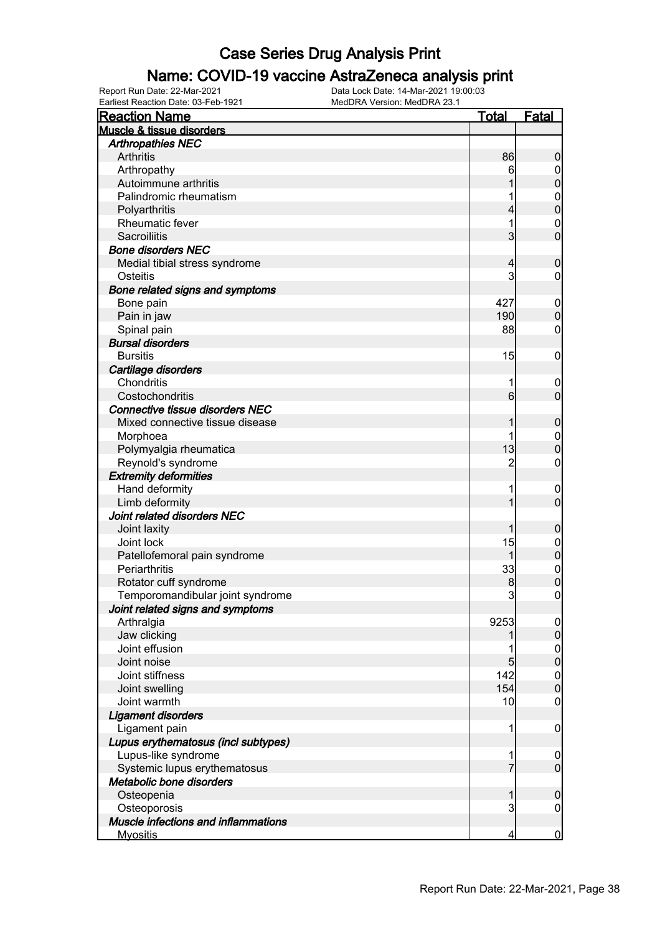#### Name: COVID-19 vaccine AstraZeneca analysis print

| <b>Reaction Name</b>                   | <b>Total</b>            | <b>Fatal</b>     |
|----------------------------------------|-------------------------|------------------|
| Muscle & tissue disorders              |                         |                  |
| <b>Arthropathies NEC</b>               |                         |                  |
| Arthritis                              | 86                      | $\boldsymbol{0}$ |
| Arthropathy                            | 6                       | $\overline{0}$   |
| Autoimmune arthritis                   |                         | $\pmb{0}$        |
| Palindromic rheumatism                 |                         | $\mathbf{0}$     |
| Polyarthritis                          | 4                       | $\overline{0}$   |
| <b>Rheumatic fever</b>                 | 1                       | $\mathbf 0$      |
| Sacroiliitis                           | $\overline{3}$          | $\mathbf 0$      |
| <b>Bone disorders NEC</b>              |                         |                  |
| Medial tibial stress syndrome          | 4                       | $\boldsymbol{0}$ |
| Osteitis                               | 3                       | $\mathbf 0$      |
| Bone related signs and symptoms        |                         |                  |
| Bone pain                              | 427                     | $\mathbf 0$      |
| Pain in jaw                            | 190                     | $\pmb{0}$        |
| Spinal pain                            | 88                      | $\boldsymbol{0}$ |
| <b>Bursal disorders</b>                |                         |                  |
| <b>Bursitis</b>                        | 15                      | $\mathbf 0$      |
| Cartilage disorders                    |                         |                  |
| Chondritis                             | 1                       | $\mathbf 0$      |
| Costochondritis                        | $6 \overline{}$         | $\mathbf 0$      |
| <b>Connective tissue disorders NEC</b> |                         |                  |
| Mixed connective tissue disease        | 1                       |                  |
|                                        |                         | $\boldsymbol{0}$ |
| Morphoea                               |                         | $\boldsymbol{0}$ |
| Polymyalgia rheumatica                 | 13                      | $\mathbf 0$      |
| Reynold's syndrome                     | $\overline{2}$          | $\boldsymbol{0}$ |
| <b>Extremity deformities</b>           |                         |                  |
| Hand deformity                         | 1                       | $\mathbf 0$      |
| Limb deformity                         | 1                       | $\overline{0}$   |
| Joint related disorders NEC            |                         |                  |
| Joint laxity                           | 1                       | $\boldsymbol{0}$ |
| Joint lock                             | 15                      | $\boldsymbol{0}$ |
| Patellofemoral pain syndrome           | 1                       | $\mathbf 0$      |
| Periarthritis                          | 33                      | $0$ 0            |
| Rotator cuff syndrome                  | 8                       |                  |
| Temporomandibular joint syndrome       | $\mathbf{3}$            | $\pmb{0}$        |
| Joint related signs and symptoms       |                         |                  |
| Arthralgia                             | 9253                    | $\overline{0}$   |
| Jaw clicking                           |                         | $\pmb{0}$        |
| Joint effusion                         |                         | $\boldsymbol{0}$ |
| Joint noise                            | 5                       | $\overline{0}$   |
| Joint stiffness                        | 142                     | $\boldsymbol{0}$ |
| Joint swelling                         | 154                     | $\overline{0}$   |
| Joint warmth                           | 10                      | $\mathbf 0$      |
| <b>Ligament disorders</b>              |                         |                  |
| Ligament pain                          | 1                       | $\mathbf 0$      |
| Lupus erythematosus (incl subtypes)    |                         |                  |
| Lupus-like syndrome                    | 1                       | $\mathbf 0$      |
| Systemic lupus erythematosus           | 7                       | $\overline{0}$   |
| Metabolic bone disorders               |                         |                  |
| Osteopenia                             | 1                       | $\boldsymbol{0}$ |
| Osteoporosis                           | 3                       | $\boldsymbol{0}$ |
| Muscle infections and inflammations    |                         |                  |
| <b>Myositis</b>                        | $\overline{\mathbf{r}}$ | $\overline{0}$   |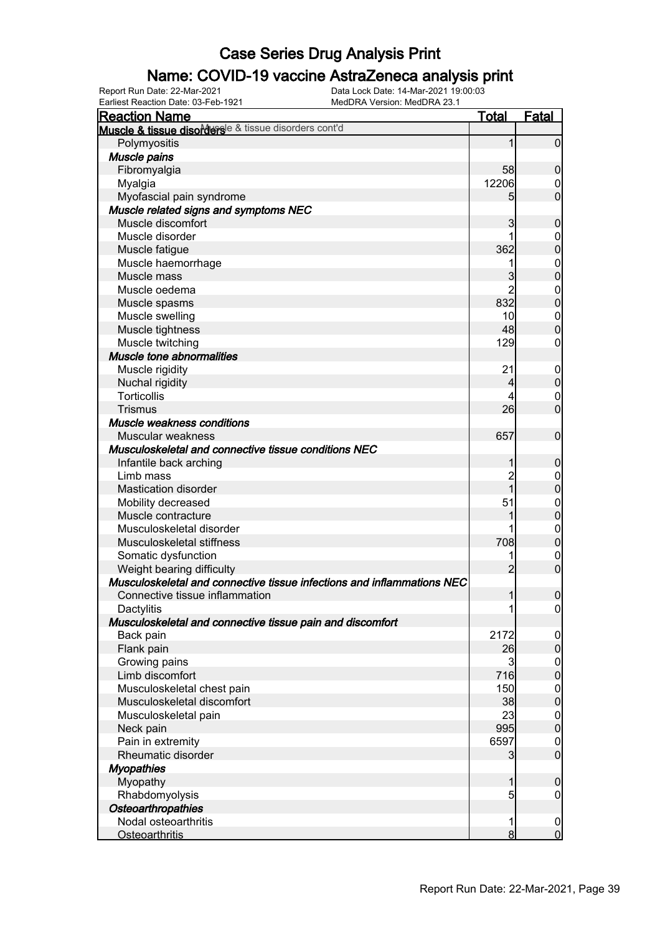### Name: COVID-19 vaccine AstraZeneca analysis print

Earliest Reaction Date: 03-Feb-1921 MedDRA Version: MedDRA 23.1

| <b>Reaction Name</b>                                                   | <u>Total</u>    | <b>Fatal</b>     |
|------------------------------------------------------------------------|-----------------|------------------|
| Muscle & tissue disordersle & tissue disorders cont'd                  |                 |                  |
| Polymyositis                                                           |                 | 0                |
| Muscle pains                                                           |                 |                  |
| Fibromyalgia                                                           | 58              | 0                |
| Myalgia                                                                | 12206           | 0                |
| Myofascial pain syndrome                                               | 5               | $\overline{0}$   |
| Muscle related signs and symptoms NEC                                  |                 |                  |
| Muscle discomfort                                                      | 3               | 0                |
| Muscle disorder                                                        |                 | 0                |
| Muscle fatigue                                                         | 362             | 0                |
| Muscle haemorrhage                                                     |                 | $\mathbf 0$      |
| Muscle mass                                                            | 3               | 0                |
| Muscle oedema                                                          | 2               | $\mathbf 0$      |
| Muscle spasms                                                          | 832             | 0                |
| Muscle swelling                                                        | 10              | $\mathbf 0$      |
| Muscle tightness                                                       | 48              | 0                |
| Muscle twitching                                                       | 129             | 0                |
| Muscle tone abnormalities                                              |                 |                  |
| Muscle rigidity                                                        | 21              | $\overline{0}$   |
| Nuchal rigidity                                                        | 4               | 0                |
| <b>Torticollis</b>                                                     | 4               | $\mathbf 0$      |
| <b>Trismus</b>                                                         | 26              | $\overline{0}$   |
| Muscle weakness conditions                                             |                 |                  |
| Muscular weakness                                                      | 657             | $\mathbf 0$      |
| Musculoskeletal and connective tissue conditions NEC                   |                 |                  |
| Infantile back arching                                                 |                 | 0                |
| Limb mass                                                              | $\overline{c}$  | $\mathbf 0$      |
| <b>Mastication disorder</b>                                            | 1               | 0                |
| Mobility decreased                                                     | 51              | $\mathbf 0$      |
| Muscle contracture                                                     |                 | 0                |
| Musculoskeletal disorder                                               |                 | $\mathbf 0$      |
| Musculoskeletal stiffness                                              | 708             | $\mathbf 0$      |
| Somatic dysfunction                                                    | 1               | $\mathbf 0$      |
| Weight bearing difficulty                                              | $\overline{2}$  | $\overline{0}$   |
| Musculoskeletal and connective tissue infections and inflammations NEC |                 |                  |
| Connective tissue inflammation                                         | 1               | $\mathbf 0$      |
| Dactylitis                                                             | 1               | $\overline{0}$   |
| Musculoskeletal and connective tissue pain and discomfort              |                 |                  |
| Back pain                                                              | 2172            | $\mathbf 0$      |
| Flank pain                                                             | 26              | $\boldsymbol{0}$ |
| Growing pains                                                          | $\overline{3}$  | $\mathbf 0$      |
| Limb discomfort                                                        | 716             | $\overline{0}$   |
| Musculoskeletal chest pain                                             | 150             | $\mathbf 0$      |
| Musculoskeletal discomfort                                             | 38              | $\overline{0}$   |
| Musculoskeletal pain                                                   | 23              | $\mathbf 0$      |
| Neck pain                                                              | 995             | $\overline{0}$   |
| Pain in extremity                                                      | 6597            | $\mathbf 0$      |
| Rheumatic disorder                                                     | 3               | $\overline{0}$   |
| <b>Myopathies</b>                                                      |                 |                  |
| Myopathy                                                               | 1               | $\mathbf 0$      |
| Rhabdomyolysis                                                         | $5\overline{)}$ | $\mathbf 0$      |
| <b>Osteoarthropathies</b>                                              |                 |                  |
| Nodal osteoarthritis                                                   | 1               | $\mathbf 0$      |
| <b>Osteoarthritis</b>                                                  | 8 <sup>1</sup>  | $\mathbf 0$      |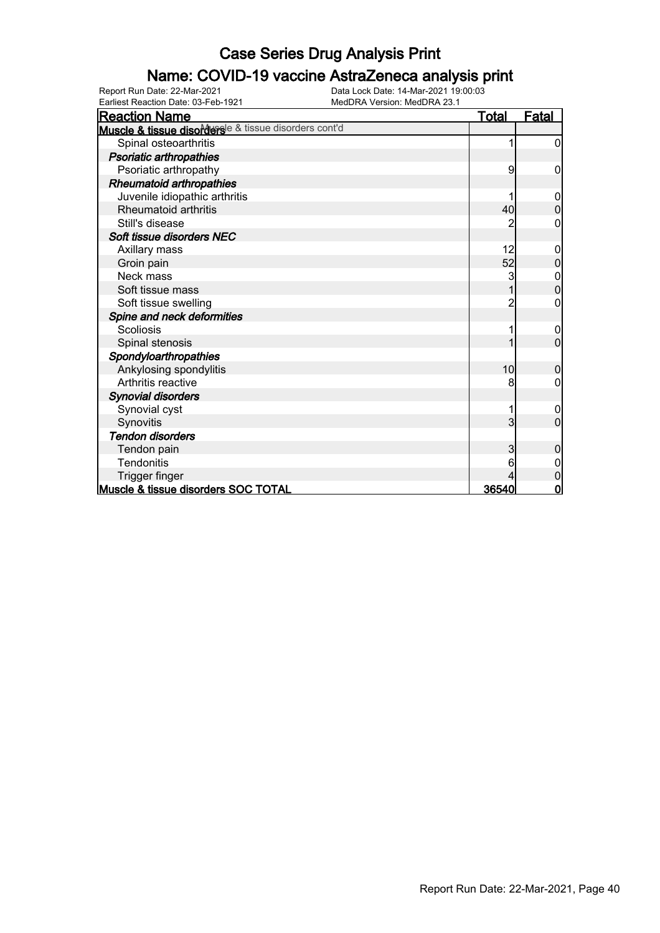### Name: COVID-19 vaccine AstraZeneca analysis print

Earliest Reaction Date: 03-Feb-1921 MedDRA Version: MedDRA 23.1

| <b>Reaction Name</b>                                  | <b>Total</b> | <b>Fatal</b>     |
|-------------------------------------------------------|--------------|------------------|
| Muscle & tissue disordersle & tissue disorders cont'd |              |                  |
| Spinal osteoarthritis                                 |              | 0                |
| Psoriatic arthropathies                               |              |                  |
| Psoriatic arthropathy                                 | 9            | 0                |
| <b>Rheumatoid arthropathies</b>                       |              |                  |
| Juvenile idiopathic arthritis                         |              | 0                |
| <b>Rheumatoid arthritis</b>                           | 40           | $\mathbf{0}$     |
| Still's disease                                       |              | 0                |
| Soft tissue disorders NEC                             |              |                  |
| Axillary mass                                         | 12           | 0                |
| Groin pain                                            | 52           | $\Omega$         |
| Neck mass                                             | 3            | $\boldsymbol{0}$ |
| Soft tissue mass                                      |              | $\overline{0}$   |
| Soft tissue swelling                                  | 2            | 0                |
| Spine and neck deformities                            |              |                  |
| <b>Scoliosis</b>                                      | 1            | 0                |
| Spinal stenosis                                       |              | 0                |
| Spondyloarthropathies                                 |              |                  |
| Ankylosing spondylitis                                | 10           | 0                |
| Arthritis reactive                                    | 8            | 0                |
| <b>Synovial disorders</b>                             |              |                  |
| Synovial cyst                                         |              | 0                |
| Synovitis                                             | 3            | 0                |
| <b>Tendon disorders</b>                               |              |                  |
| Tendon pain                                           | 3            | 0                |
| <b>Tendonitis</b>                                     |              |                  |
| Trigger finger                                        |              | 0                |
| Muscle & tissue disorders SOC TOTAL                   | 36540        | $\mathbf 0$      |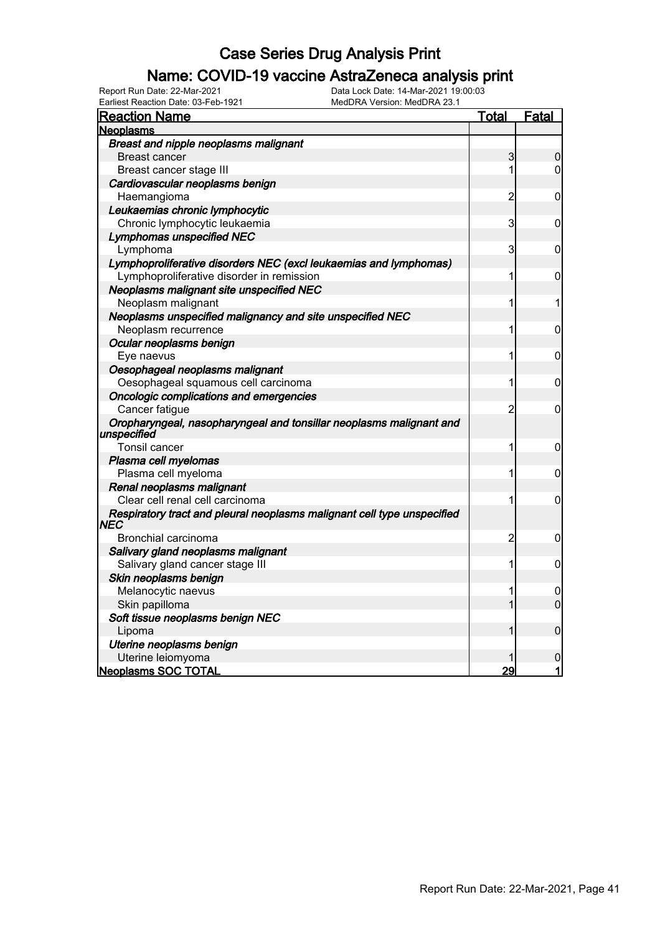### Name: COVID-19 vaccine AstraZeneca analysis print

Earliest Reaction Date: 03-Feb-1921 MedDRA Version: MedDRA 23.1

| <b>Reaction Name</b>                                                               | <u>Total</u>   | Fatal          |
|------------------------------------------------------------------------------------|----------------|----------------|
| <b>Neoplasms</b>                                                                   |                |                |
| Breast and nipple neoplasms malignant                                              |                |                |
| <b>Breast cancer</b>                                                               | 3              | 0              |
| Breast cancer stage III                                                            | 1              | $\overline{0}$ |
| Cardiovascular neoplasms benign                                                    |                |                |
| Haemangioma                                                                        | $\overline{2}$ | 0              |
| Leukaemias chronic lymphocytic                                                     |                |                |
| Chronic lymphocytic leukaemia                                                      | 3              | 0              |
| <b>Lymphomas unspecified NEC</b>                                                   |                |                |
| Lymphoma                                                                           | $\overline{3}$ | 0              |
| Lymphoproliferative disorders NEC (excl leukaemias and lymphomas)                  |                |                |
| Lymphoproliferative disorder in remission                                          | 1              | 0              |
| Neoplasms malignant site unspecified NEC                                           |                |                |
| Neoplasm malignant                                                                 | 1              | 1              |
| Neoplasms unspecified malignancy and site unspecified NEC                          |                |                |
| Neoplasm recurrence                                                                | 1              | 0              |
| Ocular neoplasms benign                                                            |                |                |
| Eye naevus                                                                         | 1              | 0              |
| Oesophageal neoplasms malignant                                                    |                |                |
| Oesophageal squamous cell carcinoma                                                | 1              | 0              |
| Oncologic complications and emergencies                                            |                |                |
| Cancer fatigue                                                                     | $\overline{2}$ | $\mathbf 0$    |
| Oropharyngeal, nasopharyngeal and tonsillar neoplasms malignant and<br>unspecified |                |                |
| Tonsil cancer                                                                      | 1              | 0              |
| Plasma cell myelomas                                                               |                |                |
| Plasma cell myeloma                                                                | 1              | $\mathbf 0$    |
| Renal neoplasms malignant                                                          |                |                |
| Clear cell renal cell carcinoma                                                    | 1              | $\mathbf 0$    |
| Respiratory tract and pleural neoplasms malignant cell type unspecified<br>NEC     |                |                |
| Bronchial carcinoma                                                                | $\overline{c}$ | 0              |
| Salivary gland neoplasms malignant                                                 |                |                |
| Salivary gland cancer stage III                                                    | 1              | $\mathbf 0$    |
| Skin neoplasms benign                                                              |                |                |
| Melanocytic naevus                                                                 | 1              | 0              |
| Skin papilloma                                                                     | 1              | $\overline{0}$ |
| Soft tissue neoplasms benign NEC                                                   |                |                |
| Lipoma                                                                             | 1              | $\mathbf 0$    |
| Uterine neoplasms benign                                                           |                |                |
| Uterine leiomyoma                                                                  |                | $\mathbf 0$    |
| Neoplasms SOC TOTAL                                                                | 29             | 1              |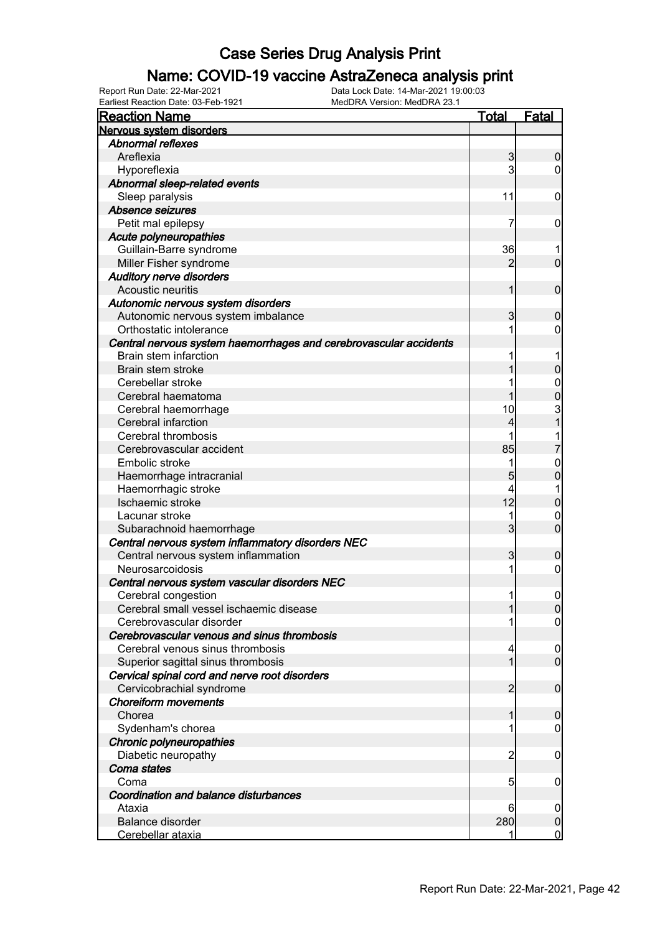### Name: COVID-19 vaccine AstraZeneca analysis print

Earliest Reaction Date: 03-Feb-1921 MedDRA Version: MedDRA 23.1

| <b>Reaction Name</b>                                              | <u>Total</u>   | <b>Fatal</b>     |
|-------------------------------------------------------------------|----------------|------------------|
| Nervous system disorders                                          |                |                  |
| <b>Abnormal reflexes</b>                                          |                |                  |
| Areflexia                                                         | 3              | 0                |
| Hyporeflexia                                                      | 3              | 0                |
| Abnormal sleep-related events                                     |                |                  |
| Sleep paralysis                                                   | 11             | 0                |
| Absence seizures                                                  |                |                  |
| Petit mal epilepsy                                                | 7              | 0                |
| <b>Acute polyneuropathies</b>                                     |                |                  |
| Guillain-Barre syndrome                                           | 36             |                  |
| Miller Fisher syndrome                                            | 2              | $\mathbf 0$      |
| <b>Auditory nerve disorders</b>                                   |                |                  |
| Acoustic neuritis                                                 | 1              | $\mathbf 0$      |
| Autonomic nervous system disorders                                |                |                  |
| Autonomic nervous system imbalance                                | 3              | 0                |
| Orthostatic intolerance                                           |                | 0                |
| Central nervous system haemorrhages and cerebrovascular accidents |                |                  |
| Brain stem infarction                                             |                |                  |
| Brain stem stroke                                                 |                | 0                |
| Cerebellar stroke                                                 |                | 0                |
| Cerebral haematoma                                                |                | 0                |
| Cerebral haemorrhage                                              | 10             |                  |
| Cerebral infarction                                               | 4              | 3<br>1           |
| Cerebral thrombosis                                               |                | 1                |
| Cerebrovascular accident                                          | 85             | 7                |
| Embolic stroke                                                    | 1              | 0                |
| Haemorrhage intracranial                                          | 5              | 0                |
| Haemorrhagic stroke                                               | 4              | 1                |
| Ischaemic stroke                                                  | 12             | 0                |
| Lacunar stroke                                                    | 1              | $\mathbf 0$      |
| Subarachnoid haemorrhage                                          | 3              | $\overline{0}$   |
| Central nervous system inflammatory disorders NEC                 |                |                  |
| Central nervous system inflammation                               | 3              | 0                |
| Neurosarcoidosis                                                  | 1              | 0                |
| Central nervous system vascular disorders NEC                     |                |                  |
| Cerebral congestion                                               | 1              | $\mathbf 0$      |
| Cerebral small vessel ischaemic disease                           |                | $\Omega$         |
| Cerebrovascular disorder                                          |                | $\overline{0}$   |
| Cerebrovascular venous and sinus thrombosis                       |                |                  |
| Cerebral venous sinus thrombosis                                  | 4              | $\boldsymbol{0}$ |
| Superior sagittal sinus thrombosis                                | 1              | $\overline{0}$   |
| Cervical spinal cord and nerve root disorders                     |                |                  |
| Cervicobrachial syndrome                                          | 2              | $\mathbf 0$      |
| <b>Choreiform movements</b>                                       |                |                  |
| Chorea                                                            |                | 0                |
| Sydenham's chorea                                                 |                | 0                |
| Chronic polyneuropathies                                          |                |                  |
| Diabetic neuropathy                                               | $\overline{2}$ | 0                |
| Coma states                                                       |                |                  |
| Coma                                                              | 5              | 0                |
| Coordination and balance disturbances                             |                |                  |
| Ataxia                                                            | 6              | $\boldsymbol{0}$ |
| <b>Balance disorder</b>                                           | 280            | 0                |
| Cerebellar ataxia                                                 |                | $\overline{0}$   |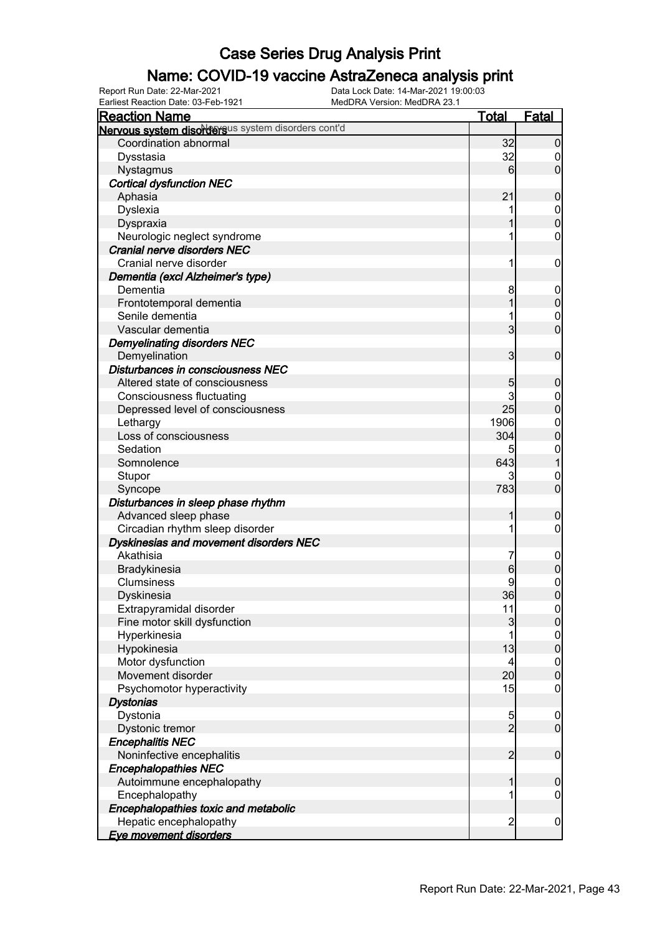### Name: COVID-19 vaccine AstraZeneca analysis print

| <b>Reaction Name</b>                               | <b>Total</b>    | <b>Fatal</b>                         |
|----------------------------------------------------|-----------------|--------------------------------------|
| Nervous system disordersus system disorders cont'd |                 |                                      |
| Coordination abnormal                              | 32              | $\mathbf 0$                          |
| Dysstasia                                          | 32              | $\boldsymbol{0}$                     |
| Nystagmus                                          | 6               | $\overline{0}$                       |
| <b>Cortical dysfunction NEC</b>                    |                 |                                      |
| Aphasia                                            | 21              | $\mathbf 0$                          |
| Dyslexia                                           | 1               |                                      |
| Dyspraxia                                          | 1               | $\begin{matrix}0\\0\end{matrix}$     |
| Neurologic neglect syndrome                        | 1               | $\mathbf 0$                          |
| Cranial nerve disorders NEC                        |                 |                                      |
| Cranial nerve disorder                             | 1               | $\boldsymbol{0}$                     |
| Dementia (excl Alzheimer's type)                   |                 |                                      |
| Dementia                                           | 8               | $\boldsymbol{0}$                     |
| Frontotemporal dementia                            | 1               | $\mathbf 0$                          |
| Senile dementia                                    | 1               | $\mathbf{0}$                         |
| Vascular dementia                                  | $\overline{3}$  | $\overline{0}$                       |
| <b>Demyelinating disorders NEC</b>                 |                 |                                      |
| Demyelination                                      | 3               | $\mathbf 0$                          |
| Disturbances in consciousness NEC                  |                 |                                      |
| Altered state of consciousness                     | 5               | $\mathbf 0$                          |
| <b>Consciousness fluctuating</b>                   | 3               | $\boldsymbol{0}$                     |
| Depressed level of consciousness                   | 25              | $\overline{0}$                       |
| Lethargy                                           | 1906            | $\mathbf{0}$                         |
| Loss of consciousness                              | 304             | $\overline{0}$                       |
| Sedation                                           | 5               | $\mathbf{0}$                         |
| Somnolence                                         | 643             | $\overline{1}$                       |
| Stupor                                             |                 | $\mathbf 0$                          |
| Syncope                                            | 783             | $\overline{0}$                       |
| Disturbances in sleep phase rhythm                 |                 |                                      |
| Advanced sleep phase                               | 1               | $\mathbf 0$                          |
| Circadian rhythm sleep disorder                    | 1               | $\mathbf 0$                          |
| Dyskinesias and movement disorders NEC             |                 |                                      |
| Akathisia                                          | 7               | $\mathbf 0$                          |
| Bradykinesia                                       | 6               | $\mathbf 0$                          |
| Clumsiness                                         | 9               |                                      |
| Dyskinesia                                         | 36              | $\begin{matrix}0\\0\end{matrix}$     |
| Extrapyramidal disorder                            | 11              | 0                                    |
| Fine motor skill dysfunction                       | $\overline{3}$  | $\overline{0}$                       |
| Hyperkinesia                                       | 1               |                                      |
| Hypokinesia                                        | 13              | $\begin{matrix} 0 \\ 0 \end{matrix}$ |
| Motor dysfunction                                  | $\vert 4 \vert$ | $\boldsymbol{0}$                     |
| Movement disorder                                  | 20 <sup>1</sup> | $\overline{0}$                       |
| Psychomotor hyperactivity                          | 15              | $\boldsymbol{0}$                     |
| <b>Dystonias</b>                                   |                 |                                      |
| Dystonia                                           |                 | $\mathbf 0$                          |
| Dystonic tremor                                    | $\frac{5}{2}$   | $\overline{0}$                       |
| <b>Encephalitis NEC</b>                            |                 |                                      |
| Noninfective encephalitis                          | $\overline{2}$  | $\boldsymbol{0}$                     |
| <b>Encephalopathies NEC</b>                        |                 |                                      |
| Autoimmune encephalopathy                          | 1               | $\mathbf 0$                          |
| Encephalopathy                                     | 1               | $\mathbf 0$                          |
| Encephalopathies toxic and metabolic               |                 |                                      |
| Hepatic encephalopathy                             | $\overline{2}$  | $\mathbf 0$                          |
| Eye movement disorders                             |                 |                                      |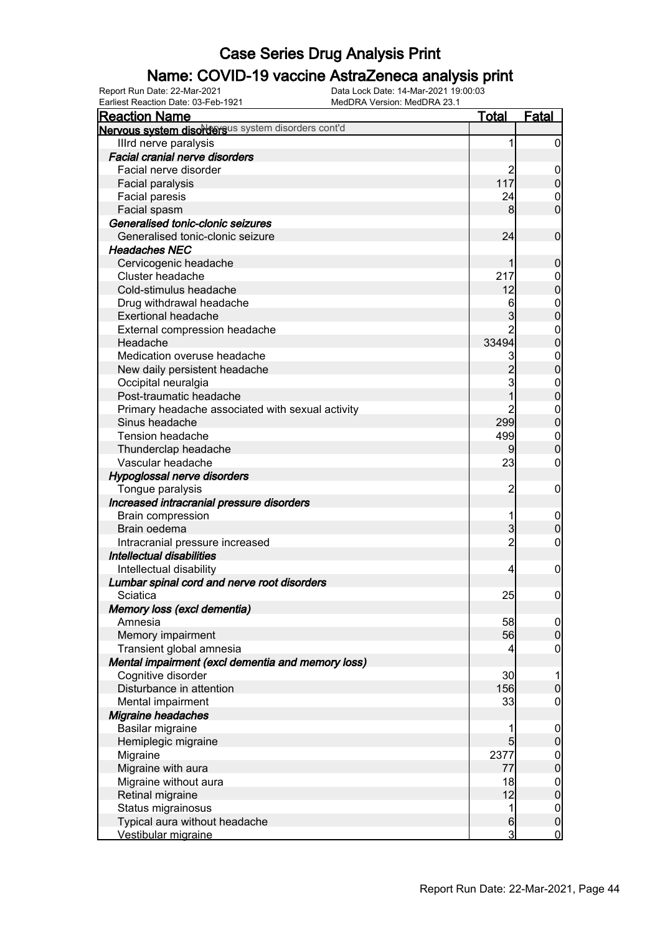### Name: COVID-19 vaccine AstraZeneca analysis print

Earliest Reaction Date: 03-Feb-1921 MedDRA Version: MedDRA 23.1

| <b>Reaction Name</b>                               | <u>Total</u>   | <b>Fatal</b>                         |
|----------------------------------------------------|----------------|--------------------------------------|
| Nervous system disordersus system disorders cont'd |                |                                      |
| Illrd nerve paralysis                              | 1              | $\mathbf 0$                          |
| <b>Facial cranial nerve disorders</b>              |                |                                      |
| Facial nerve disorder                              |                | $\mathbf 0$                          |
| Facial paralysis                                   | 117            | $\boldsymbol{0}$                     |
| Facial paresis                                     | 24             | 0                                    |
| Facial spasm                                       | 8              | $\overline{0}$                       |
| Generalised tonic-clonic seizures                  |                |                                      |
| Generalised tonic-clonic seizure                   | 24             | $\mathbf 0$                          |
| <b>Headaches NEC</b>                               |                |                                      |
| Cervicogenic headache                              |                | $\mathbf 0$                          |
| Cluster headache                                   | 217            | $\mathbf{0}$                         |
| Cold-stimulus headache                             | 12             | $\overline{0}$                       |
| Drug withdrawal headache                           | 6              |                                      |
| <b>Exertional headache</b>                         | 3              | $\mathbf{0}$<br>$\overline{0}$       |
|                                                    |                |                                      |
| External compression headache                      |                | $\mathbf{0}$                         |
| Headache                                           | 33494          | $\overline{0}$                       |
| Medication overuse headache                        | 3              | $\mathbf{0}$                         |
| New daily persistent headache                      | $\overline{2}$ | $\overline{0}$                       |
| Occipital neuralgia                                | 3              | $\mathbf{0}$                         |
| Post-traumatic headache                            |                | $\overline{0}$                       |
| Primary headache associated with sexual activity   | $\overline{c}$ | $\mathbf{0}$                         |
| Sinus headache                                     | 299            | $\mathbf 0$                          |
| Tension headache                                   | 499            | $\boldsymbol{0}$                     |
| Thunderclap headache                               |                | $\mathbf 0$                          |
| Vascular headache                                  | 23             | 0                                    |
| Hypoglossal nerve disorders                        |                |                                      |
| Tongue paralysis                                   | 2              | $\mathbf 0$                          |
| Increased intracranial pressure disorders          |                |                                      |
| <b>Brain compression</b>                           |                | $\boldsymbol{0}$                     |
| Brain oedema                                       | 3              | $\boldsymbol{0}$                     |
| Intracranial pressure increased                    | $\overline{2}$ | 0                                    |
| Intellectual disabilities                          |                |                                      |
| Intellectual disability                            | 4              | $\mathbf 0$                          |
| Lumbar spinal cord and nerve root disorders        |                |                                      |
| Sciatica                                           | 25             | 0                                    |
| Memory loss (excl dementia)                        |                |                                      |
| Amnesia                                            | 58             |                                      |
| Memory impairment                                  | 56             | $\begin{matrix} 0 \\ 0 \end{matrix}$ |
| Transient global amnesia                           | 4              | $\mathbf 0$                          |
| Mental impairment (excl dementia and memory loss)  |                |                                      |
| Cognitive disorder                                 | 30             | 1                                    |
| Disturbance in attention                           | 156            | $\boldsymbol{0}$                     |
| Mental impairment                                  | 33             | $\mathbf 0$                          |
| Migraine headaches                                 |                |                                      |
| Basilar migraine                                   |                | $\mathbf 0$                          |
| Hemiplegic migraine                                | 5              | $\mathbf 0$                          |
| Migraine                                           | 2377           |                                      |
| Migraine with aura                                 | 77             | $0\atop 0$                           |
| Migraine without aura                              | 18             |                                      |
| Retinal migraine                                   | 12             | $0$<br>0                             |
| Status migrainosus                                 | 1              | $\overline{0}$                       |
| Typical aura without headache                      | $6 \,$         | $\pmb{0}$                            |
| Vestibular migraine                                | $\overline{3}$ | $\overline{0}$                       |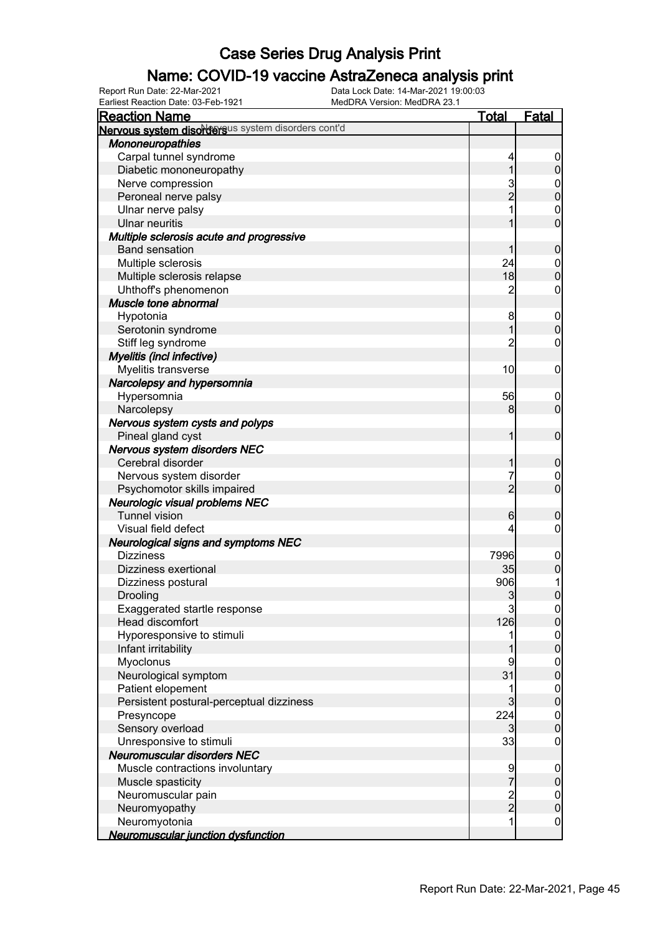### Name: COVID-19 vaccine AstraZeneca analysis print

| <b>Reaction Name</b>                               | <b>Total</b>        | <b>Fatal</b>                       |
|----------------------------------------------------|---------------------|------------------------------------|
| Nervous system disordersus system disorders cont'd |                     |                                    |
| <b>Mononeuropathies</b>                            |                     |                                    |
| Carpal tunnel syndrome                             | 4                   | $\mathbf 0$                        |
| Diabetic mononeuropathy                            | 1                   | $\pmb{0}$                          |
| Nerve compression                                  |                     |                                    |
| Peroneal nerve palsy                               | 3<br>2              | $0\atop 0$                         |
| Ulnar nerve palsy                                  |                     | $\mathbf{0}$                       |
| <b>Ulnar neuritis</b>                              | 1                   | $\overline{0}$                     |
| Multiple sclerosis acute and progressive           |                     |                                    |
| <b>Band sensation</b>                              | 1                   | $\boldsymbol{0}$                   |
| Multiple sclerosis                                 | 24                  | $\boldsymbol{0}$                   |
| Multiple sclerosis relapse                         | 18                  | $\overline{0}$                     |
| Uhthoff's phenomenon                               | $\overline{c}$      | $\boldsymbol{0}$                   |
| Muscle tone abnormal                               |                     |                                    |
| Hypotonia                                          | 8                   | $\mathbf 0$                        |
| Serotonin syndrome                                 | 1                   | $\mathbf 0$                        |
| Stiff leg syndrome                                 | $\overline{2}$      | $\boldsymbol{0}$                   |
| <b>Myelitis (incl infective)</b>                   |                     |                                    |
| Myelitis transverse                                | 10                  | $\mathbf 0$                        |
| Narcolepsy and hypersomnia                         |                     |                                    |
| Hypersomnia                                        | 56                  | $\mathbf 0$                        |
| Narcolepsy                                         | 8                   | $\mathbf 0$                        |
| Nervous system cysts and polyps                    |                     |                                    |
| Pineal gland cyst                                  | 1                   | $\mathbf 0$                        |
| Nervous system disorders NEC                       |                     |                                    |
| Cerebral disorder                                  | 1                   | $\boldsymbol{0}$                   |
| Nervous system disorder                            | 7                   | $\mathbf 0$                        |
| Psychomotor skills impaired                        | $\overline{2}$      | $\overline{0}$                     |
| Neurologic visual problems NEC                     |                     |                                    |
| <b>Tunnel vision</b>                               | 6                   | $\boldsymbol{0}$                   |
| Visual field defect                                | 4                   | $\boldsymbol{0}$                   |
| <b>Neurological signs and symptoms NEC</b>         |                     |                                    |
| <b>Dizziness</b>                                   | 7996                | $\mathbf 0$                        |
| Dizziness exertional                               | 35                  | $\pmb{0}$                          |
| Dizziness postural                                 | 906                 | 1                                  |
| Drooling                                           | 3                   | $\overline{0}$                     |
| Exaggerated startle response                       | $\overline{3}$      | 0                                  |
| Head discomfort                                    | 126                 | $\overline{0}$                     |
| Hyporesponsive to stimuli                          |                     |                                    |
| Infant irritability                                |                     | $\overline{0}$<br>$\overline{0}$   |
| Myoclonus                                          | 9                   |                                    |
| Neurological symptom                               | 31                  | $\boldsymbol{0}$<br>$\overline{0}$ |
| Patient elopement                                  | 1                   |                                    |
|                                                    | 3                   | $\boldsymbol{0}$<br>$\mathbf 0$    |
| Persistent postural-perceptual dizziness           | 224                 |                                    |
| Presyncope<br>Sensory overload                     | $\mathbf{3}$        | $\boldsymbol{0}$<br>$\mathbf 0$    |
| Unresponsive to stimuli                            | 33                  | $\mathbf 0$                        |
| Neuromuscular disorders NEC                        |                     |                                    |
|                                                    |                     |                                    |
| Muscle contractions involuntary                    | 9<br>$\overline{7}$ | $\mathbf 0$                        |
| Muscle spasticity                                  |                     | $\pmb{0}$                          |
| Neuromuscular pain                                 | $\frac{2}{2}$       | $\overline{0}$                     |
| Neuromyopathy                                      | 1                   | $\pmb{0}$                          |
| Neuromyotonia                                      |                     | $\mathbf 0$                        |
| Neuromuscular junction dysfunction                 |                     |                                    |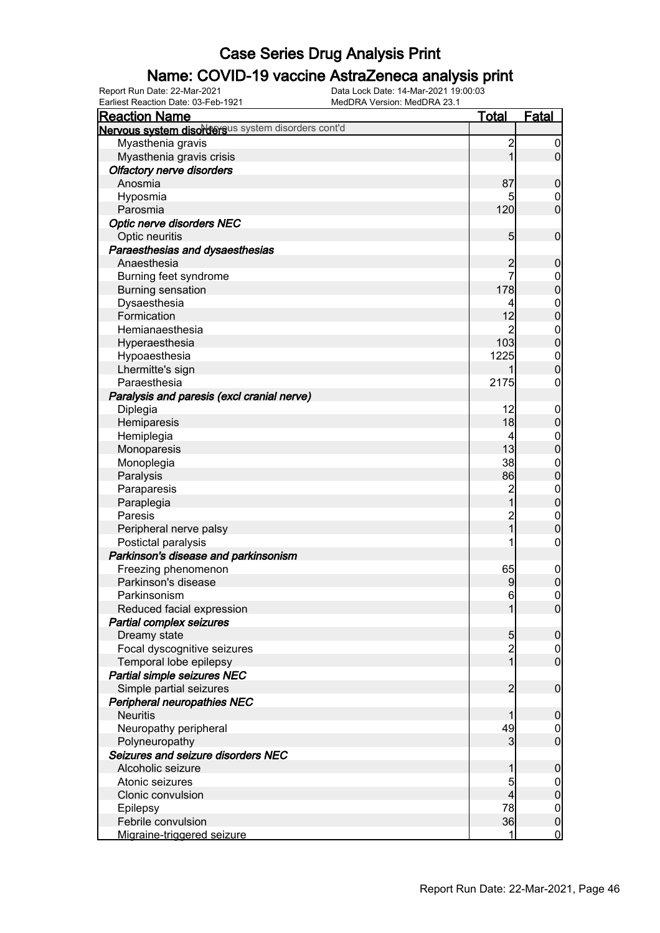### Name: COVID-19 vaccine AstraZeneca analysis print

Earliest Reaction Date: 03-Feb-1921 MedDRA Version: MedDRA 23.1

| <b>Reaction Name</b>                               | <u>Total</u>   | <u>Fatal</u>     |
|----------------------------------------------------|----------------|------------------|
| Nervous system disordersus system disorders cont'd |                |                  |
| Myasthenia gravis                                  | $\overline{c}$ | 0                |
| Myasthenia gravis crisis                           | 1              | $\mathbf 0$      |
| <b>Olfactory nerve disorders</b>                   |                |                  |
| Anosmia                                            | 87             | 0                |
| Hyposmia                                           | 5              | $\mathbf 0$      |
| Parosmia                                           | 120            | $\overline{0}$   |
| Optic nerve disorders NEC                          |                |                  |
| Optic neuritis                                     | 5              | $\mathbf 0$      |
| Paraesthesias and dysaesthesias                    |                |                  |
| Anaesthesia                                        | 2              | 0                |
| Burning feet syndrome                              | 7              | $\mathbf 0$      |
| <b>Burning sensation</b>                           | 178            | $\mathbf{0}$     |
| Dysaesthesia                                       | 4              | $\mathbf{0}$     |
| Formication                                        | 12             | $\mathbf 0$      |
| Hemianaesthesia                                    | 2              | $\mathbf{0}$     |
| Hyperaesthesia                                     | 103            | $\mathbf 0$      |
| Hypoaesthesia                                      | 1225           | $\mathbf{0}$     |
| Lhermitte's sign                                   |                | $\overline{0}$   |
| Paraesthesia                                       | 2175           | 0                |
| Paralysis and paresis (excl cranial nerve)         |                |                  |
| Diplegia                                           | 12             | $\overline{0}$   |
| Hemiparesis                                        | 18             | $\pmb{0}$        |
| Hemiplegia                                         | 4              | $\mathbf 0$      |
| Monoparesis                                        | 13             | $\mathbf 0$      |
| Monoplegia                                         | 38             | $\boldsymbol{0}$ |
| Paralysis                                          | 86             | $\overline{0}$   |
| Paraparesis                                        | $\overline{c}$ | $\boldsymbol{0}$ |
| Paraplegia                                         | 1              | $\overline{0}$   |
| Paresis                                            | $\overline{c}$ | $\mathbf 0$      |
| Peripheral nerve palsy                             | $\overline{1}$ | $\overline{0}$   |
| Postictal paralysis                                |                | $\mathbf 0$      |
| Parkinson's disease and parkinsonism               |                |                  |
| Freezing phenomenon                                | 65             | $\mathbf 0$      |
| Parkinson's disease                                | 9              | $\boldsymbol{0}$ |
| Parkinsonism                                       | 6              | $\overline{0}$   |
| Reduced facial expression                          |                | 0                |
| <b>Partial complex seizures</b>                    |                |                  |
| Dreamy state                                       | 5              | $\boldsymbol{0}$ |
| Focal dyscognitive seizures                        | $\overline{c}$ | $\mathbf 0$      |
| Temporal lobe epilepsy                             | $\mathbf{1}$   | $\overline{0}$   |
| Partial simple seizures NEC                        |                |                  |
| Simple partial seizures                            | $\overline{c}$ | $\boldsymbol{0}$ |
| Peripheral neuropathies NEC                        |                |                  |
| <b>Neuritis</b>                                    |                | $\boldsymbol{0}$ |
| Neuropathy peripheral                              | 49             | $\mathbf 0$      |
| Polyneuropathy                                     | 3              | $\overline{0}$   |
| Seizures and seizure disorders NEC                 |                |                  |
| Alcoholic seizure                                  |                | $\boldsymbol{0}$ |
| Atonic seizures                                    | 5              | $\mathbf 0$      |
| Clonic convulsion                                  | 4              | $\boldsymbol{0}$ |
| Epilepsy                                           | 78             | $\boldsymbol{0}$ |
| Febrile convulsion                                 | 36             | $\mathbf 0$      |
| Migraine-triggered seizure                         | 1              | $\mathbf 0$      |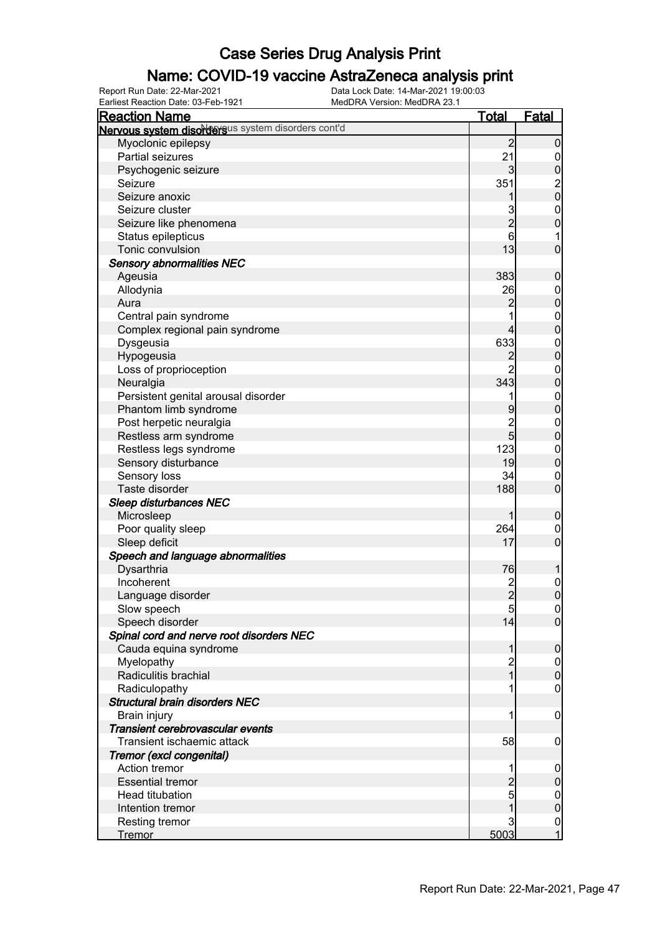### Name: COVID-19 vaccine AstraZeneca analysis print

Earliest Reaction Date: 03-Feb-1921 MedDRA Version: MedDRA 23.1

| <b>Reaction Name</b>                               | <b>Total</b>   | <b>Fatal</b>                           |
|----------------------------------------------------|----------------|----------------------------------------|
| Nervous system disordersus system disorders cont'd |                |                                        |
| Myoclonic epilepsy                                 | $\overline{2}$ | $\mathbf 0$                            |
| Partial seizures                                   | 21             | $\mathbf 0$                            |
| Psychogenic seizure                                | 3              | $\pmb{0}$                              |
| Seizure                                            | 351            |                                        |
| Seizure anoxic                                     |                | $\begin{bmatrix} 2 \\ 0 \end{bmatrix}$ |
| Seizure cluster                                    | 3              | $\mathbf{0}$                           |
| Seizure like phenomena                             | $\overline{c}$ | $\overline{0}$                         |
| Status epilepticus                                 | 6              | 1                                      |
| Tonic convulsion                                   | 13             | $\mathbf 0$                            |
| <b>Sensory abnormalities NEC</b>                   |                |                                        |
| Ageusia                                            | 383            | $\mathbf 0$                            |
| Allodynia                                          | 26             | $\boldsymbol{0}$                       |
| Aura                                               | $\overline{c}$ | $\mathbf 0$                            |
| Central pain syndrome                              |                | $\boldsymbol{0}$                       |
| Complex regional pain syndrome                     | 4              | $\overline{0}$                         |
| Dysgeusia                                          | 633            |                                        |
| Hypogeusia                                         | 2              | $\boldsymbol{0}$<br>$\mathbf 0$        |
| Loss of proprioception                             | $\overline{2}$ |                                        |
| Neuralgia                                          | 343            | $\boldsymbol{0}$<br>$\mathbf 0$        |
| Persistent genital arousal disorder                |                |                                        |
| Phantom limb syndrome                              |                | $\boldsymbol{0}$<br>$\overline{0}$     |
|                                                    | 9              |                                        |
| Post herpetic neuralgia                            | $\frac{2}{5}$  | $\boldsymbol{0}$                       |
| Restless arm syndrome                              |                | $\mathbf 0$                            |
| Restless legs syndrome                             | 123            | $\boldsymbol{0}$                       |
| Sensory disturbance                                | 19             | $\mathbf 0$                            |
| Sensory loss                                       | 34             | $\mathbf 0$                            |
| Taste disorder                                     | 188            | $\mathbf 0$                            |
| <b>Sleep disturbances NEC</b>                      |                |                                        |
| Microsleep                                         | 1              | $\mathbf 0$                            |
| Poor quality sleep                                 | 264            | $\boldsymbol{0}$                       |
| Sleep deficit                                      | 17             | $\mathbf 0$                            |
| Speech and language abnormalities                  |                |                                        |
| Dysarthria                                         | 76             | 1                                      |
| Incoherent                                         | $\frac{2}{2}$  | $\mathbf{0}$                           |
| Language disorder                                  |                | $\overline{0}$                         |
| Slow speech                                        | 5              | 0                                      |
| Speech disorder                                    | 14             | $\overline{0}$                         |
| Spinal cord and nerve root disorders NEC           |                |                                        |
| Cauda equina syndrome                              | 1              | $\boldsymbol{0}$                       |
| Myelopathy                                         | $\overline{c}$ | $\overline{0}$                         |
| Radiculitis brachial                               | $\overline{1}$ | $\mathbf 0$                            |
| Radiculopathy                                      |                | $\mathbf 0$                            |
| <b>Structural brain disorders NEC</b>              |                |                                        |
| Brain injury                                       | 1              | $\mathbf 0$                            |
| Transient cerebrovascular events                   |                |                                        |
| Transient ischaemic attack                         | 58             | $\boldsymbol{0}$                       |
| Tremor (excl congenital)                           |                |                                        |
| Action tremor                                      |                | $\boldsymbol{0}$                       |
| <b>Essential tremor</b>                            | $\overline{c}$ | $\pmb{0}$                              |
| Head titubation                                    | 5              | $\overline{0}$                         |
| Intention tremor                                   |                | $\pmb{0}$                              |
| <b>Resting tremor</b>                              | 3              | $\mathbf 0$                            |
| <b>Tremor</b>                                      | 5003           | $\mathbf{1}$                           |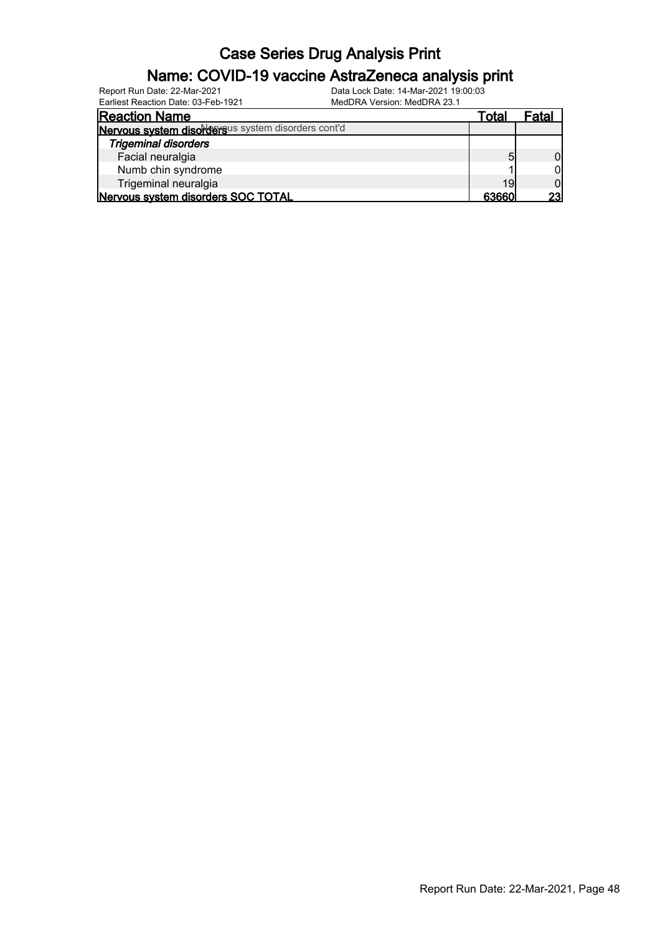#### Name: COVID-19 vaccine AstraZeneca analysis print

| Canical Reagaon Date, 00-1 GD-1921<br><u>MCUDINA VCISION. MCUDINA ZV. I</u> |       |       |
|-----------------------------------------------------------------------------|-------|-------|
| <b>Reaction Name</b>                                                        | Total | Fatal |
| Nervous system disordersus system disorders cont'd                          |       |       |
| <b>Trigeminal disorders</b>                                                 |       |       |
| Facial neuralgia                                                            | 5     |       |
| Numb chin syndrome                                                          |       |       |
| Trigeminal neuralgia                                                        | 19    |       |
| Nervous system disorders SOC TOTAL                                          | 63660 | 23    |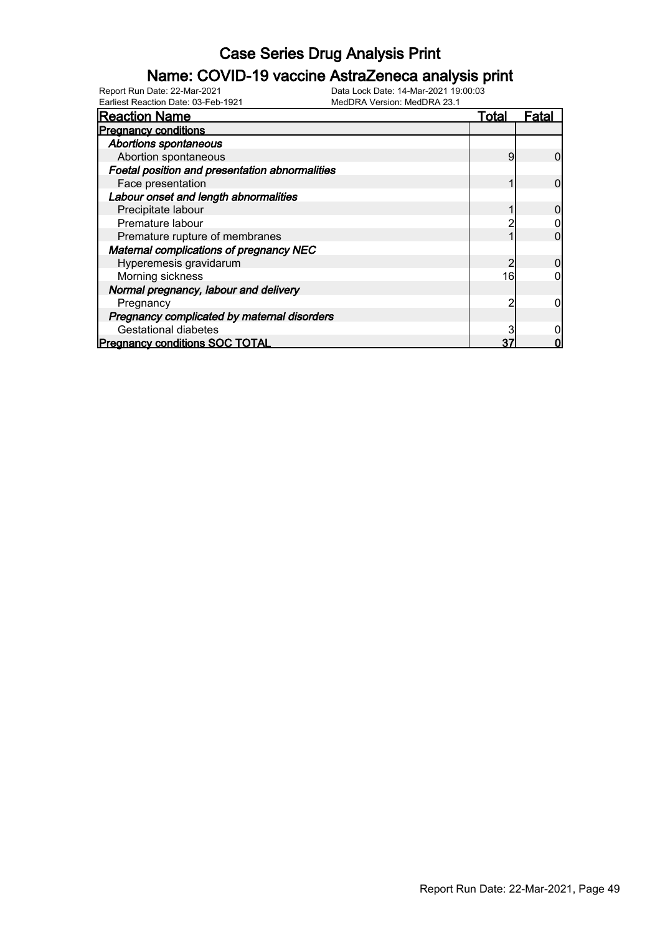### Name: COVID-19 vaccine AstraZeneca analysis print

Earliest Reaction Date: 03-Feb-1921 MedDRA Version: MedDRA 23.1

| <b>Reaction Name</b>                           | Total | -ata |
|------------------------------------------------|-------|------|
| <b>Pregnancy conditions</b>                    |       |      |
| <b>Abortions spontaneous</b>                   |       |      |
| Abortion spontaneous                           | 9     |      |
| Foetal position and presentation abnormalities |       |      |
| Face presentation                              |       |      |
| Labour onset and length abnormalities          |       |      |
| Precipitate labour                             |       |      |
| Premature labour                               |       |      |
| Premature rupture of membranes                 |       |      |
| <b>Maternal complications of pregnancy NEC</b> |       |      |
| Hyperemesis gravidarum                         |       |      |
| Morning sickness                               | 16    |      |
| Normal pregnancy, labour and delivery          |       |      |
| Pregnancy                                      | റ     |      |
| Pregnancy complicated by maternal disorders    |       |      |
| <b>Gestational diabetes</b>                    |       |      |
| <b>Pregnancy conditions SOC TOTAL</b>          | 37    |      |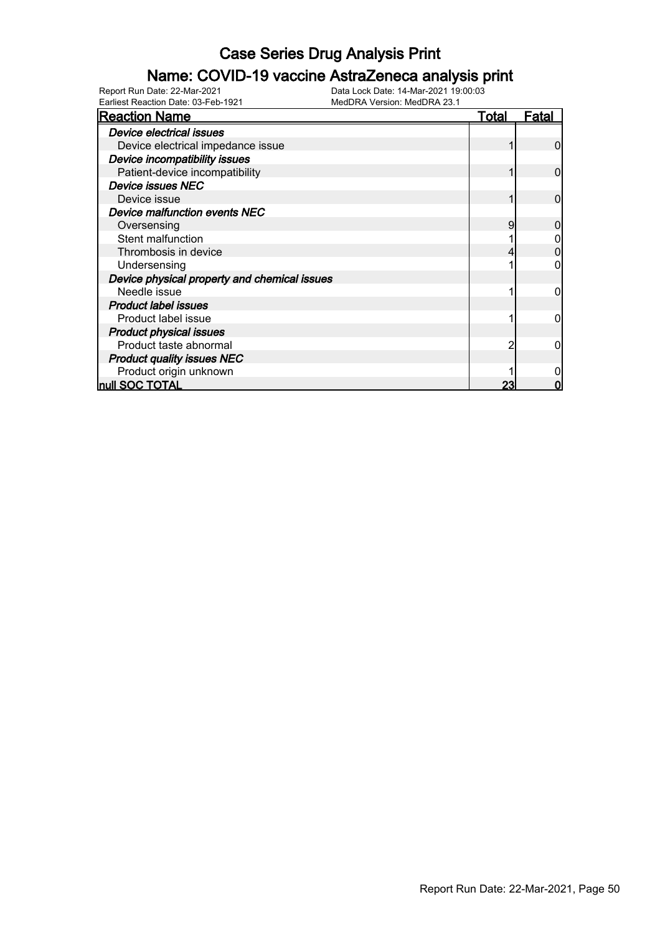### Name: COVID-19 vaccine AstraZeneca analysis print

Earliest Reaction Date: 03-Feb-1921 MedDRA Version: MedDRA 23.1

| <b>Reaction Name</b>                         | <u>Total</u> | <b>Fatal</b> |
|----------------------------------------------|--------------|--------------|
| Device electrical issues                     |              |              |
| Device electrical impedance issue            |              | O            |
| Device incompatibility issues                |              |              |
| Patient-device incompatibility               |              | O            |
| <b>Device issues NEC</b>                     |              |              |
| Device issue                                 |              |              |
| <b>Device malfunction events NEC</b>         |              |              |
| Oversensing                                  | 9            |              |
| Stent malfunction                            |              |              |
| Thrombosis in device                         |              |              |
| Undersensing                                 |              |              |
| Device physical property and chemical issues |              |              |
| Needle issue                                 |              |              |
| <b>Product label issues</b>                  |              |              |
| Product label issue                          |              |              |
| <b>Product physical issues</b>               |              |              |
| Product taste abnormal                       | 2            |              |
| <b>Product quality issues NEC</b>            |              |              |
| Product origin unknown                       |              |              |
| null SOC TOTAL                               | 23           |              |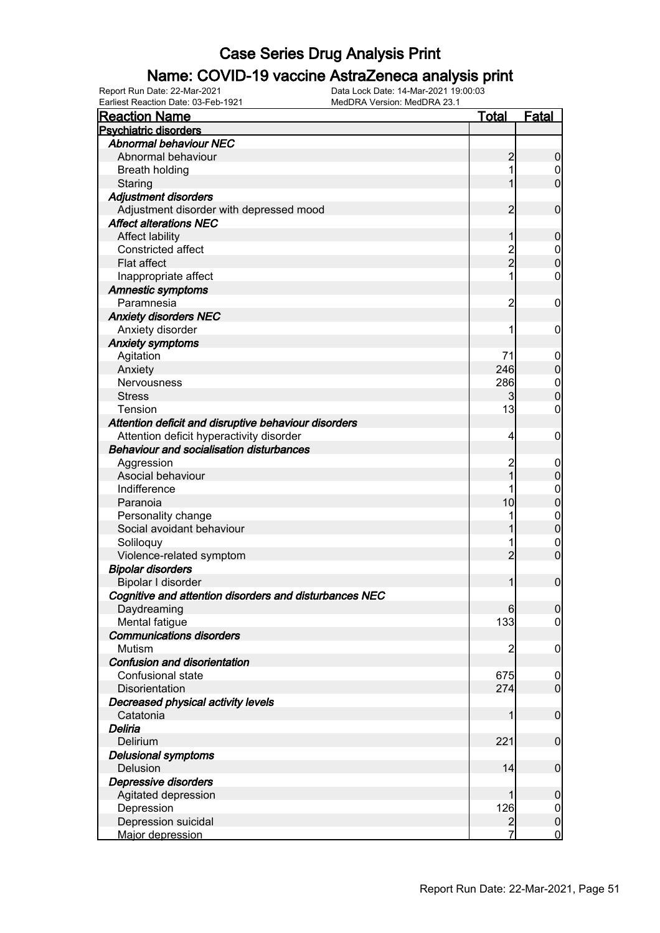### Name: COVID-19 vaccine AstraZeneca analysis print

Earliest Reaction Date: 03-Feb-1921 MedDRA Version: MedDRA 23.1

| <b>Reaction Name</b>                                   | <u>Total</u>   | <b>Fatal</b>        |
|--------------------------------------------------------|----------------|---------------------|
| <b>Psychiatric disorders</b>                           |                |                     |
| <b>Abnormal behaviour NEC</b>                          |                |                     |
| Abnormal behaviour                                     | 2              | 0                   |
| <b>Breath holding</b>                                  |                | $\boldsymbol{0}$    |
| Staring                                                |                | $\overline{0}$      |
| <b>Adjustment disorders</b>                            |                |                     |
| Adjustment disorder with depressed mood                | 2              | $\mathbf 0$         |
| <b>Affect alterations NEC</b>                          |                |                     |
| <b>Affect lability</b>                                 |                | 0                   |
| <b>Constricted affect</b>                              |                | $\mathbf 0$         |
| Flat affect                                            | 2<br>2         | $\overline{0}$      |
| Inappropriate affect                                   | 1              | 0                   |
| <b>Amnestic symptoms</b>                               |                |                     |
| Paramnesia                                             | 2              | 0                   |
| <b>Anxiety disorders NEC</b>                           |                |                     |
| Anxiety disorder                                       | 1              | 0                   |
| <b>Anxiety symptoms</b>                                |                |                     |
|                                                        | 71             |                     |
| Agitation                                              | 246            | $\overline{0}$<br>0 |
| Anxiety                                                |                |                     |
| Nervousness                                            | 286            | $\mathbf{0}$        |
| <b>Stress</b>                                          | 3              | O                   |
| Tension                                                | 13             | 0                   |
| Attention deficit and disruptive behaviour disorders   |                |                     |
| Attention deficit hyperactivity disorder               | 4              | 0                   |
| <b>Behaviour and socialisation disturbances</b>        |                |                     |
| Aggression                                             | $\overline{c}$ | $\mathbf 0$         |
| Asocial behaviour                                      |                | 0                   |
| Indifference                                           |                | 0                   |
| Paranoia                                               | 10             | 0                   |
| Personality change                                     |                | $\mathbf{0}$        |
| Social avoidant behaviour                              |                | 0                   |
| Soliloquy                                              |                | $\mathbf 0$         |
| Violence-related symptom                               | $\overline{2}$ | $\overline{0}$      |
| <b>Bipolar disorders</b>                               |                |                     |
| Bipolar I disorder                                     |                | $\mathbf{0}$        |
| Cognitive and attention disorders and disturbances NEC |                |                     |
| Daydreaming                                            | 6              | $\Omega$            |
| Mental fatigue                                         | 133            | $\overline{0}$      |
| <b>Communications disorders</b>                        |                |                     |
| Mutism                                                 | 2              | $\mathbf 0$         |
| Confusion and disorientation                           |                |                     |
| Confusional state                                      | 675            | $\mathbf 0$         |
| Disorientation                                         | 274            | $\overline{0}$      |
| Decreased physical activity levels                     |                |                     |
| Catatonia                                              |                | $\mathbf 0$         |
| Deliria                                                |                |                     |
| Delirium                                               | 221            | $\mathbf 0$         |
| <b>Delusional symptoms</b>                             |                |                     |
| Delusion                                               | 14             | $\mathbf 0$         |
| Depressive disorders                                   |                |                     |
| Agitated depression                                    |                | 0                   |
| Depression                                             | 126            | $\mathbf 0$         |
| Depression suicidal                                    | $\overline{a}$ | $\pmb{0}$           |
| Major depression                                       | 7              | $\mathbf 0$         |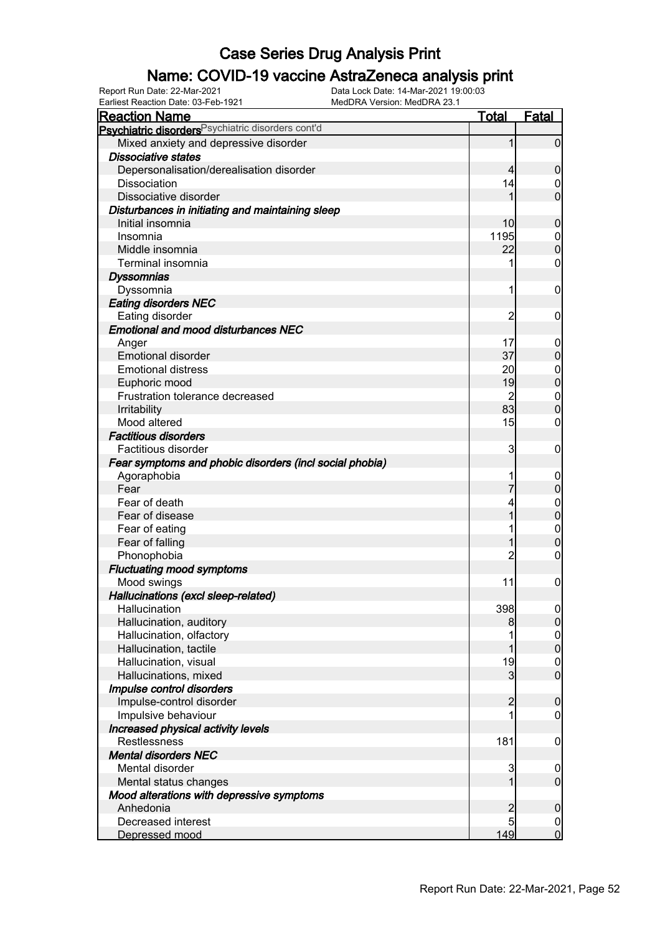### Name: COVID-19 vaccine AstraZeneca analysis print

Earliest Reaction Date: 03-Feb-1921 MedDRA Version: MedDRA 23.1

| <u>Reaction Name</u>                                    | <b>Total</b>   | <b>Fatal</b>     |
|---------------------------------------------------------|----------------|------------------|
| Psychiatric disorders Psychiatric disorders cont'd      |                |                  |
| Mixed anxiety and depressive disorder                   | 1              | $\overline{0}$   |
| <b>Dissociative states</b>                              |                |                  |
| Depersonalisation/derealisation disorder                | 4              | $\overline{0}$   |
| <b>Dissociation</b>                                     | 14             | 0                |
| Dissociative disorder                                   |                | $\mathbf 0$      |
| Disturbances in initiating and maintaining sleep        |                |                  |
| Initial insomnia                                        | 10             | $\mathbf 0$      |
| Insomnia                                                | 1195           | $\mathbf 0$      |
| Middle insomnia                                         | 22             | $\mathbf 0$      |
| Terminal insomnia                                       |                | 0                |
| <b>Dyssomnias</b>                                       |                |                  |
| Dyssomnia                                               | 1              | $\mathbf 0$      |
| <b>Eating disorders NEC</b>                             |                |                  |
| Eating disorder                                         | 2              | $\mathbf 0$      |
| <b>Emotional and mood disturbances NEC</b>              |                |                  |
| Anger                                                   | 17             | $\mathbf 0$      |
| <b>Emotional disorder</b>                               | 37             | $\overline{0}$   |
| <b>Emotional distress</b>                               | 20             | $\mathbf 0$      |
| Euphoric mood                                           | 19             | $\mathbf 0$      |
| Frustration tolerance decreased                         | $\overline{2}$ | $\mathbf 0$      |
| Irritability                                            | 83             | $\mathbf 0$      |
| Mood altered                                            | 15             | 0                |
| <b>Factitious disorders</b>                             |                |                  |
| Factitious disorder                                     | 3              | $\mathbf 0$      |
| Fear symptoms and phobic disorders (incl social phobia) |                |                  |
| Agoraphobia                                             |                | $\mathbf 0$      |
| Fear                                                    |                | $\boldsymbol{0}$ |
| Fear of death                                           |                | $\mathbf 0$      |
| Fear of disease                                         |                | $\mathbf 0$      |
| Fear of eating                                          |                | $\mathbf 0$      |
| Fear of falling                                         |                | $\mathbf 0$      |
| Phonophobia                                             | $\overline{c}$ | 0                |
| <b>Fluctuating mood symptoms</b>                        |                |                  |
| Mood swings                                             | 11             | $\boldsymbol{0}$ |
| Hallucinations (excl sleep-related)                     |                |                  |
| Hallucination                                           | 398            | 0                |
| Hallucination, auditory                                 | 8              | $\overline{0}$   |
| Hallucination, olfactory                                |                | $\mathbf 0$      |
| Hallucination, tactile                                  |                | $\overline{0}$   |
| Hallucination, visual                                   | 19             | $\mathbf 0$      |
| Hallucinations, mixed                                   | 3              | $\overline{0}$   |
| Impulse control disorders                               |                |                  |
| Impulse-control disorder                                | $\overline{c}$ | $\boldsymbol{0}$ |
| Impulsive behaviour                                     |                | 0                |
| Increased physical activity levels                      |                |                  |
| <b>Restlessness</b>                                     | 181            | $\mathbf 0$      |
| <b>Mental disorders NEC</b>                             |                |                  |
| Mental disorder                                         | 3              | $\mathbf 0$      |
| Mental status changes                                   | 1              | $\overline{0}$   |
| Mood alterations with depressive symptoms               |                |                  |
| Anhedonia                                               | $\overline{c}$ | $\boldsymbol{0}$ |
| Decreased interest                                      | 5              | $\overline{0}$   |
| Depressed mood                                          | 149            | $\mathbf 0$      |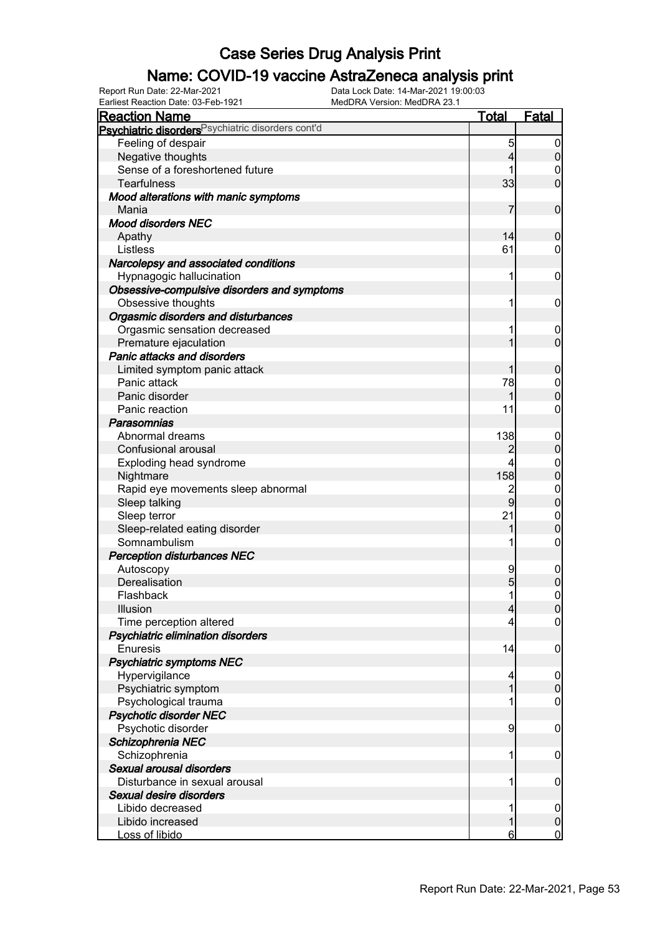### Name: COVID-19 vaccine AstraZeneca analysis print

Earliest Reaction Date: 03-Feb-1921 MedDRA Version: MedDRA 23.1

| <b>Reaction Name</b>                                          | <u>Total</u>   | Fatal                           |
|---------------------------------------------------------------|----------------|---------------------------------|
| Psychiatric disorders <sup>Psychiatric disorders cont'd</sup> |                |                                 |
| Feeling of despair                                            | 5              | $\boldsymbol{0}$                |
| Negative thoughts                                             | 4              | $\overline{0}$                  |
| Sense of a foreshortened future                               |                | 0                               |
| <b>Tearfulness</b>                                            | 33             | $\overline{0}$                  |
| Mood alterations with manic symptoms                          |                |                                 |
| Mania                                                         | 7              | $\mathbf 0$                     |
| <b>Mood disorders NEC</b>                                     |                |                                 |
| Apathy                                                        | 14             | $\boldsymbol{0}$                |
| Listless                                                      | 61             | 0                               |
| Narcolepsy and associated conditions                          |                |                                 |
| Hypnagogic hallucination                                      | 1              | $\mathbf 0$                     |
| Obsessive-compulsive disorders and symptoms                   |                |                                 |
| Obsessive thoughts                                            | 1              | $\mathbf 0$                     |
| Orgasmic disorders and disturbances                           |                |                                 |
| Orgasmic sensation decreased                                  |                | $\mathbf 0$                     |
| Premature ejaculation                                         |                | $\mathbf 0$                     |
| <b>Panic attacks and disorders</b>                            |                |                                 |
|                                                               |                | $\mathbf 0$                     |
| Limited symptom panic attack<br>Panic attack                  | 78             |                                 |
| Panic disorder                                                |                | $\boldsymbol{0}$<br>$\mathbf 0$ |
| Panic reaction                                                | 11             |                                 |
|                                                               |                | 0                               |
| Parasomnias                                                   |                |                                 |
| Abnormal dreams                                               | 138            | $\mathbf 0$<br>$\boldsymbol{0}$ |
| Confusional arousal                                           | 2              |                                 |
| Exploding head syndrome                                       | 4              | $\boldsymbol{0}$                |
| Nightmare                                                     | 158            | $\mathbf 0$                     |
| Rapid eye movements sleep abnormal                            | $\overline{c}$ | $\boldsymbol{0}$                |
| Sleep talking                                                 | 9              | $\mathbf 0$                     |
| Sleep terror                                                  | 21             | $\boldsymbol{0}$                |
| Sleep-related eating disorder                                 |                | $\overline{0}$                  |
| Somnambulism                                                  | 1              | $\boldsymbol{0}$                |
| <b>Perception disturbances NEC</b>                            |                |                                 |
| Autoscopy                                                     | 9              | $\mathbf 0$                     |
| Derealisation                                                 | 5              | $\overline{0}$                  |
| Flashback                                                     | 1              | $\mathbf 0$                     |
| Illusion                                                      | 4              | 0                               |
| Time perception altered                                       | 4              | $\mathbf 0$                     |
| Psychiatric elimination disorders                             |                |                                 |
| Enuresis                                                      | 14             | $\mathbf 0$                     |
| <b>Psychiatric symptoms NEC</b>                               |                |                                 |
| Hypervigilance                                                | 4              | $\mathbf 0$                     |
| Psychiatric symptom                                           | 1              | $\boldsymbol{0}$                |
| Psychological trauma                                          |                | 0                               |
| <b>Psychotic disorder NEC</b>                                 |                |                                 |
| Psychotic disorder                                            | 9              | $\mathbf 0$                     |
| Schizophrenia NEC                                             |                |                                 |
| Schizophrenia                                                 | 1              | $\mathbf 0$                     |
| Sexual arousal disorders                                      |                |                                 |
| Disturbance in sexual arousal                                 | 1              | $\mathbf 0$                     |
| Sexual desire disorders                                       |                |                                 |
| Libido decreased                                              |                | $\mathbf 0$                     |
| Libido increased                                              |                | $\pmb{0}$                       |
| Loss of libido                                                | 6              | $\mathbf 0$                     |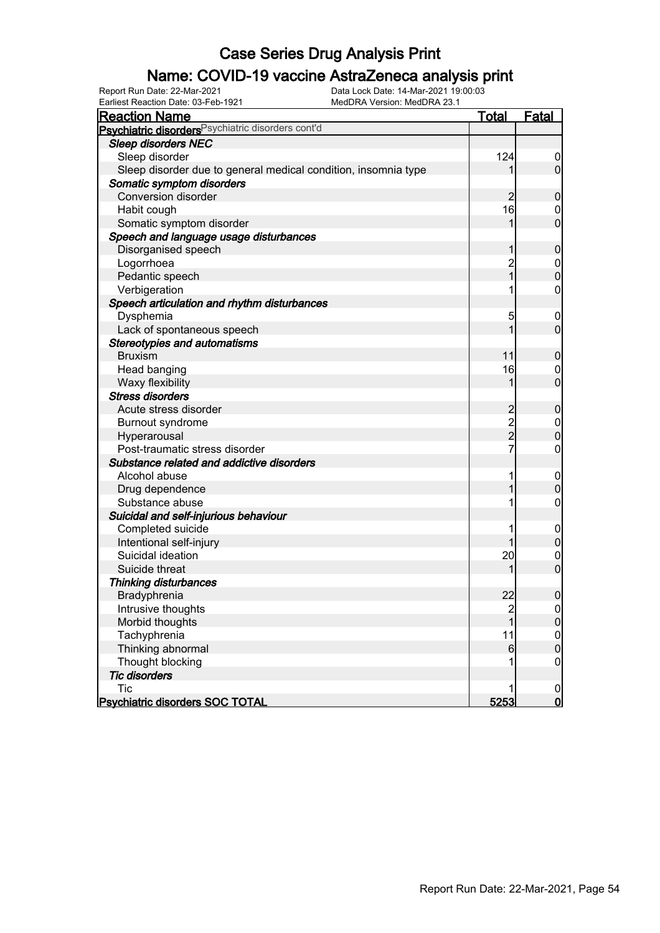### Name: COVID-19 vaccine AstraZeneca analysis print

Earliest Reaction Date: 03-Feb-1921 MedDRA Version: MedDRA 23.1

| <b>Reaction Name</b>                                           | <b>Total</b>                               | <b>Fatal</b>     |
|----------------------------------------------------------------|--------------------------------------------|------------------|
| Psychiatric disorders Psychiatric disorders cont'd             |                                            |                  |
| <b>Sleep disorders NEC</b>                                     |                                            |                  |
| Sleep disorder                                                 | 124                                        | $\boldsymbol{0}$ |
| Sleep disorder due to general medical condition, insomnia type | 1                                          | $\overline{0}$   |
| Somatic symptom disorders                                      |                                            |                  |
| <b>Conversion disorder</b>                                     | $\overline{2}$                             | $\mathbf 0$      |
| Habit cough                                                    | 16                                         | 0                |
| Somatic symptom disorder                                       | 1                                          | $\mathbf 0$      |
| Speech and language usage disturbances                         |                                            |                  |
| Disorganised speech                                            | 1                                          | $\mathbf 0$      |
| Logorrhoea                                                     |                                            | $\mathbf 0$      |
| Pedantic speech                                                | 2<br>1                                     | $\mathbf 0$      |
| Verbigeration                                                  |                                            | $\boldsymbol{0}$ |
| Speech articulation and rhythm disturbances                    |                                            |                  |
| Dysphemia                                                      | 5                                          | $\mathbf 0$      |
| Lack of spontaneous speech                                     | 1                                          | $\mathbf 0$      |
| <b>Stereotypies and automatisms</b>                            |                                            |                  |
| <b>Bruxism</b>                                                 | 11                                         | $\mathbf 0$      |
| Head banging                                                   | 16                                         | 0                |
| Waxy flexibility                                               | 1                                          | $\mathbf 0$      |
| <b>Stress disorders</b>                                        |                                            |                  |
| Acute stress disorder                                          |                                            | $\mathbf 0$      |
| Burnout syndrome                                               | $\begin{array}{c} 2 \\ 2 \\ 2 \end{array}$ | $\mathbf 0$      |
| Hyperarousal                                                   |                                            | $\mathbf 0$      |
| Post-traumatic stress disorder                                 | 7                                          | $\boldsymbol{0}$ |
| Substance related and addictive disorders                      |                                            |                  |
| Alcohol abuse                                                  |                                            | $\mathbf 0$      |
| Drug dependence                                                |                                            | $\mathbf 0$      |
| Substance abuse                                                |                                            | $\boldsymbol{0}$ |
| Suicidal and self-injurious behaviour                          |                                            |                  |
| Completed suicide                                              |                                            | $\overline{0}$   |
| Intentional self-injury                                        |                                            | $\boldsymbol{0}$ |
| Suicidal ideation                                              | 20                                         | $\mathbf 0$      |
| Suicide threat                                                 |                                            | $\overline{0}$   |
| <b>Thinking disturbances</b>                                   |                                            |                  |
| Bradyphrenia                                                   | 22                                         | $\boldsymbol{0}$ |
| Intrusive thoughts                                             | $\frac{2}{1}$                              | 0                |
| Morbid thoughts                                                |                                            | $\mathbf 0$      |
| Tachyphrenia                                                   | 11                                         | $\mathbf 0$      |
| Thinking abnormal                                              | $6 \overline{6}$                           | $\overline{0}$   |
| Thought blocking                                               |                                            | $\mathbf 0$      |
| <b>Tic disorders</b>                                           |                                            |                  |
| <b>Tic</b>                                                     |                                            | $\mathbf 0$      |
| <b>Psychiatric disorders SOC TOTAL</b>                         | 5253                                       | $\overline{0}$   |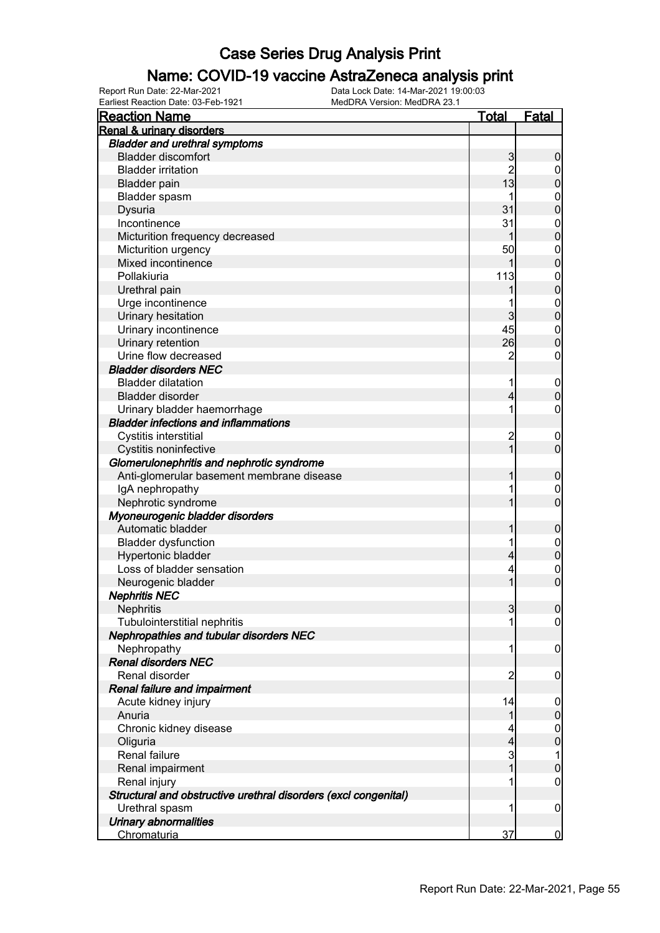#### Name: COVID-19 vaccine AstraZeneca analysis print

Earliest Reaction Date: 03-Feb-1921 MedDRA Version: MedDRA 23.1

| <b>Reaction Name</b>                                            | Total          | Fatal            |
|-----------------------------------------------------------------|----------------|------------------|
| Renal & urinary disorders                                       |                |                  |
| <b>Bladder and urethral symptoms</b>                            |                |                  |
| <b>Bladder discomfort</b>                                       | 3              | 0                |
| <b>Bladder irritation</b>                                       | $\overline{c}$ | 0                |
| <b>Bladder pain</b>                                             | 13             | 0                |
| Bladder spasm                                                   |                | 0                |
| Dysuria                                                         | 31             | 0                |
| Incontinence                                                    | 31             | 0                |
| Micturition frequency decreased                                 |                | 0                |
| Micturition urgency                                             | 50             | $\mathbf 0$      |
| Mixed incontinence                                              |                | 0                |
| Pollakiuria                                                     | 113            | $\mathbf{0}$     |
| Urethral pain                                                   |                | 0                |
| Urge incontinence                                               |                | $\mathbf{0}$     |
| Urinary hesitation                                              | 3              | 0                |
| Urinary incontinence                                            | 45             | $\mathbf{0}$     |
| Urinary retention                                               | 26             | O                |
| Urine flow decreased                                            | $\overline{2}$ | 0                |
| <b>Bladder disorders NEC</b>                                    |                |                  |
| <b>Bladder dilatation</b>                                       | 1              | $\mathbf 0$      |
| Bladder disorder                                                | 4              | 0                |
| Urinary bladder haemorrhage                                     | 1              | 0                |
| <b>Bladder infections and inflammations</b>                     |                |                  |
| Cystitis interstitial                                           | 2              | 0                |
| Cystitis noninfective                                           |                | 0                |
| Glomerulonephritis and nephrotic syndrome                       |                |                  |
| Anti-glomerular basement membrane disease                       |                | 0                |
| IgA nephropathy                                                 |                | 0                |
| Nephrotic syndrome                                              |                | 0                |
| Myoneurogenic bladder disorders                                 |                |                  |
| Automatic bladder                                               |                | 0                |
| <b>Bladder dysfunction</b>                                      |                | $\mathbf 0$      |
| Hypertonic bladder                                              | 4              | 0                |
| Loss of bladder sensation                                       | 4              | 0                |
| Neurogenic bladder                                              |                | 0                |
| <b>Nephritis NEC</b>                                            |                |                  |
| Nephritis                                                       | 3              | $\overline{0}$   |
| <b>Tubulointerstitial nephritis</b>                             | 1              | $\boldsymbol{0}$ |
| Nephropathies and tubular disorders NEC                         |                |                  |
| Nephropathy                                                     | 1              | 0                |
| <b>Renal disorders NEC</b>                                      |                |                  |
| Renal disorder                                                  | 2              | 0                |
| Renal failure and impairment                                    |                |                  |
| Acute kidney injury                                             | 14             | 0                |
| Anuria                                                          | 1              | 0                |
| Chronic kidney disease                                          | 4              | 0                |
| Oliguria                                                        | 4              | 0                |
| Renal failure                                                   | 3              | 1                |
| Renal impairment                                                |                | 0                |
| Renal injury                                                    |                | 0                |
| Structural and obstructive urethral disorders (excl congenital) |                |                  |
| Urethral spasm                                                  | 1              | $\mathbf 0$      |
| Urinary abnormalities                                           |                |                  |
| Chromaturia                                                     | 37             | $\overline{0}$   |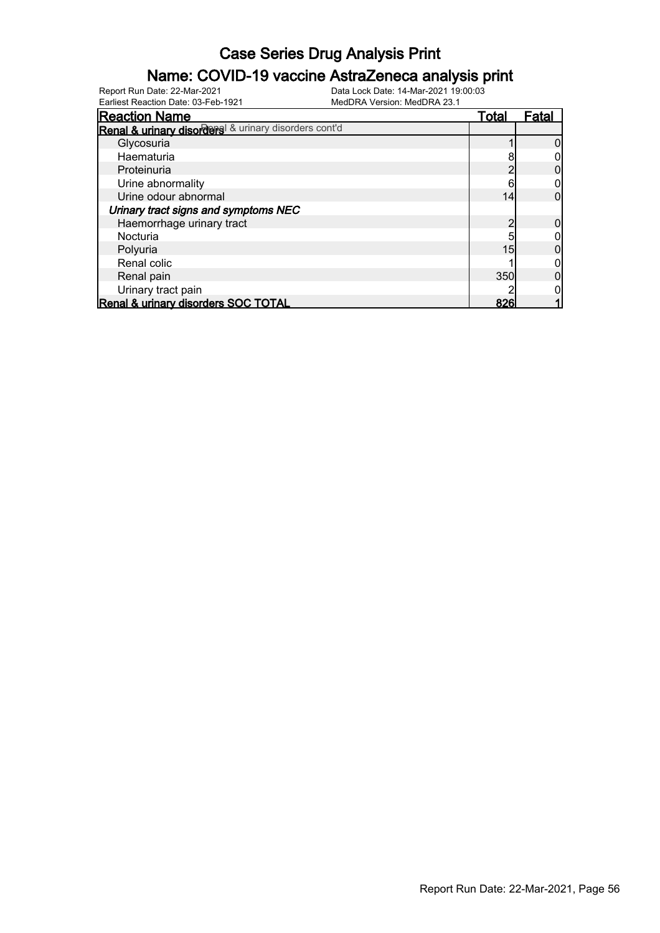#### Name: COVID-19 vaccine AstraZeneca analysis print

Earliest Reaction Date: 03-Feb-1921 MedDRA Version: MedDRA 23.1

| <b>Reaction Name</b>                                 | <u>Total</u> | Fatal |
|------------------------------------------------------|--------------|-------|
| Renal & urinary disorders & urinary disorders cont'd |              |       |
| Glycosuria                                           |              |       |
| Haematuria                                           |              |       |
| Proteinuria                                          |              |       |
| Urine abnormality                                    |              |       |
| Urine odour abnormal                                 | 14           |       |
| Urinary tract signs and symptoms NEC                 |              |       |
| Haemorrhage urinary tract                            |              |       |
| Nocturia                                             |              |       |
| Polyuria                                             | 15           |       |
| Renal colic                                          |              |       |
| Renal pain                                           | 350          |       |
| Urinary tract pain                                   |              |       |
| Renal & urinary disorders SOC TOTAL                  | 826          |       |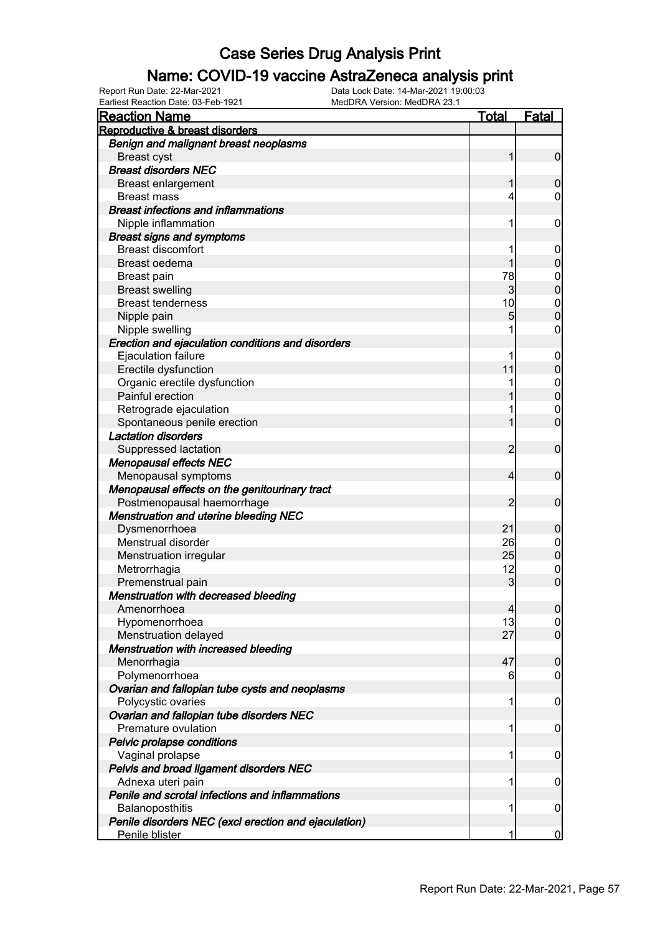### Name: COVID-19 vaccine AstraZeneca analysis print

Earliest Reaction Date: 03-Feb-1921 MedDRA Version: MedDRA 23.1

| <b>Reaction Name</b>                                 | <b>Total</b>   | <b>Fatal</b>                     |
|------------------------------------------------------|----------------|----------------------------------|
| Reproductive & breast disorders                      |                |                                  |
| Benign and malignant breast neoplasms                |                |                                  |
| <b>Breast cyst</b>                                   | 1              | $\overline{0}$                   |
| <b>Breast disorders NEC</b>                          |                |                                  |
| <b>Breast enlargement</b>                            | 1              | $\mathbf 0$                      |
| <b>Breast mass</b>                                   | 4              | $\mathbf 0$                      |
| <b>Breast infections and inflammations</b>           |                |                                  |
| Nipple inflammation                                  | 1              | $\mathbf 0$                      |
| <b>Breast signs and symptoms</b>                     |                |                                  |
| <b>Breast discomfort</b>                             | 1              | $\mathbf 0$                      |
| Breast oedema                                        | 1              | $\boldsymbol{0}$                 |
| <b>Breast pain</b>                                   | 78             | $\boldsymbol{0}$                 |
| <b>Breast swelling</b>                               | 3              | $\overline{0}$                   |
| <b>Breast tenderness</b>                             | 10             | $\begin{matrix}0\\0\end{matrix}$ |
| Nipple pain                                          | 5              |                                  |
| Nipple swelling                                      |                | $\mathbf 0$                      |
| Erection and ejaculation conditions and disorders    |                |                                  |
| Ejaculation failure                                  | 1              | $\mathbf 0$                      |
| Erectile dysfunction                                 | 11             | $\mathbf 0$                      |
| Organic erectile dysfunction                         |                | $0\atop 0$                       |
| Painful erection                                     |                |                                  |
| Retrograde ejaculation                               |                | $\mathbf 0$                      |
| Spontaneous penile erection                          | 1              | $\overline{0}$                   |
| <b>Lactation disorders</b>                           |                |                                  |
| Suppressed lactation                                 | 2              | $\mathbf 0$                      |
| <b>Menopausal effects NEC</b>                        |                |                                  |
| Menopausal symptoms                                  | 4              | $\mathbf 0$                      |
| Menopausal effects on the genitourinary tract        |                |                                  |
| Postmenopausal haemorrhage                           | 2              | $\mathbf 0$                      |
| <b>Menstruation and uterine bleeding NEC</b>         |                |                                  |
| Dysmenorrhoea                                        | 21             | $\mathbf 0$                      |
| Menstrual disorder                                   | 26             | $\boldsymbol{0}$                 |
| Menstruation irregular                               | 25             | $\mathbf 0$                      |
| Metrorrhagia                                         | 12             | $\mathbf 0$                      |
| Premenstrual pain                                    | 3              | $\overline{0}$                   |
| <b>Menstruation with decreased bleeding</b>          |                |                                  |
| Amenorrhoea                                          | $\overline{4}$ | 0                                |
| Hypomenorrhoea                                       | 13             | $\overline{0}$                   |
| Menstruation delayed                                 | 27             | $\overline{0}$                   |
| Menstruation with increased bleeding                 |                |                                  |
| Menorrhagia                                          | 47             | $\mathbf 0$                      |
| Polymenorrhoea                                       | 6              | $\overline{0}$                   |
| Ovarian and fallopian tube cysts and neoplasms       |                |                                  |
| Polycystic ovaries                                   | 1              | $\mathbf 0$                      |
| Ovarian and fallopian tube disorders NEC             |                |                                  |
| Premature ovulation                                  | 1              | $\mathbf 0$                      |
| Pelvic prolapse conditions                           |                |                                  |
| Vaginal prolapse                                     | 1              | $\mathbf 0$                      |
| Pelvis and broad ligament disorders NEC              |                |                                  |
| Adnexa uteri pain                                    | 1              | $\mathbf 0$                      |
| Penile and scrotal infections and inflammations      |                |                                  |
| Balanoposthitis                                      | 1              | $\mathbf 0$                      |
| Penile disorders NEC (excl erection and ejaculation) |                |                                  |
| Penile blister                                       | 1              | $\overline{0}$                   |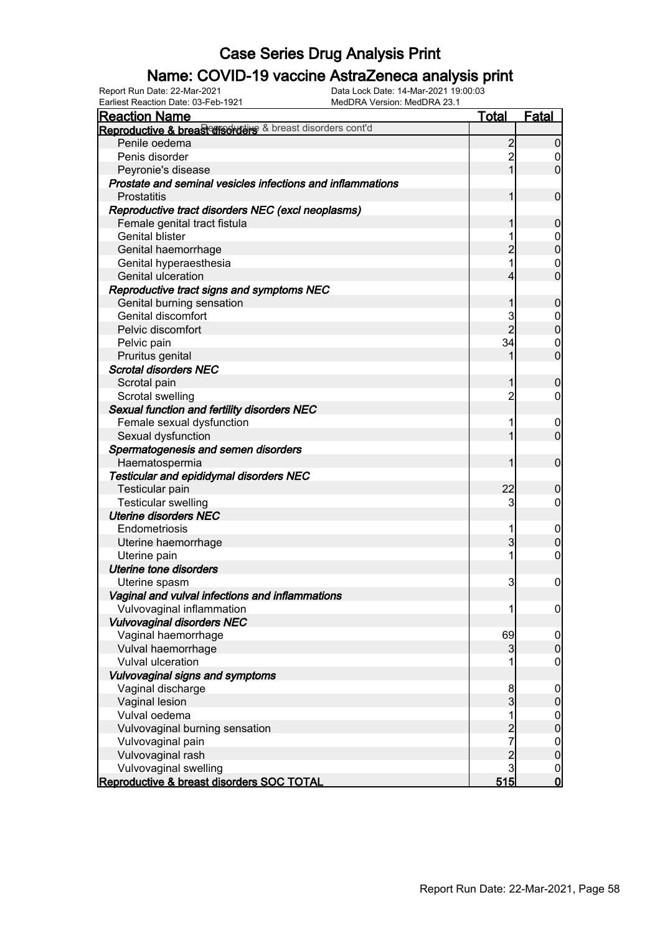### Name: COVID-19 vaccine AstraZeneca analysis print

| <b>Reaction Name</b>                                       | <b>Total</b>   | Fatal            |
|------------------------------------------------------------|----------------|------------------|
| Reproductive & breascores of a breast disorders cont'd     |                |                  |
| Penile oedema                                              | $\overline{c}$ | $\overline{0}$   |
| Penis disorder                                             | $\overline{c}$ | 0                |
| Peyronie's disease                                         | 1              | $\overline{0}$   |
| Prostate and seminal vesicles infections and inflammations |                |                  |
| <b>Prostatitis</b>                                         |                | $\mathbf 0$      |
| Reproductive tract disorders NEC (excl neoplasms)          |                |                  |
| Female genital tract fistula                               |                | $\boldsymbol{0}$ |
| <b>Genital blister</b>                                     |                | $\boldsymbol{0}$ |
| Genital haemorrhage                                        | $\overline{2}$ | $\overline{0}$   |
| Genital hyperaesthesia                                     |                | $\mathbf 0$      |
| Genital ulceration                                         | 4              | $\overline{0}$   |
| Reproductive tract signs and symptoms NEC                  |                |                  |
| Genital burning sensation                                  |                | $\boldsymbol{0}$ |
| Genital discomfort                                         | 3              | $\boldsymbol{0}$ |
| Pelvic discomfort                                          | $\overline{2}$ | $\overline{0}$   |
| Pelvic pain                                                | 34             | $\mathbf 0$      |
| Pruritus genital                                           |                | $\overline{0}$   |
| <b>Scrotal disorders NEC</b>                               |                |                  |
| Scrotal pain                                               | 1              | $\boldsymbol{0}$ |
| Scrotal swelling                                           | $\overline{c}$ | $\mathbf 0$      |
| Sexual function and fertility disorders NEC                |                |                  |
| Female sexual dysfunction                                  |                | $\mathbf 0$      |
| Sexual dysfunction                                         |                | $\mathbf 0$      |
| Spermatogenesis and semen disorders                        |                |                  |
| Haematospermia                                             | 1              | $\mathbf 0$      |
| <b>Testicular and epididymal disorders NEC</b>             |                |                  |
| <b>Testicular pain</b>                                     | 22             | $\boldsymbol{0}$ |
| <b>Testicular swelling</b>                                 | 3              | 0                |
| <b>Uterine disorders NEC</b>                               |                |                  |
| Endometriosis                                              |                | $\mathbf 0$      |
| Uterine haemorrhage                                        | 3              | $\mathbf 0$      |
| Uterine pain                                               |                | $\boldsymbol{0}$ |
| <b>Uterine tone disorders</b>                              |                |                  |
| Uterine spasm                                              | 3              | $\boldsymbol{0}$ |
| Vaginal and vulval infections and inflammations            |                |                  |
| Vulvovaginal inflammation                                  | 1              | $\overline{0}$   |
| <b>Vulvovaginal disorders NEC</b>                          |                |                  |
| Vaginal haemorrhage                                        | 69             | $\overline{0}$   |
| Vulval haemorrhage                                         | 3              | $\boldsymbol{0}$ |
| Vulval ulceration                                          |                | $\mathbf 0$      |
| Vulvovaginal signs and symptoms                            |                |                  |
| Vaginal discharge                                          | 8              | $\mathbf 0$      |
| Vaginal lesion                                             | 3              | $\pmb{0}$        |
| Vulval oedema                                              | 1              | $\boldsymbol{0}$ |
| Vulvovaginal burning sensation                             | $\overline{2}$ | $\mathbf 0$      |
| Vulvovaginal pain                                          | 7              | $\overline{0}$   |
| Vulvovaginal rash                                          | $\overline{c}$ | $\pmb{0}$        |
| Vulvovaginal swelling                                      | 3              | $\mathbf 0$      |
| Reproductive & breast disorders SOC TOTAL                  | 515            | $\mathbf 0$      |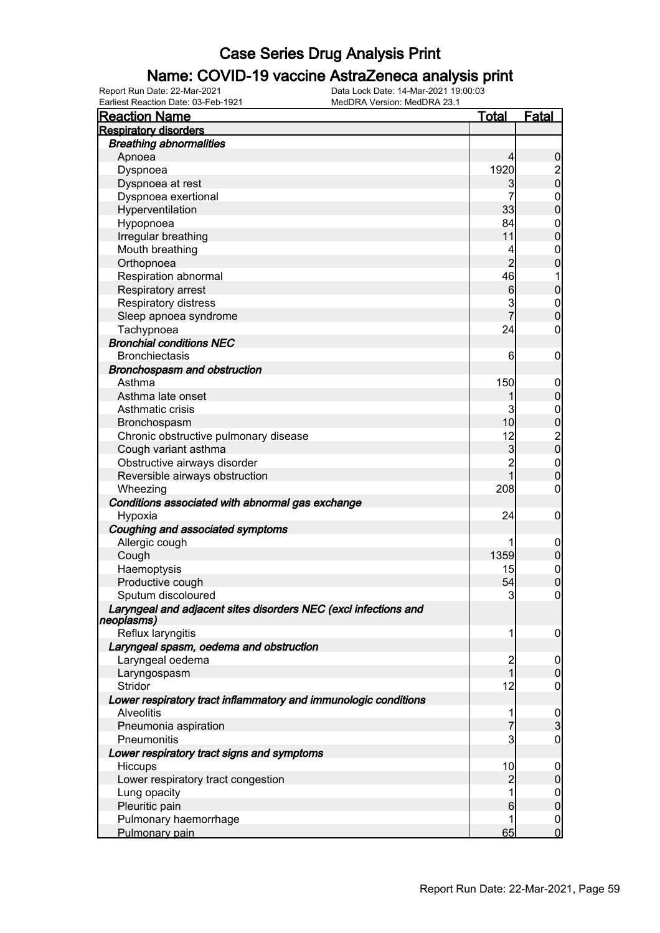### Name: COVID-19 vaccine AstraZeneca analysis print

| <b>Reaction Name</b>                                                          | <u>Total</u>   | <u>Fatal</u>                                 |
|-------------------------------------------------------------------------------|----------------|----------------------------------------------|
| <b>Respiratory disorders</b>                                                  |                |                                              |
| <b>Breathing abnormalities</b>                                                |                |                                              |
| Apnoea                                                                        |                | $\boldsymbol{0}$                             |
| Dyspnoea                                                                      | 1920           | $\frac{2}{0}$                                |
| Dyspnoea at rest                                                              | 3              |                                              |
| Dyspnoea exertional                                                           | 7              | $\begin{matrix}0\\0\end{matrix}$             |
| Hyperventilation                                                              | 33             |                                              |
| Hypopnoea                                                                     | 84             | $\begin{matrix}0\\0\end{matrix}$             |
| Irregular breathing                                                           | 11             |                                              |
| Mouth breathing                                                               | 4              | $\mathbf{0}$                                 |
| Orthopnoea                                                                    | $\overline{2}$ | $\overline{0}$                               |
| Respiration abnormal                                                          | 46             | $\mathbf 1$                                  |
| Respiratory arrest                                                            | 6              | $\mathbf 0$                                  |
| Respiratory distress                                                          | 3              | $\begin{matrix} 0 \\ 0 \end{matrix}$         |
| Sleep apnoea syndrome                                                         | 7              |                                              |
| Tachypnoea                                                                    | 24             | $\mathbf 0$                                  |
| <b>Bronchial conditions NEC</b>                                               |                |                                              |
| <b>Bronchiectasis</b>                                                         | 6              | $\mathbf 0$                                  |
| Bronchospasm and obstruction                                                  |                |                                              |
| Asthma                                                                        | 150            | $\mathbf 0$                                  |
| Asthma late onset                                                             |                | $\pmb{0}$                                    |
| Asthmatic crisis                                                              | 3              | $\begin{array}{c}\n0 \\ 0 \\ 0\n\end{array}$ |
| Bronchospasm                                                                  | 10             |                                              |
| Chronic obstructive pulmonary disease                                         | 12             |                                              |
| Cough variant asthma                                                          | 3              |                                              |
| Obstructive airways disorder                                                  | $\overline{2}$ | $\begin{matrix}0\\0\end{matrix}$             |
| Reversible airways obstruction                                                | $\overline{1}$ |                                              |
| Wheezing                                                                      | 208            | $\pmb{0}$                                    |
| Conditions associated with abnormal gas exchange                              |                |                                              |
| Hypoxia                                                                       | 24             | $\mathbf 0$                                  |
| Coughing and associated symptoms                                              |                |                                              |
| Allergic cough                                                                |                | $\mathbf 0$                                  |
| Cough                                                                         | 1359           | $\pmb{0}$                                    |
| Haemoptysis                                                                   | 15             | $\begin{matrix} 0 \\ 0 \end{matrix}$         |
| Productive cough                                                              | 54             |                                              |
| Sputum discoloured                                                            | 3              | $\pmb{0}$                                    |
| Laryngeal and adjacent sites disorders NEC (excl infections and<br>neoplasms) |                |                                              |
| Reflux laryngitis                                                             | 1              | $\boldsymbol{0}$                             |
| Laryngeal spasm, oedema and obstruction                                       |                |                                              |
| Laryngeal oedema                                                              | $\overline{c}$ | $\overline{0}$                               |
| Laryngospasm                                                                  | $\overline{1}$ | $\overline{0}$                               |
| Stridor                                                                       | 12             | 0                                            |
| Lower respiratory tract inflammatory and immunologic conditions               |                |                                              |
| Alveolitis                                                                    | 1              | $\frac{0}{3}$                                |
| Pneumonia aspiration                                                          | $\overline{7}$ |                                              |
| Pneumonitis                                                                   | 3              | $\mathbf 0$                                  |
| Lower respiratory tract signs and symptoms                                    |                |                                              |
| Hiccups                                                                       | 10             | $\mathbf 0$                                  |
| Lower respiratory tract congestion                                            | $\overline{c}$ | $\mathbf 0$                                  |
| Lung opacity                                                                  | 1              | $\mathbf 0$                                  |
| Pleuritic pain                                                                | 6              | $\overline{0}$                               |
| Pulmonary haemorrhage                                                         | 1              | $\begin{matrix}0\\0\end{matrix}$             |
| Pulmonary pain                                                                | 65             |                                              |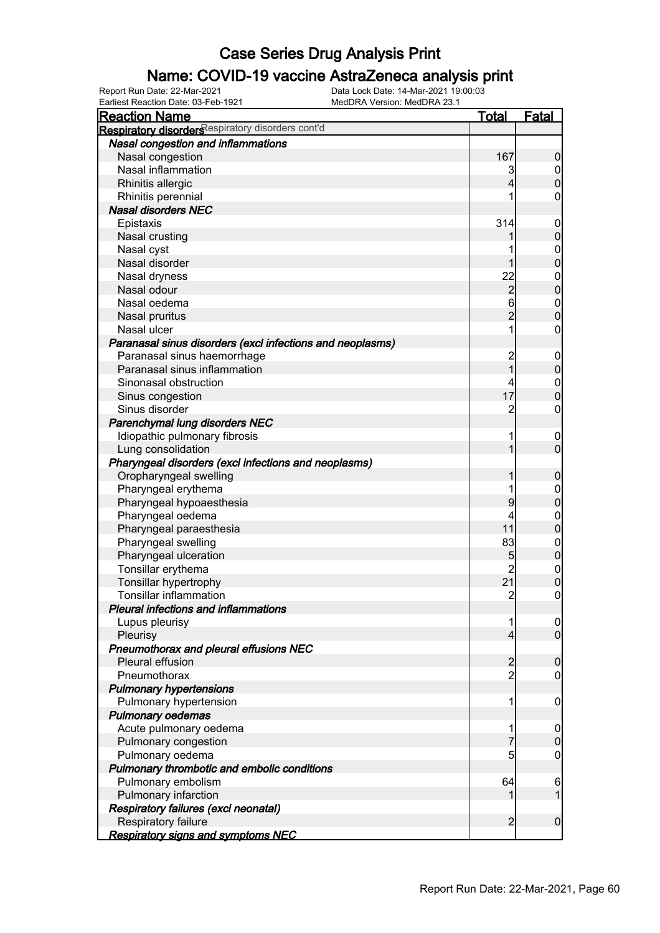### Name: COVID-19 vaccine AstraZeneca analysis print

| <b>Reaction Name</b>                                      | <b>Total</b>   | <b>Fatal</b>     |
|-----------------------------------------------------------|----------------|------------------|
| Respiratory disorders espiratory disorders cont'd         |                |                  |
| Nasal congestion and inflammations                        |                |                  |
| Nasal congestion                                          | 167            | $\boldsymbol{0}$ |
| Nasal inflammation                                        | 3              | $\overline{0}$   |
| Rhinitis allergic                                         | 4              | $\boldsymbol{0}$ |
| Rhinitis perennial                                        |                | 0                |
| <b>Nasal disorders NEC</b>                                |                |                  |
| Epistaxis                                                 | 314            | $\mathbf 0$      |
| Nasal crusting                                            |                | $\mathbf 0$      |
| Nasal cyst                                                |                | $\boldsymbol{0}$ |
| Nasal disorder                                            |                | $\mathbf 0$      |
| Nasal dryness                                             | 22             | $\boldsymbol{0}$ |
| Nasal odour                                               | $\overline{c}$ | $\overline{0}$   |
| Nasal oedema                                              | 6              | $\boldsymbol{0}$ |
| Nasal pruritus                                            | $\overline{2}$ | $\mathbf 0$      |
| Nasal ulcer                                               | 1              | $\mathbf 0$      |
| Paranasal sinus disorders (excl infections and neoplasms) |                |                  |
| Paranasal sinus haemorrhage                               |                | $\mathbf 0$      |
| Paranasal sinus inflammation                              | 2<br>1         | $\mathbf 0$      |
| Sinonasal obstruction                                     |                | $\boldsymbol{0}$ |
| Sinus congestion                                          | 17             | $\mathbf 0$      |
| Sinus disorder                                            | 2              | $\boldsymbol{0}$ |
| Parenchymal lung disorders NEC                            |                |                  |
| Idiopathic pulmonary fibrosis                             |                | $\overline{0}$   |
| Lung consolidation                                        |                | $\mathbf 0$      |
| Pharyngeal disorders (excl infections and neoplasms)      |                |                  |
| Oropharyngeal swelling                                    |                | $\mathbf 0$      |
| Pharyngeal erythema                                       |                | $\mathbf 0$      |
| Pharyngeal hypoaesthesia                                  | 9              | $\mathbf 0$      |
| Pharyngeal oedema                                         |                | $\mathbf 0$      |
| Pharyngeal paraesthesia                                   | 11             | $\mathbf 0$      |
| Pharyngeal swelling                                       | 83             | $\boldsymbol{0}$ |
| Pharyngeal ulceration                                     | 5              | $\mathbf 0$      |
| Tonsillar erythema                                        | $\overline{c}$ | $\boldsymbol{0}$ |
| Tonsillar hypertrophy                                     | 21             | $\overline{0}$   |
| <b>Tonsillar inflammation</b>                             | $\overline{2}$ | $\mathbf 0$      |
| Pleural infections and inflammations                      |                |                  |
| Lupus pleurisy                                            | 1              | $\overline{0}$   |
| Pleurisy                                                  | 4              | $\overline{0}$   |
| Pneumothorax and pleural effusions NEC                    |                |                  |
| Pleural effusion                                          | $\overline{c}$ | $\boldsymbol{0}$ |
| Pneumothorax                                              | $\overline{2}$ | $\mathbf 0$      |
| <b>Pulmonary hypertensions</b>                            |                |                  |
| Pulmonary hypertension                                    | 1              | $\mathbf 0$      |
| <b>Pulmonary oedemas</b>                                  |                |                  |
| Acute pulmonary oedema                                    | 1              | $\overline{0}$   |
| Pulmonary congestion                                      | 7              | $\mathbf 0$      |
| Pulmonary oedema                                          | 5              | $\mathbf 0$      |
| Pulmonary thrombotic and embolic conditions               |                |                  |
| Pulmonary embolism                                        | 64             | $\boldsymbol{6}$ |
| Pulmonary infarction                                      |                | 1                |
| Respiratory failures (excl neonatal)                      |                |                  |
| Respiratory failure                                       | $\overline{2}$ | $\boldsymbol{0}$ |
| <u>Respiratory signs and symptoms NEC</u>                 |                |                  |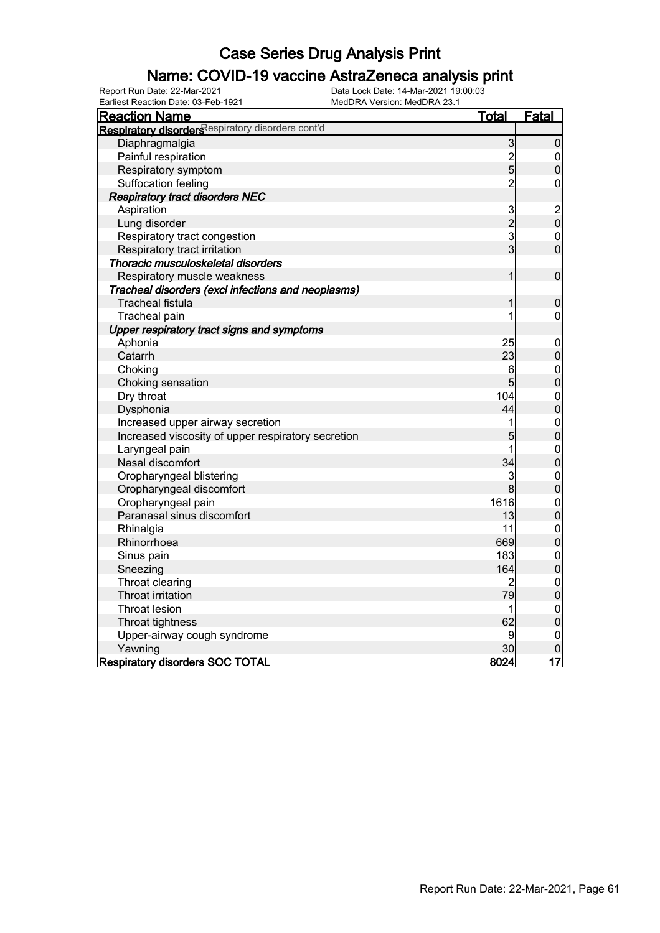### Name: COVID-19 vaccine AstraZeneca analysis print

Earliest Reaction Date: 03-Feb-1921 MedDRA Version: MedDRA 23.1

| <b>Reaction Name</b>                               | <u>Total</u>                               | Fatal                                  |
|----------------------------------------------------|--------------------------------------------|----------------------------------------|
| Respiratory disorders espiratory disorders cont'd  |                                            |                                        |
| Diaphragmalgia                                     | $\overline{3}$                             | $\overline{0}$                         |
| Painful respiration                                |                                            | $\mathbf 0$                            |
| Respiratory symptom                                | $\frac{2}{5}$                              | $\overline{0}$                         |
| Suffocation feeling                                | $\overline{2}$                             | $\overline{0}$                         |
| <b>Respiratory tract disorders NEC</b>             |                                            |                                        |
| Aspiration                                         |                                            |                                        |
| Lung disorder                                      | $\begin{array}{c} 3 \\ 2 \\ 3 \end{array}$ | $\begin{bmatrix} 2 \\ 0 \end{bmatrix}$ |
| Respiratory tract congestion                       |                                            | $\mathbf{0}$                           |
| Respiratory tract irritation                       |                                            | $\overline{0}$                         |
| Thoracic musculoskeletal disorders                 |                                            |                                        |
| Respiratory muscle weakness                        | $\mathbf{1}$                               | $\boldsymbol{0}$                       |
| Tracheal disorders (excl infections and neoplasms) |                                            |                                        |
| <b>Tracheal fistula</b>                            | 1                                          | $\boldsymbol{0}$                       |
| Tracheal pain                                      |                                            | $\mathbf 0$                            |
| Upper respiratory tract signs and symptoms         |                                            |                                        |
| Aphonia                                            | 25                                         | $\mathbf{0}$                           |
| Catarrh                                            | 23                                         | $\overline{0}$                         |
| Choking                                            | $6 \overline{}$                            |                                        |
| Choking sensation                                  | 5                                          | $0$ 0                                  |
| Dry throat                                         | 104                                        |                                        |
| Dysphonia                                          | 44                                         | $\begin{matrix} 0 \\ 0 \end{matrix}$   |
| Increased upper airway secretion                   | 1                                          |                                        |
| Increased viscosity of upper respiratory secretion | 5                                          | $\begin{matrix}0\\0\end{matrix}$       |
| Laryngeal pain                                     | 1                                          |                                        |
| Nasal discomfort                                   | 34                                         | $\begin{matrix}0\\0\end{matrix}$       |
| Oropharyngeal blistering                           | 3                                          | $\mathbf{0}$                           |
| Oropharyngeal discomfort                           | 8                                          | $\overline{0}$                         |
| Oropharyngeal pain                                 | 1616                                       | $\begin{matrix}0\\0\end{matrix}$       |
| Paranasal sinus discomfort                         | 13                                         |                                        |
| Rhinalgia                                          | 11                                         | $\begin{matrix}0\\0\end{matrix}$       |
| Rhinorrhoea                                        | 669                                        |                                        |
| Sinus pain                                         | 183                                        | $\begin{matrix}0\\0\end{matrix}$       |
| Sneezing                                           | 164                                        |                                        |
| Throat clearing                                    | $\overline{2}$                             | $\begin{matrix} 0 \\ 0 \end{matrix}$   |
| <b>Throat irritation</b>                           | 79                                         |                                        |
| <b>Throat lesion</b>                               | 1                                          |                                        |
| Throat tightness                                   | 62                                         | $\begin{matrix}0\\0\end{matrix}$       |
| Upper-airway cough syndrome                        | 9                                          | $\mathbf{0}$                           |
| Yawning                                            | 30                                         | $\overline{0}$                         |
| <b>Respiratory disorders SOC TOTAL</b>             | 8024                                       | 17                                     |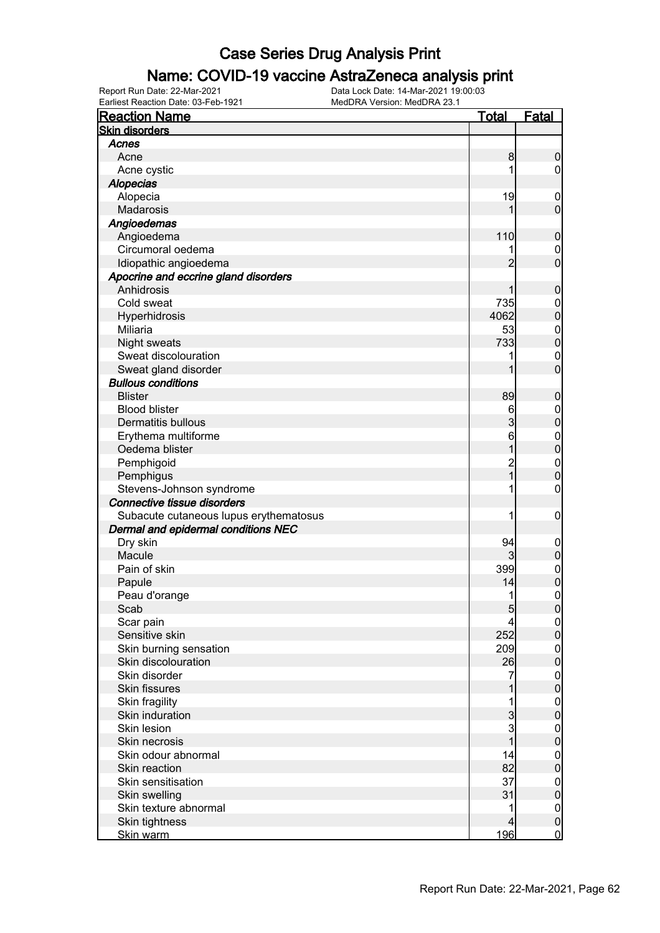#### Name: COVID-19 vaccine AstraZeneca analysis print

| <b>Reaction Name</b>                              | <b>Total</b>   | <b>Fatal</b>                    |
|---------------------------------------------------|----------------|---------------------------------|
| <b>Skin disorders</b>                             |                |                                 |
| Acnes                                             |                |                                 |
| Acne                                              | 8              | $\boldsymbol{0}$                |
| Acne cystic                                       |                | $\overline{0}$                  |
| <b>Alopecias</b>                                  |                |                                 |
| Alopecia                                          | 19             | $\mathbf 0$                     |
| Madarosis                                         | 1              | $\mathbf 0$                     |
| Angioedemas                                       |                |                                 |
| Angioedema                                        | 110            | $\boldsymbol{0}$                |
| Circumoral oedema                                 |                | $\mathbf 0$                     |
| Idiopathic angioedema                             | $\overline{2}$ | $\overline{0}$                  |
| Apocrine and eccrine gland disorders              |                |                                 |
| Anhidrosis                                        | 1              | $\boldsymbol{0}$                |
| Cold sweat                                        | 735            | $\mathbf 0$                     |
| Hyperhidrosis                                     | 4062           | $\mathbf 0$                     |
| Miliaria                                          | 53             |                                 |
| <b>Night sweats</b>                               | 733            | $\boldsymbol{0}$<br>$\mathbf 0$ |
| Sweat discolouration                              |                |                                 |
|                                                   | 1              | $\mathbf 0$<br>$\overline{0}$   |
| Sweat gland disorder<br><b>Bullous conditions</b> |                |                                 |
|                                                   |                |                                 |
| <b>Blister</b>                                    | 89             | $\boldsymbol{0}$                |
| <b>Blood blister</b>                              | 6              | $\boldsymbol{0}$                |
| <b>Dermatitis bullous</b>                         | $\overline{3}$ | $\mathbf 0$                     |
| Erythema multiforme                               | 6              | $\boldsymbol{0}$                |
| Oedema blister                                    | 1              | $\overline{0}$                  |
| Pemphigoid                                        | 2<br>1         | $\boldsymbol{0}$                |
| Pemphigus                                         |                | $\overline{0}$                  |
| Stevens-Johnson syndrome                          |                | $\mathbf 0$                     |
| Connective tissue disorders                       |                |                                 |
| Subacute cutaneous lupus erythematosus            | 1              | $\boldsymbol{0}$                |
| Dermal and epidermal conditions NEC               |                |                                 |
| Dry skin                                          | 94             | $\mathbf 0$                     |
| Macule                                            | $\overline{3}$ | $\pmb{0}$                       |
| Pain of skin                                      | 399            | $\mathbf{0}$                    |
| Papule                                            | 14             | $\mathbf{0}$                    |
| Peau d'orange                                     | 1              | $\mathbf 0$                     |
| Scab                                              | 5 <sub>l</sub> | $\overline{0}$                  |
| Scar pain                                         | 4              | $\overline{0}$                  |
| Sensitive skin                                    | 252            | $\mathbf 0$                     |
| Skin burning sensation                            | 209            | $\boldsymbol{0}$                |
| Skin discolouration                               | 26             | $\mathbf 0$                     |
| Skin disorder                                     | 7              | $\boldsymbol{0}$                |
| <b>Skin fissures</b>                              |                | $\mathbf 0$                     |
| Skin fragility                                    |                | $\boldsymbol{0}$                |
| Skin induration                                   | 3              | $\overline{0}$                  |
| Skin lesion                                       | 3              | $\boldsymbol{0}$                |
| Skin necrosis                                     | $\overline{1}$ | $\overline{0}$                  |
| Skin odour abnormal                               | 14             | $\mathbf{0}$                    |
| Skin reaction                                     | 82             | $\overline{0}$                  |
| Skin sensitisation                                | 37             | $\boldsymbol{0}$                |
| Skin swelling                                     | 31             | $\mathbf 0$                     |
| Skin texture abnormal                             | 1              | $\boldsymbol{0}$                |
| Skin tightness                                    | $\overline{4}$ | $\mathbf 0$                     |
| Skin warm                                         | 196            | $\overline{0}$                  |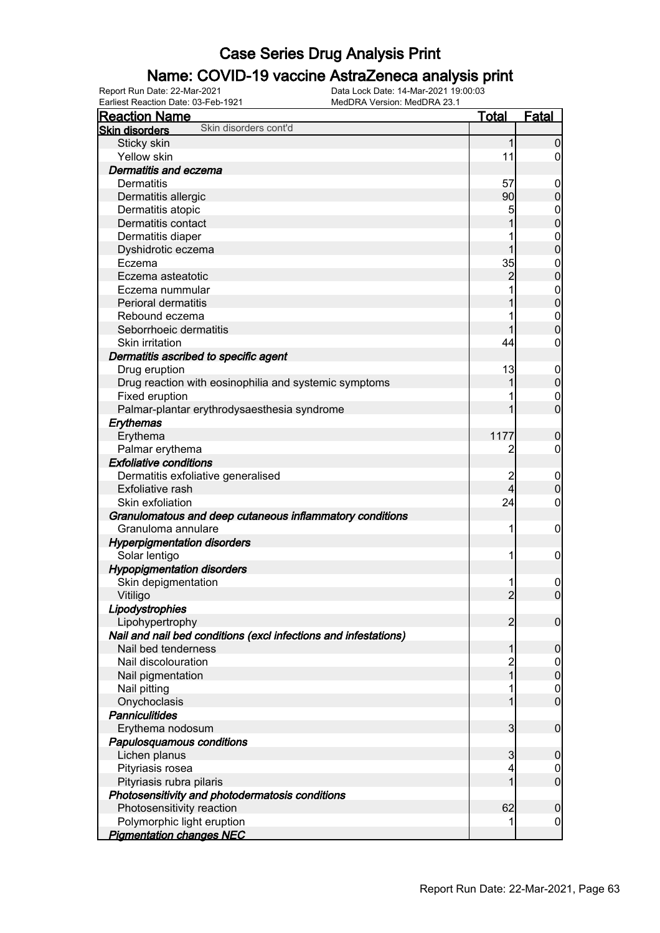### Name: COVID-19 vaccine AstraZeneca analysis print

| <b>Reaction Name</b>                                            | <b>Total</b>   | <b>Fatal</b>     |
|-----------------------------------------------------------------|----------------|------------------|
| Skin disorders cont'd<br><b>Skin disorders</b>                  |                |                  |
| Sticky skin                                                     | $\mathbf{1}$   | $\mathbf 0$      |
| Yellow skin                                                     | 11             | $\overline{0}$   |
| <b>Dermatitis and eczema</b>                                    |                |                  |
| <b>Dermatitis</b>                                               | 57             | $\boldsymbol{0}$ |
| Dermatitis allergic                                             | 90             | $\pmb{0}$        |
| Dermatitis atopic                                               | 5              | $\mathbf 0$      |
| Dermatitis contact                                              |                | $\mathbf 0$      |
| Dermatitis diaper                                               |                | $\boldsymbol{0}$ |
| Dyshidrotic eczema                                              | 1              | $\mathbf 0$      |
| Eczema                                                          | 35             | $\mathbf 0$      |
| Eczema asteatotic                                               | $\overline{c}$ | $\mathbf 0$      |
| Eczema nummular                                                 |                | $\boldsymbol{0}$ |
| Perioral dermatitis                                             |                | $\mathbf 0$      |
| Rebound eczema                                                  |                | $\boldsymbol{0}$ |
| Seborrhoeic dermatitis                                          |                | $\mathbf 0$      |
| Skin irritation                                                 | 44             | $\boldsymbol{0}$ |
|                                                                 |                |                  |
| Dermatitis ascribed to specific agent                           |                |                  |
| Drug eruption                                                   | 13<br>1        | $\mathbf 0$      |
| Drug reaction with eosinophilia and systemic symptoms           |                | $\mathbf 0$      |
| Fixed eruption                                                  |                | $\mathbf 0$      |
| Palmar-plantar erythrodysaesthesia syndrome                     | 1              | $\mathbf 0$      |
| Erythemas                                                       |                |                  |
| Erythema                                                        | 1177           | $\mathbf 0$      |
| Palmar erythema                                                 | $\overline{c}$ | $\boldsymbol{0}$ |
| <b>Exfoliative conditions</b>                                   |                |                  |
| Dermatitis exfoliative generalised                              | $\overline{c}$ | $\boldsymbol{0}$ |
| Exfoliative rash                                                | $\overline{4}$ | $\mathbf 0$      |
| Skin exfoliation                                                | 24             | $\mathbf 0$      |
| Granulomatous and deep cutaneous inflammatory conditions        |                |                  |
| Granuloma annulare                                              | 1              | $\mathbf 0$      |
| <b>Hyperpigmentation disorders</b>                              |                |                  |
| Solar lentigo                                                   | 1              | $\mathbf 0$      |
| <b>Hypopigmentation disorders</b>                               |                |                  |
| Skin depigmentation                                             |                | $\boldsymbol{0}$ |
| Vitiligo                                                        | $\overline{2}$ | $\boldsymbol{0}$ |
| Lipodystrophies                                                 |                |                  |
| Lipohypertrophy                                                 | $\overline{2}$ | $\mathbf 0$      |
| Nail and nail bed conditions (excl infections and infestations) |                |                  |
| Nail bed tenderness                                             | 1              | $\mathbf 0$      |
| Nail discolouration                                             | $\overline{c}$ | $\overline{0}$   |
| Nail pigmentation                                               | 1              | $\mathbf 0$      |
| Nail pitting                                                    |                | $\boldsymbol{0}$ |
| Onychoclasis                                                    |                | $\overline{0}$   |
| <b>Panniculitides</b>                                           |                |                  |
| Erythema nodosum                                                | 3              | $\boldsymbol{0}$ |
| Papulosquamous conditions                                       |                |                  |
| Lichen planus                                                   | 3              | $\mathbf 0$      |
| Pityriasis rosea                                                | 4              | 0                |
| Pityriasis rubra pilaris                                        |                | $\mathbf 0$      |
| Photosensitivity and photodermatosis conditions                 |                |                  |
| Photosensitivity reaction                                       | 62             | $\mathbf 0$      |
| Polymorphic light eruption                                      |                | $\mathbf 0$      |
| <b>Pigmentation changes NEC</b>                                 |                |                  |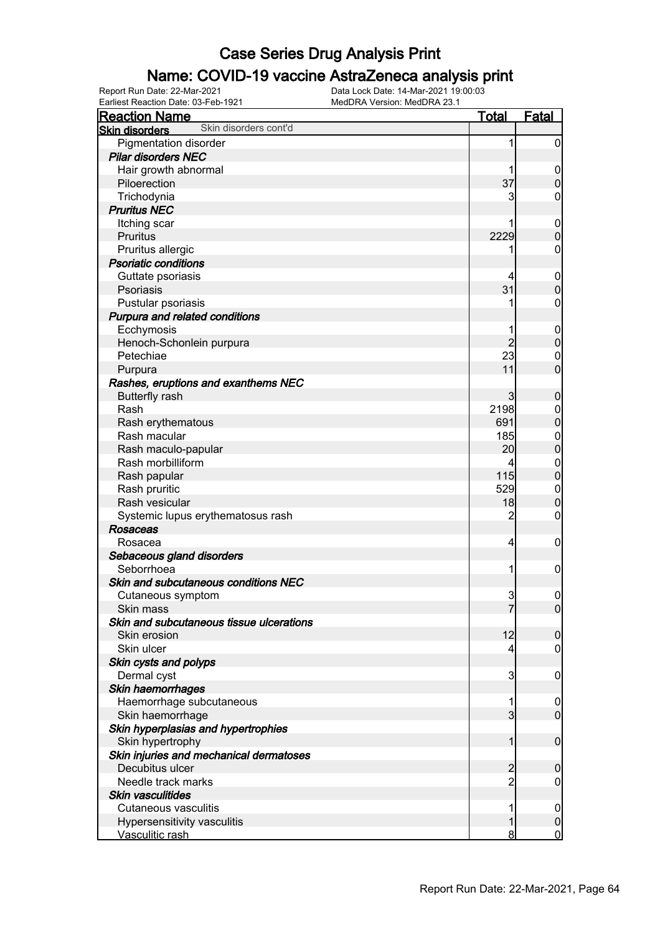### Name: COVID-19 vaccine AstraZeneca analysis print

| <b>Reaction Name</b>                                    | <b>Total</b>   | Fatal            |
|---------------------------------------------------------|----------------|------------------|
| Skin disorders cont'd<br><b>Skin disorders</b>          |                |                  |
| Pigmentation disorder                                   | 1              | $\mathbf 0$      |
| <b>Pilar disorders NEC</b>                              |                |                  |
| Hair growth abnormal                                    |                | $\mathbf 0$      |
| Piloerection                                            | 37             | $\mathbf 0$      |
| Trichodynia                                             | 3              | 0                |
| <b>Pruritus NEC</b>                                     |                |                  |
| Itching scar                                            |                | $\mathbf 0$      |
| <b>Pruritus</b>                                         | 2229           | $\mathbf 0$      |
| Pruritus allergic                                       |                | 0                |
| <b>Psoriatic conditions</b>                             |                |                  |
| Guttate psoriasis                                       |                | $\mathbf 0$      |
| Psoriasis                                               | 31             | $\mathbf 0$      |
| Pustular psoriasis                                      |                | 0                |
| Purpura and related conditions                          |                |                  |
| Ecchymosis                                              |                | $\mathbf 0$      |
| Henoch-Schonlein purpura                                | $\overline{2}$ | $\mathbf 0$      |
| Petechiae                                               | 23             | $\mathbf 0$      |
| Purpura                                                 | 11             | $\mathbf 0$      |
| Rashes, eruptions and exanthems NEC                     |                |                  |
| <b>Butterfly rash</b>                                   | 3              | $\boldsymbol{0}$ |
| Rash                                                    | 2198           | $\mathbf 0$      |
| Rash erythematous                                       | 691            | $\mathbf 0$      |
| Rash macular                                            | 185            | $\mathbf 0$      |
| Rash maculo-papular                                     | 20             | $\pmb{0}$        |
| Rash morbilliform                                       |                | $\mathbf 0$      |
| Rash papular                                            | 115            | $\mathbf 0$      |
| Rash pruritic                                           | 529            | $\mathbf 0$      |
| Rash vesicular                                          | 18             | $\mathbf 0$      |
| Systemic lupus erythematosus rash                       | $\overline{c}$ | 0                |
| <b>Rosaceas</b>                                         |                |                  |
| Rosacea                                                 | 4              | $\mathbf 0$      |
| Sebaceous gland disorders                               |                |                  |
| Seborrhoea                                              | 1              | $\mathbf 0$      |
| Skin and subcutaneous conditions NEC                    |                |                  |
| Cutaneous symptom                                       | 3              | $\mathbf 0$      |
| Skin mass                                               | 7              | $\overline{0}$   |
| Skin and subcutaneous tissue ulcerations                |                |                  |
| Skin erosion                                            | 12             | $\mathbf 0$      |
| Skin ulcer                                              | 4              | $\mathbf 0$      |
| Skin cysts and polyps                                   |                |                  |
| Dermal cyst                                             | 3              | $\mathbf 0$      |
| Skin haemorrhages                                       |                |                  |
| Haemorrhage subcutaneous                                |                | $\overline{0}$   |
| Skin haemorrhage                                        | $\overline{3}$ | $\overline{0}$   |
| Skin hyperplasias and hypertrophies<br>Skin hypertrophy | 1              | $\mathbf 0$      |
| Skin injuries and mechanical dermatoses                 |                |                  |
| Decubitus ulcer                                         | $\overline{2}$ | $\boldsymbol{0}$ |
| Needle track marks                                      | 2              | 0                |
| <b>Skin vasculitides</b>                                |                |                  |
| Cutaneous vasculitis                                    |                | $\mathbf 0$      |
| Hypersensitivity vasculitis                             |                | $\pmb{0}$        |
| Vasculitic rash                                         | 8              | $\mathbf 0$      |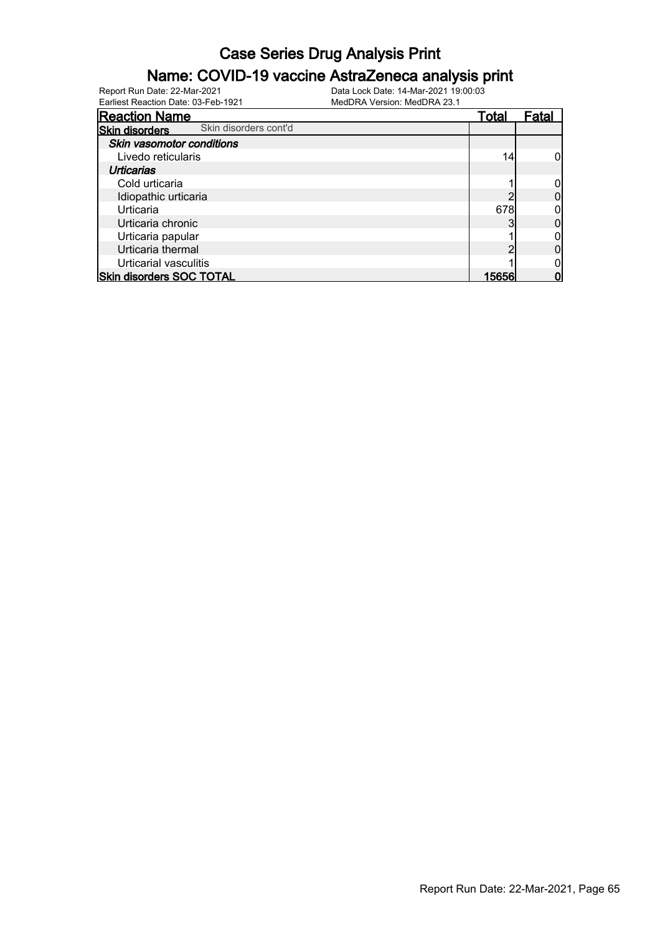#### Name: COVID-19 vaccine AstraZeneca analysis print

| <b>Reaction Name</b>                           | <u>Total</u> | Fatal |
|------------------------------------------------|--------------|-------|
| Skin disorders cont'd<br><b>Skin disorders</b> |              |       |
| Skin vasomotor conditions                      |              |       |
| Livedo reticularis                             | 14           |       |
| Urticarias                                     |              |       |
| Cold urticaria                                 |              |       |
| Idiopathic urticaria                           |              |       |
| Urticaria                                      | 678          |       |
| Urticaria chronic                              |              |       |
| Urticaria papular                              |              |       |
| Urticaria thermal                              |              |       |
| Urticarial vasculitis                          |              |       |
| <b>Skin disorders SOC TOTAL</b>                | 15656        |       |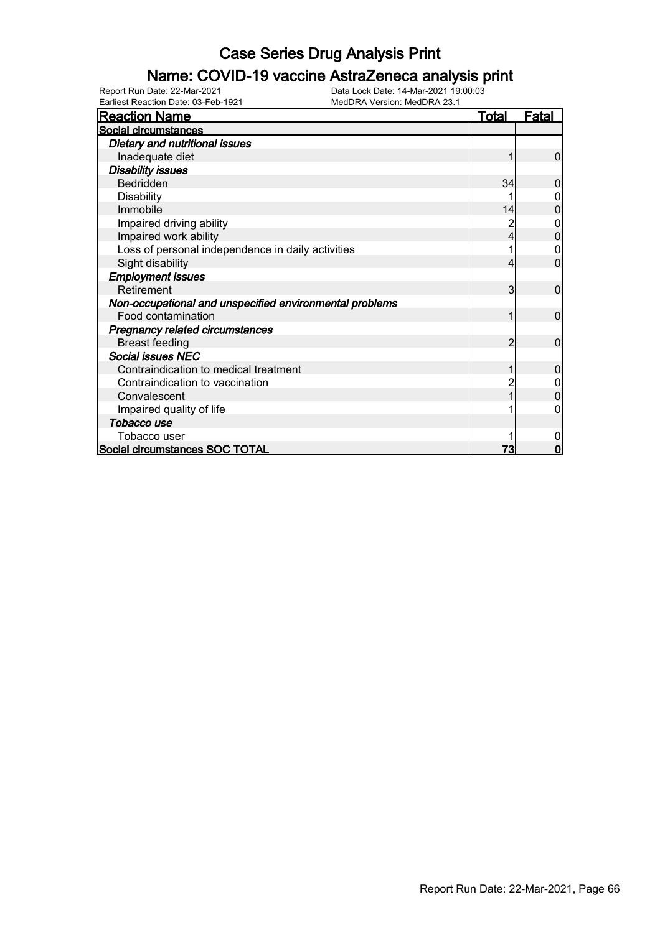### Name: COVID-19 vaccine AstraZeneca analysis print

Earliest Reaction Date: 03-Feb-1921 MedDRA Version: MedDRA 23.1

| <b>Reaction Name</b>                                    | <u>Total</u> | <u>Fatal</u> |
|---------------------------------------------------------|--------------|--------------|
| Social circumstances                                    |              |              |
| Dietary and nutritional issues                          |              |              |
| Inadequate diet                                         |              | 0            |
| <b>Disability issues</b>                                |              |              |
| Bedridden                                               | 34           |              |
| <b>Disability</b>                                       |              |              |
| Immobile                                                | 14           |              |
| Impaired driving ability                                |              | 0            |
| Impaired work ability                                   |              |              |
| Loss of personal independence in daily activities       |              |              |
| Sight disability                                        |              | 0            |
| <b>Employment issues</b>                                |              |              |
| Retirement                                              | 3            | 0            |
| Non-occupational and unspecified environmental problems |              |              |
| Food contamination                                      |              | $\Omega$     |
| <b>Pregnancy related circumstances</b>                  |              |              |
| <b>Breast feeding</b>                                   | 2            | $\Omega$     |
| <b>Social issues NEC</b>                                |              |              |
| Contraindication to medical treatment                   |              | O            |
| Contraindication to vaccination                         |              |              |
| Convalescent                                            |              |              |
| Impaired quality of life                                |              |              |
| Tobacco use                                             |              |              |
| Tobacco user                                            |              |              |
| Social circumstances SOC TOTAL                          |              |              |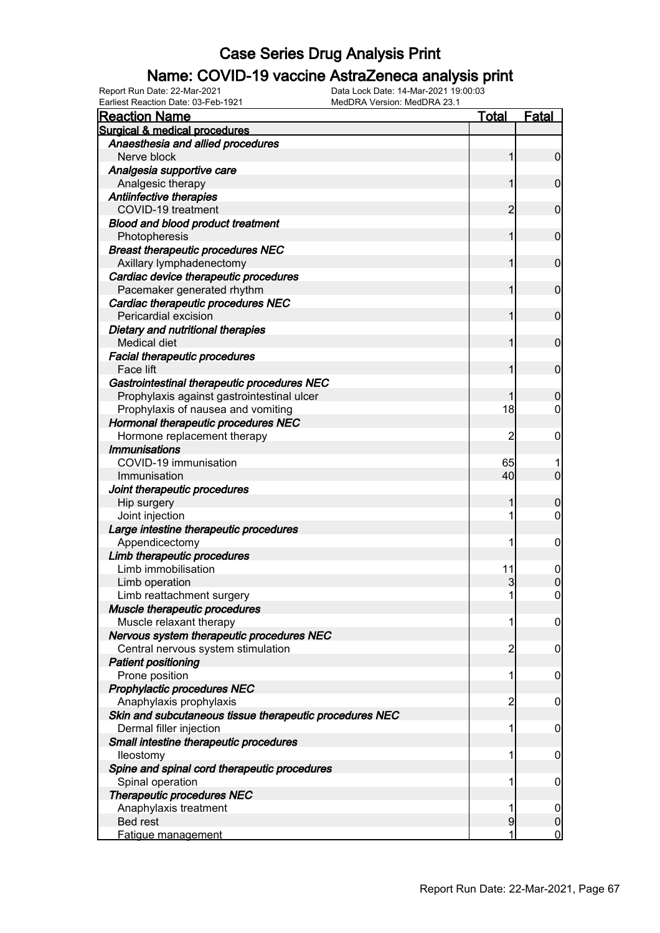#### Name: COVID-19 vaccine AstraZeneca analysis print

Earliest Reaction Date: 03-Feb-1921 MedDRA Version: MedDRA 23.1

| <b>Reaction Name</b>                                      | <b>Total</b>   | Fatal            |
|-----------------------------------------------------------|----------------|------------------|
| Surgical & medical procedures                             |                |                  |
| Anaesthesia and allied procedures                         |                |                  |
| Nerve block                                               | 1              | $\overline{0}$   |
| Analgesia supportive care                                 |                |                  |
| Analgesic therapy                                         | 1              | $\mathbf 0$      |
| Antiinfective therapies                                   |                |                  |
| COVID-19 treatment                                        | 2              | $\mathbf 0$      |
| <b>Blood and blood product treatment</b><br>Photopheresis | 1              | $\mathbf 0$      |
| <b>Breast therapeutic procedures NEC</b>                  |                |                  |
| Axillary lymphadenectomy                                  | 1              | $\mathbf 0$      |
| Cardiac device therapeutic procedures                     |                |                  |
| Pacemaker generated rhythm                                | 1              | $\mathbf 0$      |
| Cardiac therapeutic procedures NEC                        |                |                  |
| Pericardial excision                                      | 1              | $\mathbf 0$      |
| Dietary and nutritional therapies                         |                |                  |
| Medical diet                                              | 1              | $\mathbf 0$      |
| <b>Facial therapeutic procedures</b>                      |                |                  |
| Face lift                                                 | 1              | $\mathbf 0$      |
| Gastrointestinal therapeutic procedures NEC               |                |                  |
| Prophylaxis against gastrointestinal ulcer                |                | $\mathbf 0$      |
| Prophylaxis of nausea and vomiting                        | 18             | $\mathbf 0$      |
| Hormonal therapeutic procedures NEC                       |                |                  |
| Hormone replacement therapy                               | 2              | $\mathbf 0$      |
| <b>Immunisations</b><br>COVID-19 immunisation             |                |                  |
| Immunisation                                              | 65<br>40       | $\mathbf 0$      |
|                                                           |                |                  |
| Joint therapeutic procedures<br>Hip surgery               | 1              | $\mathbf 0$      |
| Joint injection                                           | 1              | $\mathbf 0$      |
| Large intestine therapeutic procedures                    |                |                  |
| Appendicectomy                                            | 1              | $\boldsymbol{0}$ |
| Limb therapeutic procedures                               |                |                  |
| Limb immobilisation                                       | 11             | $\mathbf 0$      |
| Limb operation                                            | 3              | $\mathbf 0$      |
| Limb reattachment surgery                                 | 1              | $\mathbf 0$      |
| Muscle therapeutic procedures                             |                |                  |
| Muscle relaxant therapy                                   | 1              | $\overline{0}$   |
| Nervous system therapeutic procedures NEC                 |                |                  |
| Central nervous system stimulation                        | $\overline{c}$ | $\mathbf 0$      |
| <b>Patient positioning</b>                                |                |                  |
| Prone position                                            | 1              | $\mathbf 0$      |
| Prophylactic procedures NEC                               |                |                  |
| Anaphylaxis prophylaxis                                   | $\overline{c}$ | $\mathbf 0$      |
| Skin and subcutaneous tissue therapeutic procedures NEC   |                |                  |
| Dermal filler injection                                   | 1              | $\mathbf 0$      |
| Small intestine therapeutic procedures                    |                |                  |
| lleostomy                                                 | 1              | $\mathbf 0$      |
| Spine and spinal cord therapeutic procedures              |                |                  |
| Spinal operation                                          | 1              | $\mathbf 0$      |
| <b>Therapeutic procedures NEC</b>                         |                |                  |
| Anaphylaxis treatment                                     | 1              | $\mathbf 0$      |
| Bed rest                                                  | 9              | $\pmb{0}$        |
| Fatigue management                                        | 1              | $\overline{0}$   |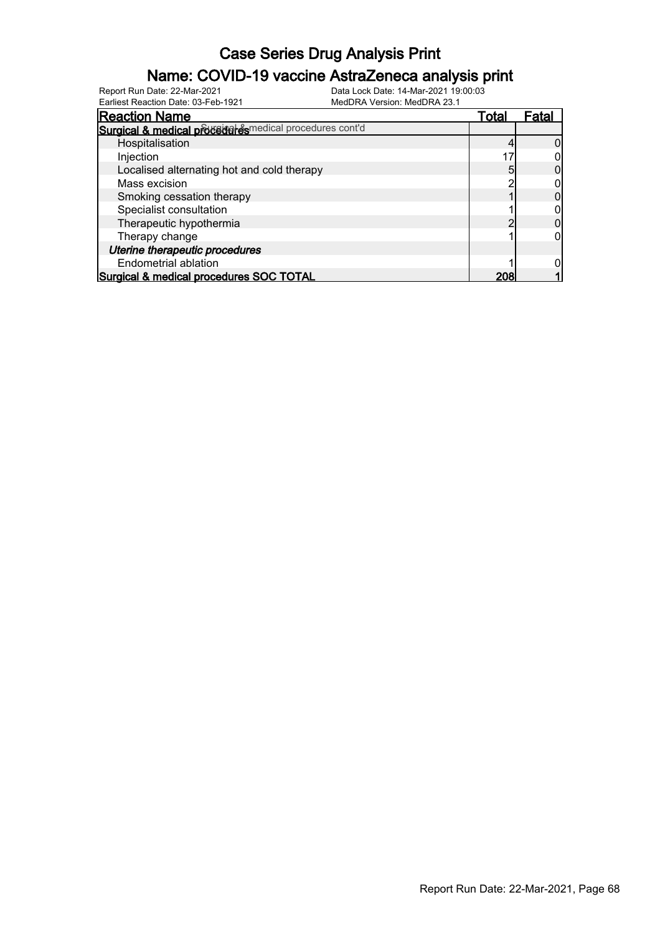#### Name: COVID-19 vaccine AstraZeneca analysis print

Earliest Reaction Date: 03-Feb-1921 MedDRA Version: MedDRA 23.1

| <b>Reaction Name</b>                                    | Total |     | ⊦ata |
|---------------------------------------------------------|-------|-----|------|
| Surgical & medical procedures medical procedures cont'd |       |     |      |
| Hospitalisation                                         |       |     |      |
| Injection                                               |       |     |      |
| Localised alternating hot and cold therapy              |       |     |      |
| Mass excision                                           |       |     |      |
| Smoking cessation therapy                               |       |     |      |
| Specialist consultation                                 |       |     |      |
| Therapeutic hypothermia                                 |       |     |      |
| Therapy change                                          |       |     |      |
| Uterine therapeutic procedures                          |       |     |      |
| Endometrial ablation                                    |       |     |      |
| Surgical & medical procedures SOC TOTAL                 |       | 208 |      |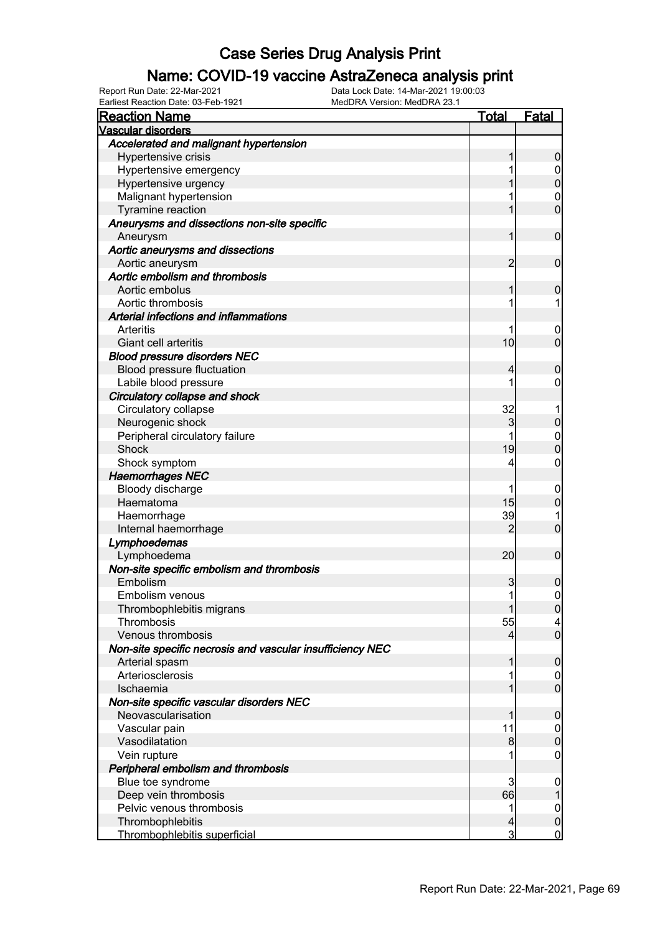### Name: COVID-19 vaccine AstraZeneca analysis print

Earliest Reaction Date: 03-Feb-1921 MedDRA Version: MedDRA 23.1

| <b>Reaction Name</b>                                      | <b>Total</b>   | <b>Fatal</b>        |
|-----------------------------------------------------------|----------------|---------------------|
| Vascular disorders                                        |                |                     |
| Accelerated and malignant hypertension                    |                |                     |
| Hypertensive crisis                                       | 1              | $\boldsymbol{0}$    |
| Hypertensive emergency                                    | 1              | $\overline{0}$      |
| Hypertensive urgency                                      | 1              | $\mathbf 0$         |
| Malignant hypertension                                    |                | $\mathbf 0$         |
| Tyramine reaction                                         | 1              | $\overline{0}$      |
| Aneurysms and dissections non-site specific<br>Aneurysm   | 1              | $\boldsymbol{0}$    |
| Aortic aneurysms and dissections                          |                |                     |
| Aortic aneurysm                                           | 2              | $\mathbf 0$         |
| Aortic embolism and thrombosis                            |                |                     |
| Aortic embolus                                            | 1              | $\mathbf 0$         |
| Aortic thrombosis                                         | 1              | 1                   |
| Arterial infections and inflammations                     |                |                     |
| Arteritis                                                 |                | $\mathbf 0$         |
| Giant cell arteritis                                      | 10             | $\mathbf 0$         |
| <b>Blood pressure disorders NEC</b>                       |                |                     |
| Blood pressure fluctuation                                | 4              | $\mathbf 0$         |
| Labile blood pressure                                     | 1              | 0                   |
| Circulatory collapse and shock                            |                |                     |
| Circulatory collapse                                      | 32             |                     |
| Neurogenic shock                                          | 3              | $\mathbf 0$         |
| Peripheral circulatory failure                            |                | $\mathbf{0}$        |
| <b>Shock</b>                                              | 19             | $\overline{0}$      |
| Shock symptom                                             | 4              | $\mathbf 0$         |
| <b>Haemorrhages NEC</b>                                   |                |                     |
| Bloody discharge                                          |                | $\mathbf 0$         |
| Haematoma                                                 | 15             | $\mathbf 0$         |
| Haemorrhage                                               | 39             | 1                   |
| Internal haemorrhage                                      | 2              | $\overline{0}$      |
| Lymphoedemas                                              |                |                     |
| Lymphoedema                                               | 20             | $\boldsymbol{0}$    |
| Non-site specific embolism and thrombosis                 |                |                     |
| Embolism                                                  | 3              | 0                   |
| Embolism venous                                           | $\mathbf{1}$   | $\mathsf{O}\xspace$ |
| Thrombophlebitis migrans                                  | $\mathbf{1}$   | 0                   |
| Thrombosis                                                | 55             | 4                   |
| Venous thrombosis                                         | $\overline{4}$ | $\overline{0}$      |
| Non-site specific necrosis and vascular insufficiency NEC |                |                     |
| Arterial spasm                                            | 1              | $\mathbf 0$         |
| Arteriosclerosis                                          | 1              | $\overline{0}$      |
| Ischaemia                                                 | 1              | $\boldsymbol{0}$    |
| Non-site specific vascular disorders NEC                  |                |                     |
| Neovascularisation                                        | 1              | $\mathbf 0$         |
| Vascular pain                                             | 11             | $\overline{0}$      |
| Vasodilatation                                            | 8              | $\pmb{0}$           |
| Vein rupture                                              | 1              | $\mathbf 0$         |
| Peripheral embolism and thrombosis                        |                |                     |
| Blue toe syndrome                                         | 3              | $\mathbf 0$         |
| Deep vein thrombosis                                      | 66             | $\mathbf{1}$        |
| Pelvic venous thrombosis                                  | 1              | $\boldsymbol{0}$    |
| Thrombophlebitis                                          | $\overline{4}$ | $\pmb{0}$           |
| Thrombophlebitis superficial                              | 3              | $\overline{0}$      |